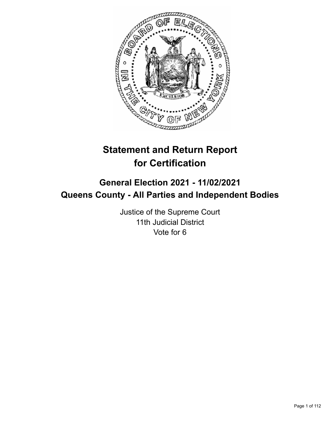

# **Statement and Return Report for Certification**

## **General Election 2021 - 11/02/2021 Queens County - All Parties and Independent Bodies**

Justice of the Supreme Court 11th Judicial District Vote for 6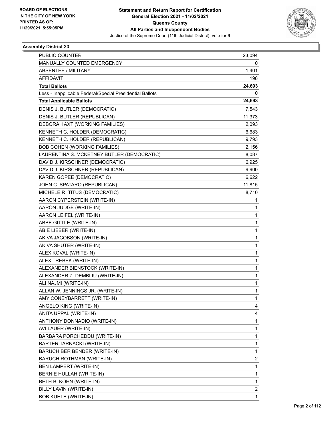

| <b>PUBLIC COUNTER</b>                                    | 23,094       |
|----------------------------------------------------------|--------------|
| MANUALLY COUNTED EMERGENCY                               | 0            |
| <b>ABSENTEE / MILITARY</b>                               | 1,401        |
| <b>AFFIDAVIT</b>                                         | 198          |
| <b>Total Ballots</b>                                     | 24,693       |
| Less - Inapplicable Federal/Special Presidential Ballots | 0            |
| <b>Total Applicable Ballots</b>                          | 24,693       |
| DENIS J. BUTLER (DEMOCRATIC)                             | 7,543        |
| DENIS J. BUTLER (REPUBLICAN)                             | 11,373       |
| DEBORAH AXT (WORKING FAMILIES)                           | 2,093        |
| KENNETH C. HOLDER (DEMOCRATIC)                           | 6,683        |
| KENNETH C. HOLDER (REPUBLICAN)                           | 9,793        |
| <b>BOB COHEN (WORKING FAMILIES)</b>                      | 2,156        |
| LAURENTINA S. MCKETNEY BUTLER (DEMOCRATIC)               | 8,087        |
| DAVID J. KIRSCHNER (DEMOCRATIC)                          | 6,925        |
| DAVID J. KIRSCHNER (REPUBLICAN)                          | 9,900        |
| KAREN GOPEE (DEMOCRATIC)                                 | 6,622        |
| JOHN C. SPATARO (REPUBLICAN)                             | 11,815       |
| MICHELE R. TITUS (DEMOCRATIC)                            | 8,710        |
| AARON CYPERSTEIN (WRITE-IN)                              | 1            |
| AARON JUDGE (WRITE-IN)                                   | 1            |
| AARON LEIFEL (WRITE-IN)                                  | 1            |
| ABBE GITTLE (WRITE-IN)                                   | 1            |
| ABIE LIEBER (WRITE-IN)                                   | 1            |
| AKIVA JACOBSON (WRITE-IN)                                | 1            |
| AKIVA SHUTER (WRITE-IN)                                  | 1            |
| ALEX KOVAL (WRITE-IN)                                    | 1            |
| ALEX TREBEK (WRITE-IN)                                   | 1            |
| ALEXANDER BIENSTOCK (WRITE-IN)                           | 1            |
| ALEXANDER Z. DEMBLIU (WRITE-IN)                          | 1            |
| ALI NAJMI (WRITE-IN)                                     | 1            |
| ALLAN W. JENNINGS JR. (WRITE-IN)                         | 1            |
| AMY CONEYBARRETT (WRITE-IN)                              | 1            |
| ANGELO KING (WRITE-IN)                                   | 4            |
| ANITA UPPAL (WRITE-IN)                                   | 4            |
| ANTHONY DONNADIO (WRITE-IN)                              | 1            |
| AVI LAUER (WRITE-IN)                                     | 1            |
| BARBARA PORCHEDDU (WRITE-IN)                             | 1            |
| <b>BARTER TARNACKI (WRITE-IN)</b>                        | 1            |
| BARUCH BER BENDER (WRITE-IN)                             | 1            |
| BARUCH ROTHMAN (WRITE-IN)                                | 2            |
| BEN LAMPERT (WRITE-IN)                                   | 1            |
| BERNIE HULLAH (WRITE-IN)                                 | 1            |
| BETH B. KOHN (WRITE-IN)                                  | 1            |
| BILLY LAVIN (WRITE-IN)                                   | 2            |
| <b>BOB KUHLE (WRITE-IN)</b>                              | $\mathbf{1}$ |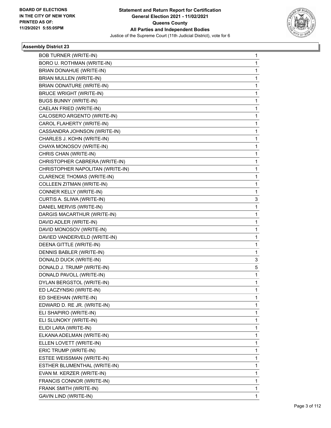

| <b>BOB TURNER (WRITE-IN)</b>     | 1 |
|----------------------------------|---|
| BORO U. ROTHMAN (WRITE-IN)       | 1 |
| BRIAN DONAHUE (WRITE-IN)         | 1 |
| BRIAN MULLEN (WRITE-IN)          | 1 |
| BRIAN ODNATURE (WRITE-IN)        | 1 |
| <b>BRUCE WRIGHT (WRITE-IN)</b>   | 1 |
| <b>BUGS BUNNY (WRITE-IN)</b>     | 1 |
| CAELAN FRIED (WRITE-IN)          | 1 |
| CALOSERO ARGENTO (WRITE-IN)      | 1 |
| CAROL FLAHERTY (WRITE-IN)        | 1 |
| CASSANDRA JOHNSON (WRITE-IN)     | 1 |
| CHARLES J. KOHN (WRITE-IN)       | 1 |
| CHAYA MONOSOV (WRITE-IN)         | 1 |
| CHRIS CHAN (WRITE-IN)            | 1 |
| CHRISTOPHER CABRERA (WRITE-IN)   | 1 |
| CHRISTOPHER NAPOLITAN (WRITE-IN) | 1 |
| CLARENCE THOMAS (WRITE-IN)       | 1 |
| COLLEEN ZITMAN (WRITE-IN)        | 1 |
| CONNER KELLY (WRITE-IN)          | 1 |
| CURTIS A. SLIWA (WRITE-IN)       | 3 |
| DANIEL MERVIS (WRITE-IN)         | 1 |
| DARGIS MACARTHUR (WRITE-IN)      | 1 |
| DAVID ADLER (WRITE-IN)           | 1 |
| DAVID MONOSOV (WRITE-IN)         | 1 |
| DAVIED VANDERVELD (WRITE-IN)     | 1 |
| DEENA GITTLE (WRITE-IN)          | 1 |
| DENNIS BABLER (WRITE-IN)         | 1 |
| DONALD DUCK (WRITE-IN)           | 3 |
| DONALD J. TRUMP (WRITE-IN)       | 5 |
| DONALD PAVOLL (WRITE-IN)         | 1 |
| DYLAN BERGSTOL (WRITE-IN)        | 1 |
| ED LACZYNSKI (WRITE-IN)          | 1 |
| ED SHEEHAN (WRITE-IN)            | 1 |
| EDWARD D. RE JR. (WRITE-IN)      | 1 |
| ELI SHAPIRO (WRITE-IN)           | 1 |
| ELI SLUNOKY (WRITE-IN)           | 1 |
| ELIDI LARA (WRITE-IN)            | 1 |
| ELKANA ADELMAN (WRITE-IN)        | 1 |
| ELLEN LOVETT (WRITE-IN)          | 1 |
| ERIC TRUMP (WRITE-IN)            | 1 |
| ESTEE WEISSMAN (WRITE-IN)        | 1 |
| ESTHER BLUMENTHAL (WRITE-IN)     | 1 |
| EVAN M. KERZER (WRITE-IN)        | 1 |
| FRANCIS CONNOR (WRITE-IN)        | 1 |
| FRANK SMITH (WRITE-IN)           | 1 |
| GAVIN LIND (WRITE-IN)            | 1 |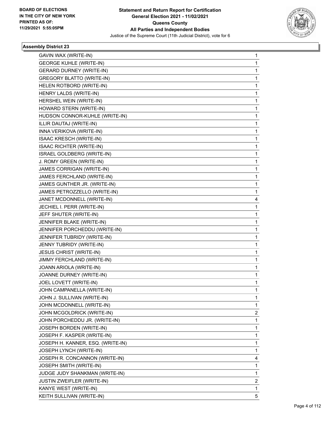

| GAVIN WAX (WRITE-IN)              | 1              |
|-----------------------------------|----------------|
| <b>GEORGE KUHLE (WRITE-IN)</b>    | 1              |
| <b>GERARD DURNEY (WRITE-IN)</b>   | 1              |
| <b>GREGORY BLATTO (WRITE-IN)</b>  | 1              |
| HELEN ROTBORD (WRITE-IN)          | 1              |
| HENRY LALDS (WRITE-IN)            | 1              |
| HERSHEL WEIN (WRITE-IN)           | 1              |
| HOWARD STERN (WRITE-IN)           | 1              |
| HUDSON CONNOR-KUHLE (WRITE-IN)    | 1              |
| ILLIR DAUTAJ (WRITE-IN)           | 1.             |
| INNA VERIKOVA (WRITE-IN)          | 1              |
| ISAAC KRESCH (WRITE-IN)           | 1              |
| <b>ISAAC RICHTER (WRITE-IN)</b>   | 1              |
| ISRAEL GOLDBERG (WRITE-IN)        | 1              |
| J. ROMY GREEN (WRITE-IN)          | 1              |
| JAMES CORRIGAN (WRITE-IN)         | 1              |
| JAMES FERCHLAND (WRITE-IN)        | 1              |
| JAMES GUNTHER JR. (WRITE-IN)      | 1              |
| JAMES PETROZZELLO (WRITE-IN)      | 1              |
| JANET MCDONNELL (WRITE-IN)        | 4              |
| JECHIEL I. PERR (WRITE-IN)        | 1              |
| JEFF SHUTER (WRITE-IN)            | 1              |
| JENNIFER BLAKE (WRITE-IN)         | 1              |
| JENNIFER PORCHEDDU (WRITE-IN)     | 1              |
| JENNIFER TUBRIDY (WRITE-IN)       | 1              |
| JENNY TUBRIDY (WRITE-IN)          | 1              |
| <b>JESUS CHRIST (WRITE-IN)</b>    | 1              |
| JIMMY FERCHLAND (WRITE-IN)        | 1              |
| JOANN ARIOLA (WRITE-IN)           | 1              |
| JOANNE DURNEY (WRITE-IN)          | 1              |
| JOEL LOVETT (WRITE-IN)            | 1              |
| JOHN CAMPANELLA (WRITE-IN)        | 1              |
| JOHN J. SULLIVAN (WRITE-IN)       | 1              |
| JOHN MCDONNELL (WRITE-IN)         | 1.             |
| JOHN MCGOLDRICK (WRITE-IN)        | $\overline{c}$ |
| JOHN PORCHEDDU JR. (WRITE-IN)     | 1              |
| JOSEPH BORDEN (WRITE-IN)          | 1.             |
| JOSEPH F. KASPER (WRITE-IN)       | 1              |
| JOSEPH H. KANNER, ESQ. (WRITE-IN) | 1              |
| JOSEPH LYNCH (WRITE-IN)           | $\mathbf{1}$   |
| JOSEPH R. CONCANNON (WRITE-IN)    | 4              |
| JOSEPH SMITH (WRITE-IN)           | 1              |
| JUDGE JUDY SHANKMAN (WRITE-IN)    | $\mathbf{1}$   |
| JUSTIN ZWEIFLER (WRITE-IN)        | $\overline{c}$ |
| KANYE WEST (WRITE-IN)             | 1              |
| KEITH SULLIVAN (WRITE-IN)         | 5              |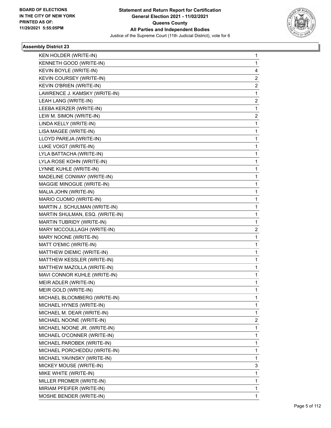

| KEN HOLDER (WRITE-IN)           | 1                       |
|---------------------------------|-------------------------|
| KENNETH GOOD (WRITE-IN)         | 1                       |
| KEVIN BOYLE (WRITE-IN)          | 4                       |
| KEVIN COURSEY (WRITE-IN)        | 2                       |
| KEVIN O'BRIEN (WRITE-IN)        | 2                       |
| LAWRENCE J. KAMSKY (WRITE-IN)   | 1                       |
| LEAH LANG (WRITE-IN)            | 2                       |
| LEEBA KERZER (WRITE-IN)         | 1                       |
| LEW M. SIMON (WRITE-IN)         | $\overline{\mathbf{c}}$ |
| LINDA KELLY (WRITE-IN)          | 1                       |
| LISA MAGEE (WRITE-IN)           | 1                       |
| LLOYD PAREJA (WRITE-IN)         | 1                       |
| LUKE VOIGT (WRITE-IN)           | 1                       |
| LYLA BATTACHA (WRITE-IN)        | 1                       |
| LYLA ROSE KOHN (WRITE-IN)       | 1                       |
| LYNNE KUHLE (WRITE-IN)          | 1                       |
| MADELINE CONWAY (WRITE-IN)      | 1                       |
| MAGGIE MINOGUE (WRITE-IN)       | 1                       |
| MALIA JOHN (WRITE-IN)           | 1                       |
| MARIO CUOMO (WRITE-IN)          | 1                       |
| MARTIN J. SCHULMAN (WRITE-IN)   | 1                       |
| MARTIN SHULMAN, ESQ. (WRITE-IN) | 1                       |
| MARTIN TUBRIDY (WRITE-IN)       | 1                       |
| MARY MCCOULLAGH (WRITE-IN)      | 2                       |
| MARY NOONE (WRITE-IN)           | 1                       |
| MATT O'EMIC (WRITE-IN)          | 1                       |
| MATTHEW DIEMIC (WRITE-IN)       | 1                       |
| MATTHEW KESSLER (WRITE-IN)      | 1                       |
| MATTHEW MAZOLLA (WRITE-IN)      | 1                       |
| MAVI CONNOR KUHLE (WRITE-IN)    | 1                       |
| MEIR ADLER (WRITE-IN)           | 1                       |
| MEIR GOLD (WRITE-IN)            | 1                       |
| MICHAEL BLOOMBERG (WRITE-IN)    | 1                       |
| MICHAEL HYNES (WRITE-IN)        | 1                       |
| MICHAEL M. DEAR (WRITE-IN)      | 1                       |
| MICHAEL NOONE (WRITE-IN)        | 2                       |
| MICHAEL NOONE JR. (WRITE-IN)    | 1                       |
| MICHAEL O'CONNER (WRITE-IN)     | 1                       |
| MICHAEL PAROBEK (WRITE-IN)      | 1                       |
| MICHAEL PORCHEDDU (WRITE-IN)    | 1                       |
| MICHAEL YAVINSKY (WRITE-IN)     | 1                       |
| MICKEY MOUSE (WRITE-IN)         | 3                       |
| MIKE WHITE (WRITE-IN)           | 1                       |
| MILLER PROMER (WRITE-IN)        | 1                       |
| MIRIAM PFEIFER (WRITE-IN)       | 1                       |
| MOSHE BENDER (WRITE-IN)         | 1                       |
|                                 |                         |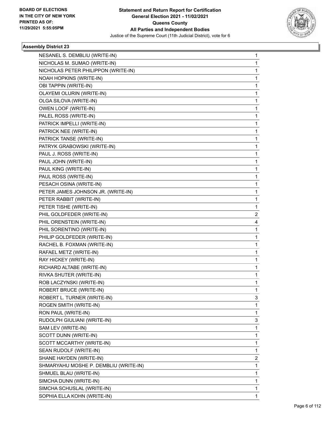

| NESANEL S. DEMBLIU (WRITE-IN)         | 1            |
|---------------------------------------|--------------|
| NICHOLAS M. SUMAO (WRITE-IN)          | 1            |
| NICHOLAS PETER PHILIPPON (WRITE-IN)   | $\mathbf{1}$ |
| NOAH HOPKINS (WRITE-IN)               | 1            |
| OBI TAPPIN (WRITE-IN)                 | 1            |
| OLAYEMI OLURIN (WRITE-IN)             | 1            |
| OLGA SILOVA (WRITE-IN)                | 1            |
| OWEN LOOF (WRITE-IN)                  | 1            |
| PALEL ROSS (WRITE-IN)                 | $\mathbf{1}$ |
| PATRICK IMPELLI (WRITE-IN)            | 1            |
| PATRICK NEE (WRITE-IN)                | 1            |
| PATRICK TANSE (WRITE-IN)              | 1            |
| PATRYK GRABOWSKI (WRITE-IN)           | 1            |
| PAUL J. ROSS (WRITE-IN)               | 1            |
| PAUL JOHN (WRITE-IN)                  | $\mathbf{1}$ |
| PAUL KING (WRITE-IN)                  | 1            |
| PAUL ROSS (WRITE-IN)                  | 1            |
| PESACH OSINA (WRITE-IN)               | 1            |
| PETER JAMES JOHNSON JR. (WRITE-IN)    | 1            |
| PETER RABBIT (WRITE-IN)               | 1            |
| PETER TISHE (WRITE-IN)                | 1            |
| PHIL GOLDFEDER (WRITE-IN)             | 2            |
| PHIL ORENSTEIN (WRITE-IN)             | 4            |
| PHIL SORENTINO (WRITE-IN)             | 1            |
| PHILIP GOLDFEDER (WRITE-IN)           | 1            |
| RACHEL B. FOXMAN (WRITE-IN)           | 1            |
| RAFAEL METZ (WRITE-IN)                | $\mathbf{1}$ |
| RAY HICKEY (WRITE-IN)                 | 1            |
| RICHARD ALTABE (WRITE-IN)             | 1            |
| RIVKA SHUTER (WRITE-IN)               | 1            |
| ROB LACZYNSKI (WRITE-IN)              | 1            |
| ROBERT BRUCE (WRITE-IN)               | 1            |
| ROBERT L. TURNER (WRITE-IN)           | 3            |
| ROGEN SMITH (WRITE-IN)                | 1            |
| RON PAUL (WRITE-IN)                   | 1            |
| RUDOLPH GIULIANI (WRITE-IN)           | 3            |
| SAM LEV (WRITE-IN)                    | 1            |
| SCOTT DUNN (WRITE-IN)                 | 1            |
| SCOTT MCCARTHY (WRITE-IN)             | 1            |
| SEAN RUDOLF (WRITE-IN)                | 1            |
| SHANE HAYDEN (WRITE-IN)               | 2            |
| SHMARYAHU MOSHE P. DEMBLIU (WRITE-IN) | $\mathbf{1}$ |
| SHMUEL BLAU (WRITE-IN)                | 1            |
| SIMCHA DUNN (WRITE-IN)                | 1            |
| SIMCHA SCHUSLAL (WRITE-IN)            | 1            |
| SOPHIA ELLA KOHN (WRITE-IN)           | 1            |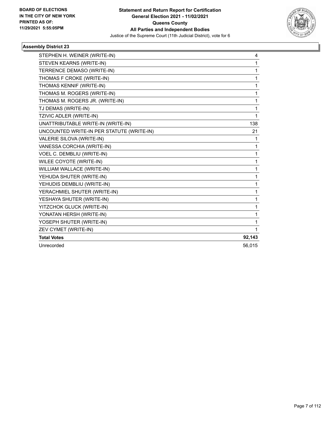

| STEPHEN H. WEINER (WRITE-IN)              | 4      |
|-------------------------------------------|--------|
| STEVEN KEARNS (WRITE-IN)                  | 1      |
| TERRENCE DEMASO (WRITE-IN)                | 1      |
| THOMAS F CROKE (WRITE-IN)                 | 1      |
| THOMAS KENNIF (WRITE-IN)                  | 1      |
| THOMAS M. ROGERS (WRITE-IN)               | 1      |
| THOMAS M. ROGERS JR. (WRITE-IN)           | 1      |
| TJ DEMAS (WRITE-IN)                       | 1      |
| TZIVIC ADLER (WRITE-IN)                   | 1      |
| UNATTRIBUTABLE WRITE-IN (WRITE-IN)        | 138    |
| UNCOUNTED WRITE-IN PER STATUTE (WRITE-IN) | 21     |
| VALERIE SILOVA (WRITE-IN)                 | 1      |
| VANESSA CORCHIA (WRITE-IN)                | 1      |
| VOEL C. DEMBLIU (WRITE-IN)                | 1      |
| WILEE COYOTE (WRITE-IN)                   | 1      |
| WILLIAM WALLACE (WRITE-IN)                | 1      |
| YEHUDA SHUTER (WRITE-IN)                  | 1      |
| YEHUDIS DEMBLIU (WRITE-IN)                | 1      |
| YERACHMIEL SHUTER (WRITE-IN)              | 1      |
| YESHAYA SHUTER (WRITE-IN)                 | 1      |
| YITZCHOK GLUCK (WRITE-IN)                 | 1      |
| YONATAN HERSH (WRITE-IN)                  | 1      |
| YOSEPH SHUTER (WRITE-IN)                  | 1      |
| ZEV CYMET (WRITE-IN)                      | 1      |
| <b>Total Votes</b>                        | 92,143 |
| Unrecorded                                | 56,015 |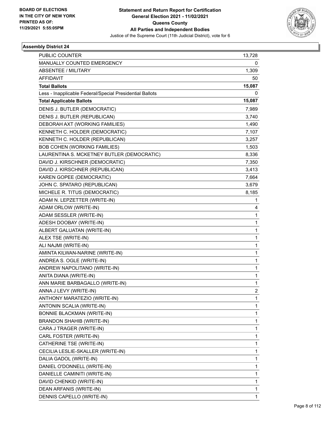

| <b>PUBLIC COUNTER</b>                                    | 13,728         |
|----------------------------------------------------------|----------------|
| MANUALLY COUNTED EMERGENCY                               | 0              |
| <b>ABSENTEE / MILITARY</b>                               | 1,309          |
| <b>AFFIDAVIT</b>                                         | 50             |
| <b>Total Ballots</b>                                     | 15,087         |
| Less - Inapplicable Federal/Special Presidential Ballots | 0              |
| <b>Total Applicable Ballots</b>                          | 15,087         |
| DENIS J. BUTLER (DEMOCRATIC)                             | 7,989          |
| DENIS J. BUTLER (REPUBLICAN)                             | 3,740          |
| DEBORAH AXT (WORKING FAMILIES)                           | 1,490          |
| KENNETH C. HOLDER (DEMOCRATIC)                           | 7,107          |
| KENNETH C. HOLDER (REPUBLICAN)                           | 3,257          |
| <b>BOB COHEN (WORKING FAMILIES)</b>                      | 1,503          |
| LAURENTINA S. MCKETNEY BUTLER (DEMOCRATIC)               | 8,336          |
| DAVID J. KIRSCHNER (DEMOCRATIC)                          | 7,350          |
| DAVID J. KIRSCHNER (REPUBLICAN)                          | 3,413          |
| KAREN GOPEE (DEMOCRATIC)                                 | 7,664          |
| JOHN C. SPATARO (REPUBLICAN)                             | 3,679          |
| MICHELE R. TITUS (DEMOCRATIC)                            | 8,185          |
| ADAM N. LEPZETTER (WRITE-IN)                             | 1              |
| ADAM ORLOW (WRITE-IN)                                    | 4              |
| ADAM SESSLER (WRITE-IN)                                  | $\mathbf{1}$   |
| ADESH DOOBAY (WRITE-IN)                                  | 1              |
| ALBERT GALUATAN (WRITE-IN)                               | 1              |
| ALEX TSE (WRITE-IN)                                      | 1              |
| ALI NAJMI (WRITE-IN)                                     | 1              |
| AMINTA KILWAN-NARINE (WRITE-IN)                          | 1              |
| ANDREA S. OGLE (WRITE-IN)                                | 1              |
| ANDREW NAPOLITANO (WRITE-IN)                             | 1              |
| ANITA DIANA (WRITE-IN)                                   | 1              |
| ANN MARIE BARBAGALLO (WRITE-IN)                          | 1              |
| ANNA J LEVY (WRITE-IN)                                   | $\overline{2}$ |
| ANTHONY MARATEZIO (WRITE-IN)                             | 1              |
| ANTONIN SCALIA (WRITE-IN)                                | 1              |
| <b>BONNIE BLACKMAN (WRITE-IN)</b>                        | 1              |
| <b>BRANDON SHAHIB (WRITE-IN)</b>                         | 1              |
| CARA J TRAGER (WRITE-IN)                                 | 1              |
| CARL FOSTER (WRITE-IN)                                   | 1              |
| CATHERINE TSE (WRITE-IN)                                 | 1              |
| CECILIA LESLIE-SKALLER (WRITE-IN)                        | 1              |
| DALIA GADOL (WRITE-IN)                                   | 1              |
| DANIEL O'DONNELL (WRITE-IN)                              | 1              |
| DANIELLE CAMINITI (WRITE-IN)                             | 1              |
| DAVID CHENKID (WRITE-IN)                                 | 1              |
| DEAN ARFANIS (WRITE-IN)                                  | 1              |
| DENNIS CAPELLO (WRITE-IN)                                | $\mathbf{1}$   |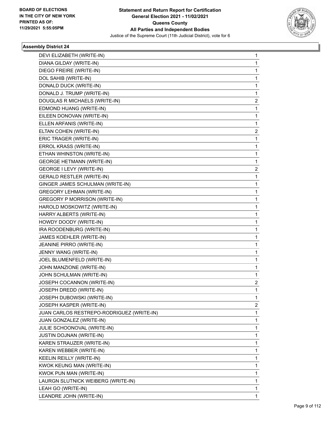

| DEVI ELIZABETH (WRITE-IN)                 | 1            |
|-------------------------------------------|--------------|
| DIANA GILDAY (WRITE-IN)                   | 1            |
| DIEGO FREIRE (WRITE-IN)                   | 1            |
| DOL SAHIB (WRITE-IN)                      | 1            |
| DONALD DUCK (WRITE-IN)                    | 1            |
| DONALD J. TRUMP (WRITE-IN)                | 1            |
| DOUGLAS R MICHAELS (WRITE-IN)             | 2            |
| EDMOND HUANG (WRITE-IN)                   | 1            |
| EILEEN DONOVAN (WRITE-IN)                 | $\mathbf{1}$ |
| ELLEN ARFANIS (WRITE-IN)                  | 1            |
| ELTAN COHEN (WRITE-IN)                    | 2            |
| ERIC TRAGER (WRITE-IN)                    | 1            |
| ERROL KRASS (WRITE-IN)                    | 1            |
| ETHAN WHINSTON (WRITE-IN)                 | 1            |
| <b>GEORGE HETMANN (WRITE-IN)</b>          | 1            |
| GEORGE I LEVY (WRITE-IN)                  | 2            |
| <b>GERALD RESTLER (WRITE-IN)</b>          | 1            |
| GINGER JAMES SCHULMAN (WRITE-IN)          | 1            |
| <b>GREGORY LEHMAN (WRITE-IN)</b>          | 1            |
| <b>GREGORY P MORRISON (WRITE-IN)</b>      | 1            |
| HAROLD MOSKOWITZ (WRITE-IN)               | 1            |
| HARRY ALBERTS (WRITE-IN)                  | 1            |
| HOWDY DOODY (WRITE-IN)                    | 1            |
| IRA ROODENBURG (WRITE-IN)                 | 1            |
| JAMES KOEHLER (WRITE-IN)                  | 1            |
| JEANINE PIRRO (WRITE-IN)                  | 1            |
| JENNY WANG (WRITE-IN)                     | 1            |
| JOEL BLUMENFELD (WRITE-IN)                | 1            |
| JOHN MANZIONE (WRITE-IN)                  | 1            |
| JOHN SCHULMAN (WRITE-IN)                  | 1            |
| JOSEPH COCANNON (WRITE-IN)                | 2            |
| JOSEPH DREDD (WRITE-IN)                   | 1            |
| JOSEPH DUBOWSKI (WRITE-IN)                | 1            |
| JOSEPH KASPER (WRITE-IN)                  | 2            |
| JUAN CARLOS RESTREPO-RODRIGUEZ (WRITE-IN) | 1            |
| JUAN GONZALEZ (WRITE-IN)                  | 1            |
| JULIE SCHOONOVAL (WRITE-IN)               | 1            |
| <b>JUSTIN DOJNAN (WRITE-IN)</b>           | 1            |
| KAREN STRAUZER (WRITE-IN)                 | 1            |
| KAREN WEBBER (WRITE-IN)                   | 1            |
| KEELIN REILLY (WRITE-IN)                  | 1            |
| KWOK KEUNG MAN (WRITE-IN)                 | 1            |
| KWOK PUN MAN (WRITE-IN)                   | 1            |
| LAURGN SLUTNICK WEIBERG (WRITE-IN)        | 1            |
| LEAH GO (WRITE-IN)                        | 1            |
| LEANDRE JOHN (WRITE-IN)                   | 1            |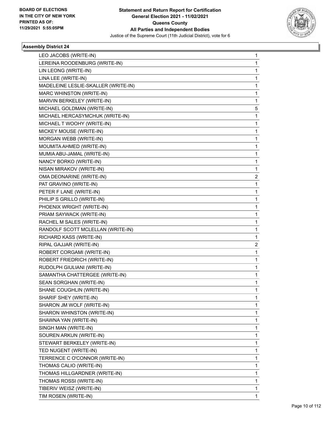

| LEO JACOBS (WRITE-IN)               | 1 |
|-------------------------------------|---|
| LEREINA ROODENBURG (WRITE-IN)       | 1 |
| LIN LEONG (WRITE-IN)                | 1 |
| LINA LEE (WRITE-IN)                 | 1 |
| MADELEINE LESLIE-SKALLER (WRITE-IN) | 1 |
| MARC WHINSTON (WRITE-IN)            | 1 |
| MARVIN BERKELEY (WRITE-IN)          | 1 |
| MICHAEL GOLDMAN (WRITE-IN)          | 5 |
| MICHAEL HERCASYMCHUK (WRITE-IN)     | 1 |
| MICHAEL T WOOHY (WRITE-IN)          | 1 |
| MICKEY MOUSE (WRITE-IN)             | 1 |
| MORGAN WEBB (WRITE-IN)              | 1 |
| MOUMITA AHMED (WRITE-IN)            | 1 |
| MUMIA ABU-JAMAL (WRITE-IN)          | 1 |
| NANCY BORKO (WRITE-IN)              | 1 |
| NISAN MIRAKOV (WRITE-IN)            | 1 |
| OMA DEONARINE (WRITE-IN)            | 2 |
| PAT GRAVINO (WRITE-IN)              | 1 |
| PETER F LANE (WRITE-IN)             | 1 |
| PHILIP S GRILLO (WRITE-IN)          | 1 |
| PHOENIX WRIGHT (WRITE-IN)           | 1 |
| PRIAM SAYWACK (WRITE-IN)            | 1 |
| RACHEL M SALES (WRITE-IN)           | 1 |
| RANDOLF SCOTT MCLELLAN (WRITE-IN)   | 1 |
| RICHARD KASS (WRITE-IN)             | 1 |
| RIPAL GAJJAR (WRITE-IN)             | 2 |
| ROBERT CORGAMI (WRITE-IN)           | 1 |
| ROBERT FRIEDRICH (WRITE-IN)         | 1 |
| RUDOLPH GIULIANI (WRITE-IN)         | 1 |
| SAMANTHA CHATTERGEE (WRITE-IN)      | 1 |
| SEAN SORGHAN (WRITE-IN)             | 1 |
| SHANE COUGHLIN (WRITE-IN)           | 1 |
| SHARIF SHEY (WRITE-IN)              | 1 |
| SHARON JM WOLF (WRITE-IN)           | 1 |
| SHARON WHINSTON (WRITE-IN)          | 1 |
| SHAWNA YAN (WRITE-IN)               | 1 |
| SINGH MAN (WRITE-IN)                | 1 |
| SOUREN ARKUN (WRITE-IN)             | 1 |
| STEWART BERKELEY (WRITE-IN)         | 1 |
| TED NUGENT (WRITE-IN)               | 1 |
| TERRENCE C O'CONNOR (WRITE-IN)      | 1 |
| THOMAS CALIO (WRITE-IN)             | 1 |
| THOMAS HILLGARDNER (WRITE-IN)       | 1 |
| THOMAS ROSSI (WRITE-IN)             | 1 |
| TIBERIV WEISZ (WRITE-IN)            | 1 |
| TIM ROSEN (WRITE-IN)                | 1 |
|                                     |   |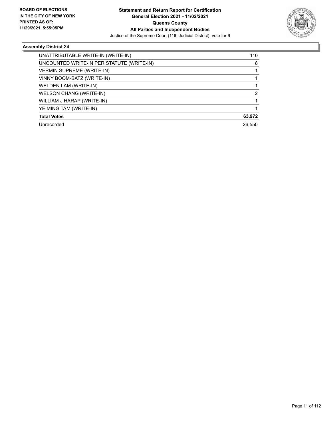

| UNATTRIBUTABLE WRITE-IN (WRITE-IN)        | 110    |
|-------------------------------------------|--------|
| UNCOUNTED WRITE-IN PER STATUTE (WRITE-IN) | 8      |
| <b>VERMIN SUPREME (WRITE-IN)</b>          |        |
| VINNY BOOM-BATZ (WRITE-IN)                |        |
| WELDEN LAM (WRITE-IN)                     |        |
| <b>WELSON CHANG (WRITE-IN)</b>            | 2      |
| WILLIAM J HARAP (WRITE-IN)                |        |
| YE MING TAM (WRITE-IN)                    |        |
| <b>Total Votes</b>                        | 63,972 |
| Unrecorded                                | 26,550 |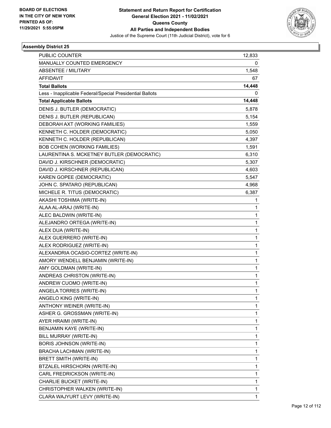

| <b>PUBLIC COUNTER</b>                                    | 12,833       |
|----------------------------------------------------------|--------------|
| MANUALLY COUNTED EMERGENCY                               | 0            |
| <b>ABSENTEE / MILITARY</b>                               | 1,548        |
| <b>AFFIDAVIT</b>                                         | 67           |
| <b>Total Ballots</b>                                     | 14,448       |
| Less - Inapplicable Federal/Special Presidential Ballots | 0            |
| <b>Total Applicable Ballots</b>                          | 14,448       |
| DENIS J. BUTLER (DEMOCRATIC)                             | 5,878        |
| DENIS J. BUTLER (REPUBLICAN)                             | 5,154        |
| DEBORAH AXT (WORKING FAMILIES)                           | 1,559        |
| KENNETH C. HOLDER (DEMOCRATIC)                           | 5,050        |
| KENNETH C. HOLDER (REPUBLICAN)                           | 4,397        |
| <b>BOB COHEN (WORKING FAMILIES)</b>                      | 1,591        |
| LAURENTINA S. MCKETNEY BUTLER (DEMOCRATIC)               | 6,310        |
| DAVID J. KIRSCHNER (DEMOCRATIC)                          | 5,307        |
| DAVID J. KIRSCHNER (REPUBLICAN)                          | 4,603        |
| KAREN GOPEE (DEMOCRATIC)                                 | 5,547        |
| JOHN C. SPATARO (REPUBLICAN)                             | 4,968        |
| MICHELE R. TITUS (DEMOCRATIC)                            | 6,387        |
| AKASHI TOSHIMA (WRITE-IN)                                | 1            |
| ALAA AL-ARAJ (WRITE-IN)                                  | 1            |
| ALEC BALDWIN (WRITE-IN)                                  | 1            |
| ALEJANDRO ORTEGA (WRITE-IN)                              | $\mathbf{1}$ |
| ALEX DUA (WRITE-IN)                                      | 1            |
| ALEX GUERRERO (WRITE-IN)                                 | $\mathbf{1}$ |
| ALEX RODRIGUEZ (WRITE-IN)                                | $\mathbf{1}$ |
| ALEXANDRIA OCASIO-CORTEZ (WRITE-IN)                      | 1            |
| AMORY WENDELL BENJAMIN (WRITE-IN)                        | 1            |
| AMY GOLDMAN (WRITE-IN)                                   | $\mathbf{1}$ |
| ANDREAS CHRISTON (WRITE-IN)                              | 1            |
| ANDREW CUOMO (WRITE-IN)                                  | 1            |
| ANGELA TORRES (WRITE-IN)                                 | 1            |
| ANGELO KING (WRITE-IN)                                   | 1            |
| ANTHONY WEINER (WRITE-IN)                                | 1            |
| ASHER G. GROSSMAN (WRITE-IN)                             | 1            |
| AYER HRAIMI (WRITE-IN)                                   | 1            |
| BENJAMIN KAYE (WRITE-IN)                                 | 1            |
| BILL MURRAY (WRITE-IN)                                   | 1            |
| <b>BORIS JOHNSON (WRITE-IN)</b>                          | 1            |
| BRACHA LACHMAN (WRITE-IN)                                | 1            |
| BRETT SMITH (WRITE-IN)                                   | 1            |
| BTZALEL HIRSCHORN (WRITE-IN)                             | 1            |
| CARL FREDRICKSON (WRITE-IN)                              | 1            |
| CHARLIE BUCKET (WRITE-IN)                                | 1            |
| CHRISTOPHER WALKEN (WRITE-IN)                            | 1            |
| CLARA WAJYURT LEVY (WRITE-IN)                            | $\mathbf{1}$ |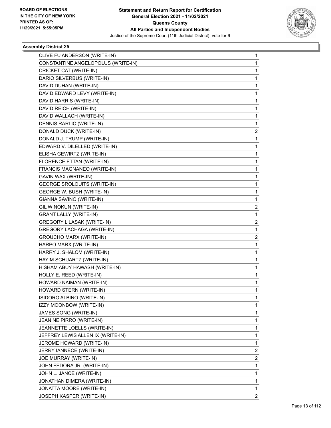

| CLIVE FU ANDERSON (WRITE-IN)       | 1                     |
|------------------------------------|-----------------------|
| CONSTANTINE ANGELOPOLUS (WRITE-IN) | 1                     |
| CRICKET CAT (WRITE-IN)             | 1                     |
| DARIO SILVERBUS (WRITE-IN)         | 1                     |
| DAVID DUHAN (WRITE-IN)             | 1                     |
| DAVID EDWARD LEVY (WRITE-IN)       | 1                     |
| DAVID HARRIS (WRITE-IN)            | 1                     |
| DAVID REICH (WRITE-IN)             | 1                     |
| DAVID WALLACH (WRITE-IN)           | 1                     |
| DENNIS RARLIC (WRITE-IN)           | 1                     |
| DONALD DUCK (WRITE-IN)             | 2                     |
| DONALD J. TRUMP (WRITE-IN)         | 1                     |
| EDWARD V. DILELLED (WRITE-IN)      | 1                     |
| ELISHA GEWIRTZ (WRITE-IN)          | 1                     |
| FLORENCE ETTAN (WRITE-IN)          | 1                     |
| FRANCIS MAGNANEO (WRITE-IN)        | 1                     |
| GAVIN WAX (WRITE-IN)               | 1                     |
| <b>GEORGE SROLOUITS (WRITE-IN)</b> | 1                     |
| GEORGE W. BUSH (WRITE-IN)          | 1                     |
| GIANNA SAVINO (WRITE-IN)           | 1                     |
| GIL WINOKUN (WRITE-IN)             | 2                     |
| <b>GRANT LALLY (WRITE-IN)</b>      | 1                     |
| GREGORY L LASAK (WRITE-IN)         | 2                     |
| <b>GREGORY LACHAGA (WRITE-IN)</b>  | 1                     |
| GROUCHO MARX (WRITE-IN)            | $\overline{2}$        |
| HARPO MARX (WRITE-IN)              | 1                     |
| HARRY J. SHALOM (WRITE-IN)         | 1                     |
| HAYIM SCHUARTZ (WRITE-IN)          | 1                     |
| HISHAM ABUY HAWASH (WRITE-IN)      | 1                     |
| HOLLY E. REED (WRITE-IN)           | 1                     |
| HOWARD NAIMAN (WRITE-IN)           | 1                     |
| HOWARD STERN (WRITE-IN)            | 1                     |
| ISIDORO ALBINO (WRITE-IN)          | 1                     |
| IZZY MOONBOW (WRITE-IN)            | 1                     |
| JAMES SONG (WRITE-IN)              | 1                     |
| JEANINE PIRRO (WRITE-IN)           | 1                     |
| JEANNETTE LOELLS (WRITE-IN)        | 1                     |
| JEFFREY LEWIS ALLEN IX (WRITE-IN)  | 1                     |
| JEROME HOWARD (WRITE-IN)           | 1                     |
| JERRY IANNECE (WRITE-IN)           | $\overline{2}$        |
| JOE MURRAY (WRITE-IN)              | 2                     |
| JOHN FEDORA JR. (WRITE-IN)         | 1                     |
| JOHN L. JANCE (WRITE-IN)           | 1                     |
| JONATHAN DIMERA (WRITE-IN)         | 1                     |
| JONATTA MOORE (WRITE-IN)           | 1                     |
| JOSEPH KASPER (WRITE-IN)           | $\mathbf{2}^{\prime}$ |
|                                    |                       |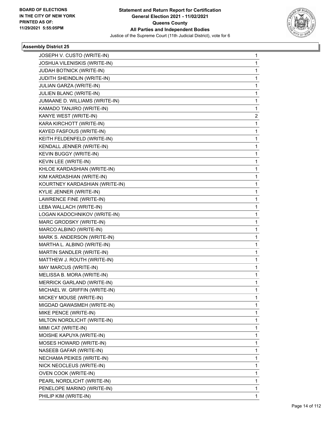

| JOSEPH V. CUSTO (WRITE-IN)     | 1            |
|--------------------------------|--------------|
| JOSHUA VILENISKIS (WRITE-IN)   | 1            |
| JUDAH BOTNICK (WRITE-IN)       | $\mathbf{1}$ |
| JUDITH SHEINDLIN (WRITE-IN)    | 1            |
| <b>JULIAN GARZA (WRITE-IN)</b> | 1            |
| JULIEN BLANC (WRITE-IN)        | 1            |
| JUMAANE D. WILLIAMS (WRITE-IN) | 1            |
| KAMADO TANJIRO (WRITE-IN)      | 1            |
| KANYE WEST (WRITE-IN)          | 2            |
| KARA KIRCHOTT (WRITE-IN)       | 1            |
| KAYED FASFOUS (WRITE-IN)       | 1            |
| KEITH FELDENFELD (WRITE-IN)    | 1            |
| KENDALL JENNER (WRITE-IN)      | 1            |
| KEVIN BUGGY (WRITE-IN)         | 1            |
| KEVIN LEE (WRITE-IN)           | $\mathbf{1}$ |
| KHLOE KARDASHIAN (WRITE-IN)    | 1            |
| KIM KARDASHIAN (WRITE-IN)      | 1            |
| KOURTNEY KARDASHIAN (WRITE-IN) | 1            |
| KYLIE JENNER (WRITE-IN)        | 1            |
| LAWRENCE FINE (WRITE-IN)       | 1            |
| LEBA WALLACH (WRITE-IN)        | $\mathbf{1}$ |
| LOGAN KADOCHNIKOV (WRITE-IN)   | 1            |
| MARC GRODSKY (WRITE-IN)        | 1            |
| MARCO ALBINO (WRITE-IN)        | 1            |
| MARK S. ANDERSON (WRITE-IN)    | 1            |
| MARTHA L. ALBINO (WRITE-IN)    | 1            |
| MARTIN SANDLER (WRITE-IN)      | $\mathbf{1}$ |
| MATTHEW J. ROUTH (WRITE-IN)    | 1            |
| MAY MARCUS (WRITE-IN)          | 1            |
| MELISSA B. MORA (WRITE-IN)     | 1            |
| MERRICK GARLAND (WRITE-IN)     | 1            |
| MICHAEL W. GRIFFIN (WRITE-IN)  | 1            |
| MICKEY MOUSE (WRITE-IN)        | 1            |
| MIGDAD QAWASMEH (WRITE-IN)     | 1            |
| MIKE PENCE (WRITE-IN)          | 1            |
| MILTON NORDLICHT (WRITE-IN)    | 1            |
| MIMI CAT (WRITE-IN)            | 1            |
| MOISHE KAPUYA (WRITE-IN)       | 1            |
| <b>MOSES HOWARD (WRITE-IN)</b> | 1            |
| NASEEB GAFAR (WRITE-IN)        | 1            |
| NECHAMA PEIKES (WRITE-IN)      | 1            |
| NICK NEOCLEUS (WRITE-IN)       | $\mathbf{1}$ |
| OVEN COOK (WRITE-IN)           | 1            |
| PEARL NORDLICHT (WRITE-IN)     | 1            |
| PENELOPE MARINO (WRITE-IN)     | 1            |
| PHILIP KIM (WRITE-IN)          | $\mathbf{1}$ |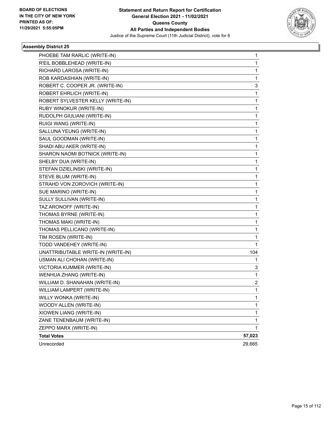

| PHOEBE TAM RARLIC (WRITE-IN)       | 1            |
|------------------------------------|--------------|
| R'EIL BOBBLEHEAD (WRITE-IN)        | 1            |
| RICHARD LAROSA (WRITE-IN)          | 1            |
| ROB KARDASHIAN (WRITE-IN)          | 1            |
| ROBERT C. COOPER JR. (WRITE-IN)    | 3            |
| ROBERT EHRLICH (WRITE-IN)          | 1            |
| ROBERT SYLVESTER KELLY (WRITE-IN)  | 1            |
| RUBY WINOKUR (WRITE-IN)            | 1            |
| RUDOLPH GIULIANI (WRITE-IN)        | 1            |
| RUIGI WANG (WRITE-IN)              | 1            |
| SALLUNA YEUNG (WRITE-IN)           | 1            |
| SAUL GOODMAN (WRITE-IN)            | 1            |
| SHADI ABU AKER (WRITE-IN)          | 1            |
| SHARON NAOMI BOTNICK (WRITE-IN)    | 1            |
| SHELBY DUA (WRITE-IN)              | 1            |
| STEFAN DZIELINSKI (WRITE-IN)       | 1            |
| STEVE BLUM (WRITE-IN)              | 1            |
| STRAHD VON ZOROVICH (WRITE-IN)     | 1            |
| SUE MARINO (WRITE-IN)              | 1            |
| SULLY SULLIVAN (WRITE-IN)          | 1            |
| TAZ ARONOFF (WRITE-IN)             | 1            |
| THOMAS BYRNE (WRITE-IN)            | 1            |
| THOMAS MAKI (WRITE-IN)             | 1            |
| THOMAS PELLICANO (WRITE-IN)        | 1            |
| TIM ROSEN (WRITE-IN)               | 1            |
| TODD VANDEHEY (WRITE-IN)           | 1            |
| UNATTRIBUTABLE WRITE-IN (WRITE-IN) | 104          |
| USMAN ALI CHOHAN (WRITE-IN)        | 1            |
| VICTORIA KUMMER (WRITE-IN)         | 3            |
| WENHUA ZHANG (WRITE-IN)            | 1            |
| WILLIAM D. SHANAHAN (WRITE-IN)     | 2            |
| WILLIAM LAMPERT (WRITE-IN)         | $\mathbf{1}$ |
| WILLY WONKA (WRITE-IN)             | 1            |
| WOODY ALLEN (WRITE-IN)             | 1            |
| XIOWEN LIANG (WRITE-IN)            | 1            |
| ZANE TENENBAUM (WRITE-IN)          | 1            |
| ZEPPO MARX (WRITE-IN)              | 1            |
| <b>Total Votes</b>                 | 57,023       |
| Unrecorded                         | 29,665       |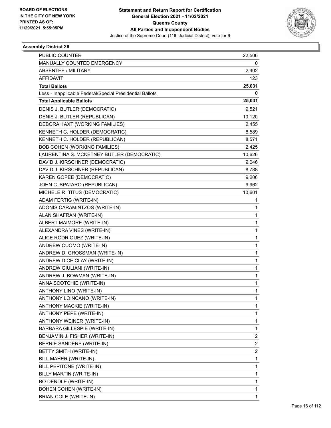

| <b>PUBLIC COUNTER</b>                                    | 22,506                  |
|----------------------------------------------------------|-------------------------|
| MANUALLY COUNTED EMERGENCY                               | 0                       |
| <b>ABSENTEE / MILITARY</b>                               | 2,402                   |
| <b>AFFIDAVIT</b>                                         | 123                     |
| <b>Total Ballots</b>                                     | 25,031                  |
| Less - Inapplicable Federal/Special Presidential Ballots | 0                       |
| <b>Total Applicable Ballots</b>                          | 25,031                  |
| DENIS J. BUTLER (DEMOCRATIC)                             | 9,521                   |
| DENIS J. BUTLER (REPUBLICAN)                             | 10,120                  |
| DEBORAH AXT (WORKING FAMILIES)                           | 2,455                   |
| KENNETH C. HOLDER (DEMOCRATIC)                           | 8,589                   |
| KENNETH C. HOLDER (REPUBLICAN)                           | 8,571                   |
| <b>BOB COHEN (WORKING FAMILIES)</b>                      | 2,425                   |
| LAURENTINA S. MCKETNEY BUTLER (DEMOCRATIC)               | 10,626                  |
| DAVID J. KIRSCHNER (DEMOCRATIC)                          | 9,046                   |
| DAVID J. KIRSCHNER (REPUBLICAN)                          | 8,788                   |
| KAREN GOPEE (DEMOCRATIC)                                 | 9,206                   |
| JOHN C. SPATARO (REPUBLICAN)                             | 9,962                   |
| MICHELE R. TITUS (DEMOCRATIC)                            | 10,601                  |
| ADAM FERTIG (WRITE-IN)                                   | 1                       |
| ADONIS CARAMINTZOS (WRITE-IN)                            | 1                       |
| ALAN SHAFRAN (WRITE-IN)                                  | 1                       |
| ALBERT MAIMORE (WRITE-IN)                                | 1                       |
| ALEXANDRA VINES (WRITE-IN)                               | 1                       |
| ALICE RODRIQUEZ (WRITE-IN)                               | 1                       |
| ANDREW CUOMO (WRITE-IN)                                  | 1                       |
| ANDREW D. GROSSMAN (WRITE-IN)                            | 1                       |
| ANDREW DICE CLAY (WRITE-IN)                              | 1                       |
| ANDREW GIULIANI (WRITE-IN)                               | 1                       |
| ANDREW J. BOWMAN (WRITE-IN)                              | 1                       |
| ANNA SCOTCHIE (WRITE-IN)                                 | 1                       |
| ANTHONY LINO (WRITE-IN)                                  | 1                       |
| ANTHONY LOINCANO (WRITE-IN)                              | 1                       |
| ANTHONY MACKIE (WRITE-IN)                                | 1                       |
| ANTHONY PEPE (WRITE-IN)                                  | 1                       |
| ANTHONY WEINER (WRITE-IN)                                | 1                       |
| BARBARA GILLESPIE (WRITE-IN)                             | 1                       |
| BENJAMIN J. FISHER (WRITE-IN)                            | 2                       |
| BERNIE SANDERS (WRITE-IN)                                | 2                       |
| BETTY SMITH (WRITE-IN)                                   | $\overline{\mathbf{c}}$ |
| BILL MAHER (WRITE-IN)                                    | 1                       |
| BILL PEPITONE (WRITE-IN)                                 | 1                       |
| BILLY MARTIN (WRITE-IN)                                  | 1                       |
| BO DENDLE (WRITE-IN)                                     | 1                       |
| BOHEN COHEN (WRITE-IN)                                   | 1                       |
| BRIAN COLE (WRITE-IN)                                    | $\mathbf{1}$            |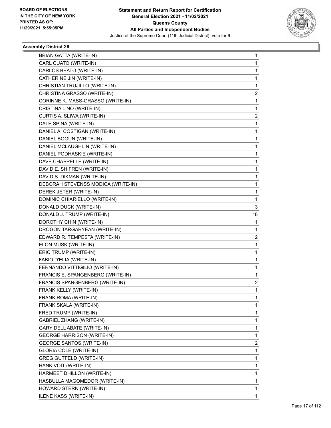

| <b>BRIAN GATTA (WRITE-IN)</b>      | 1                       |
|------------------------------------|-------------------------|
| CARL CUATO (WRITE-IN)              | 1                       |
| CARLOS BEATO (WRITE-IN)            | 1                       |
| CATHERINE JIN (WRITE-IN)           | 1                       |
| CHRISTIAN TRUJILLO (WRITE-IN)      | 1                       |
| CHRISTINA GRASSO (WRITE-IN)        | 2                       |
| CORINNE K. MASS-GRASSO (WRITE-IN)  | 1                       |
| CRISTINA LINO (WRITE-IN)           | 1                       |
| CURTIS A. SLIWA (WRITE-IN)         | $\overline{\mathbf{c}}$ |
| DALE SPINA (WRITE-IN)              | 1                       |
| DANIEL A. COSTIGAN (WRITE-IN)      | 1                       |
| DANIEL BOGUN (WRITE-IN)            | 1                       |
| DANIEL MCLAUGHLIN (WRITE-IN)       | 1                       |
| DANIEL PODHASKIE (WRITE-IN)        | 1                       |
| DAVE CHAPPELLE (WRITE-IN)          | 1                       |
| DAVID E. SHIFREN (WRITE-IN)        | 1                       |
| DAVID S. DIKMAN (WRITE-IN)         | 1                       |
| DEBORAH STEVENSS MODICA (WRITE-IN) | 1                       |
| DEREK JETER (WRITE-IN)             | 1                       |
| DOMINIC CHIARIELLO (WRITE-IN)      | 1                       |
| DONALD DUCK (WRITE-IN)             | 3                       |
| DONALD J. TRUMP (WRITE-IN)         | 18                      |
| DOROTHY CHIN (WRITE-IN)            | 1                       |
| DROGON TARGARYEAN (WRITE-IN)       | 1                       |
| EDWARD R. TEMPESTA (WRITE-IN)      | 2                       |
| ELON MUSK (WRITE-IN)               | 1                       |
| ERIC TRUMP (WRITE-IN)              | 1                       |
| FABIO D'ELIA (WRITE-IN)            | 1                       |
| FERNANDO VITTIGILIO (WRITE-IN)     | 1                       |
| FRANCIS E. SPANGENBERG (WRITE-IN)  | 1                       |
| FRANCIS SPANGENBERG (WRITE-IN)     | 2                       |
| FRANK KELLY (WRITE-IN)             | 1                       |
| FRANK ROMA (WRITE-IN)              | 1                       |
| FRANK SKALA (WRITE-IN)             | 1                       |
| FRED TRUMP (WRITE-IN)              | 1                       |
| <b>GABRIEL ZHANG (WRITE-IN)</b>    | 1                       |
| <b>GARY DELL ABATE (WRITE-IN)</b>  | 1                       |
| <b>GEORGE HARRISON (WRITE-IN)</b>  | 1                       |
| <b>GEORGE SANTOS (WRITE-IN)</b>    | 2                       |
| <b>GLORIA COLE (WRITE-IN)</b>      | 1                       |
| <b>GREG GUTFELD (WRITE-IN)</b>     | 1                       |
| HANK VOIT (WRITE-IN)               | 1                       |
| HARMEET DHILLON (WRITE-IN)         | 1                       |
| HASBULLA MAGOMEDOR (WRITE-IN)      | 1                       |
| HOWARD STERN (WRITE-IN)            | 1                       |
| ILENE KASS (WRITE-IN)              | 1                       |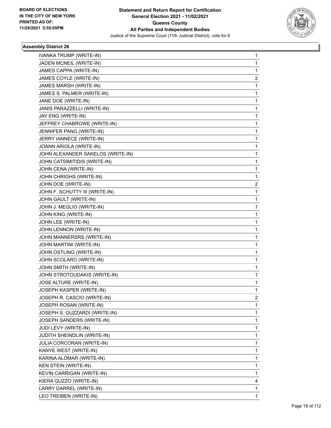

| IVANKA TRUMP (WRITE-IN)           | 1              |
|-----------------------------------|----------------|
| JADEN MCNEIL (WRITE-IN)           | 1              |
| JAMES CAPPA (WRITE-IN)            | 1              |
| JAMES COYLE (WRITE-IN)            | $\overline{2}$ |
| JAMES MARSH (WRITE-IN)            | 1              |
| JAMES S. PALMER (WRITE-IN)        | 1              |
| JANE DOE (WRITE-IN)               | 1              |
| JANIS PARAZZELLI (WRITE-IN)       | 1              |
| JAY ENG (WRITE-IN)                | 1              |
| JEFFREY CHABROWE (WRITE-IN)       | 1              |
| JENNIFER PANG (WRITE-IN)          | 1              |
| JERRY IANNECE (WRITE-IN)          | 1              |
| JOANN ARIOLA (WRITE-IN)           | 1              |
| JOHN ALEXANDER SAKELOS (WRITE-IN) | 1              |
| JOHN CATSIMITIDIS (WRITE-IN)      | 1              |
| JOHN CENA (WRITE-IN)              | 1              |
| JOHN CHRIGHS (WRITE-IN)           | 1              |
| JOHN DOE (WRITE-IN)               | 2              |
| JOHN F. SCHUTTY III (WRITE-IN)    | 1              |
| JOHN GAULT (WRITE-IN)             | 1              |
| JOHN J. MEGLIO (WRITE-IN)         | 1              |
| JOHN KING (WRITE-IN)              | 1              |
| JOHN LEE (WRITE-IN)               | 1              |
| JOHN LENNON (WRITE-IN)            | 1              |
| JOHN MANNERSRS (WRITE-IN)         | 1              |
| JOHN MARTINI (WRITE-IN)           | 1              |
| JOHN OSTLING (WRITE-IN)           | 1              |
| JOHN SCOLARO (WRITE-IN)           | 1              |
| JOHN SMITH (WRITE-IN)             | 1              |
| JOHN STROTOUDAKIS (WRITE-IN)      | 1              |
| JOSE ALTURE (WRITE-IN)            | 1              |
| JOSEPH KASPER (WRITE-IN)          | 1              |
| JOSEPH R. CASCIO (WRITE-IN)       | 2              |
| JOSEPH ROSAN (WRITE-IN)           | 1              |
| JOSEPH S. GUZZARDI (WRITE-IN)     | 1              |
| JOSEPH SANDERS (WRITE-IN)         | 1              |
| JUDI LEVY (WRITE-IN)              | 1              |
| JUDITH SHEINDLIN (WRITE-IN)       | 1              |
| <b>JULIA CORCORAN (WRITE-IN)</b>  | 1              |
| KANYE WEST (WRITE-IN)             | 1              |
| KARINA ALOMAR (WRITE-IN)          | 1              |
| KEN STEIN (WRITE-IN)              | 1              |
| KEVIN CARRIGAN (WRITE-IN)         | 1              |
| KIERA GUZZO (WRITE-IN)            | 4              |
| LARRY DARREL (WRITE-IN)           | 1              |
| LEO TREIBEN (WRITE-IN)            | 1              |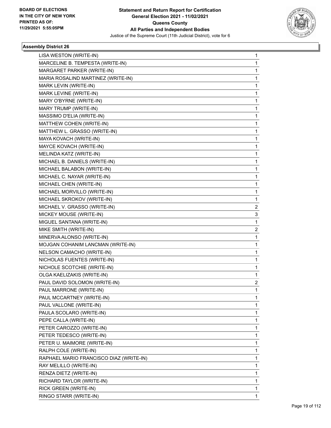

| LISA WESTON (WRITE-IN)                  | 1                       |
|-----------------------------------------|-------------------------|
| MARCELINE B. TEMPESTA (WRITE-IN)        | 1                       |
| MARGARET PARKER (WRITE-IN)              | 1                       |
| MARIA ROSALIND MARTINEZ (WRITE-IN)      | 1                       |
| MARK LEVIN (WRITE-IN)                   | 1                       |
| MARK LEVINE (WRITE-IN)                  | 1                       |
| MARY O'BYRNE (WRITE-IN)                 | 1                       |
| MARY TRUMP (WRITE-IN)                   | 1                       |
| MASSIMO D'ELIA (WRITE-IN)               | 1                       |
| MATTHEW COHEN (WRITE-IN)                | 1                       |
| MATTHEW L. GRASSO (WRITE-IN)            | 1                       |
| MAYA KOVACH (WRITE-IN)                  | 1                       |
| MAYCE KOVACH (WRITE-IN)                 | 1                       |
| MELINDA KATZ (WRITE-IN)                 | 1                       |
| MICHAEL B. DANIELS (WRITE-IN)           | 1                       |
| MICHAEL BALABON (WRITE-IN)              | 1                       |
| MICHAEL C. NAYAR (WRITE-IN)             | 1                       |
| MICHAEL CHEN (WRITE-IN)                 | 1                       |
| MICHAEL MORVILLO (WRITE-IN)             | 1                       |
| MICHAEL SKROKOV (WRITE-IN)              | 1                       |
| MICHAEL V. GRASSO (WRITE-IN)            | $\overline{\mathbf{c}}$ |
| MICKEY MOUSE (WRITE-IN)                 | 3                       |
| MIGUEL SANTANA (WRITE-IN)               | 1                       |
| MIKE SMITH (WRITE-IN)                   | 2                       |
| MINERVA ALONSO (WRITE-IN)               | 1                       |
| MOJGAN COHANIM LANCMAN (WRITE-IN)       | 1                       |
| NELSON CAMACHO (WRITE-IN)               | 1                       |
| NICHOLAS FUENTES (WRITE-IN)             | 1                       |
| NICHOLE SCOTCHIE (WRITE-IN)             | 1                       |
| OLGA KAELIZAKIS (WRITE-IN)              | 1                       |
| PAUL DAVID SOLOMON (WRITE-IN)           | 2                       |
| PAUL MARRONE (WRITE-IN)                 | 1                       |
| PAUL MCCARTNEY (WRITE-IN)               | 1                       |
| PAUL VALLONE (WRITE-IN)                 | 1                       |
| PAULA SCOLARO (WRITE-IN)                | 1                       |
| PEPE CALLA (WRITE-IN)                   | 1                       |
| PETER CAROZZO (WRITE-IN)                | 1                       |
| PETER TEDESCO (WRITE-IN)                | 1                       |
| PETER U. MAIMORE (WRITE-IN)             | 1                       |
| RALPH COLE (WRITE-IN)                   | 1                       |
| RAPHAEL MARIO FRANCISCO DIAZ (WRITE-IN) | 1                       |
| RAY MELILLO (WRITE-IN)                  | 1                       |
| RENZA DIETZ (WRITE-IN)                  | 1                       |
| RICHARD TAYLOR (WRITE-IN)               | 1                       |
| RICK GREEN (WRITE-IN)                   | 1                       |
| RINGO STARR (WRITE-IN)                  | 1                       |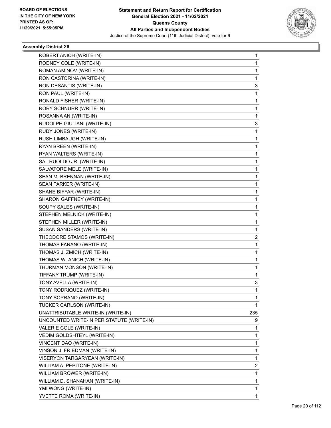

| ROBERT ANICH (WRITE-IN)                   | 1                       |
|-------------------------------------------|-------------------------|
| RODNEY COLE (WRITE-IN)                    | 1                       |
| ROMAN AMINOV (WRITE-IN)                   | 1                       |
| RON CASTORINA (WRITE-IN)                  | 1                       |
| RON DESANTIS (WRITE-IN)                   | 3                       |
| RON PAUL (WRITE-IN)                       | 1                       |
| RONALD FISHER (WRITE-IN)                  | 1                       |
| RORY SCHNURR (WRITE-IN)                   | 1                       |
| ROSANNA AN (WRITE-IN)                     | 1                       |
| RUDOLPH GIULIANI (WRITE-IN)               | 3                       |
| RUDY JONES (WRITE-IN)                     | 1                       |
| RUSH LIMBAUGH (WRITE-IN)                  | 1                       |
| RYAN BREEN (WRITE-IN)                     | 1                       |
| RYAN WALTERS (WRITE-IN)                   | 1                       |
| SAL RUOLDO JR. (WRITE-IN)                 | 1                       |
| SALVATORE MELE (WRITE-IN)                 | 1                       |
| SEAN M. BRENNAN (WRITE-IN)                | 1                       |
| SEAN PARKER (WRITE-IN)                    | 1                       |
| SHANE BIFFAR (WRITE-IN)                   | 1                       |
| SHARON GAFFNEY (WRITE-IN)                 | 1                       |
| SOUPY SALES (WRITE-IN)                    | 1                       |
| STEPHEN MELNICK (WRITE-IN)                | 1                       |
| STEPHEN MILLER (WRITE-IN)                 | 1                       |
| SUSAN SANDERS (WRITE-IN)                  | 1                       |
| THEODORE STAMOS (WRITE-IN)                | 2                       |
| THOMAS FANANO (WRITE-IN)                  | 1                       |
| THOMAS J. ZMICH (WRITE-IN)                | 1                       |
| THOMAS W. ANICH (WRITE-IN)                | 1                       |
| THURMAN MONSON (WRITE-IN)                 | 1                       |
| TIFFANY TRUMP (WRITE-IN)                  | 1                       |
| TONY AVELLA (WRITE-IN)                    | 3                       |
| TONY RODRIQUEZ (WRITE-IN)                 | 1                       |
| TONY SOPRANO (WRITE-IN)                   | 1                       |
| TUCKER CARLSON (WRITE-IN)                 | 1                       |
| UNATTRIBUTABLE WRITE-IN (WRITE-IN)        | 235                     |
| UNCOUNTED WRITE-IN PER STATUTE (WRITE-IN) | 9                       |
| VALERIE COLE (WRITE-IN)                   | 1                       |
| VEDIM GOLDSHTEYL (WRITE-IN)               | 1                       |
| VINCENT DAO (WRITE-IN)                    | 1                       |
| VINSON J. FRIEDMAN (WRITE-IN)             | 1                       |
| VISERYON TARGARYEAN (WRITE-IN)            | 1                       |
| WILLIAM A. PEPITONE (WRITE-IN)            | $\overline{\mathbf{c}}$ |
| WILLIAM BROWER (WRITE-IN)                 | 1                       |
| WILLIAM D. SHANAHAN (WRITE-IN)            | 1                       |
| YMI WONG (WRITE-IN)                       | 1                       |
| YVETTE ROMA (WRITE-IN)                    | 1                       |
|                                           |                         |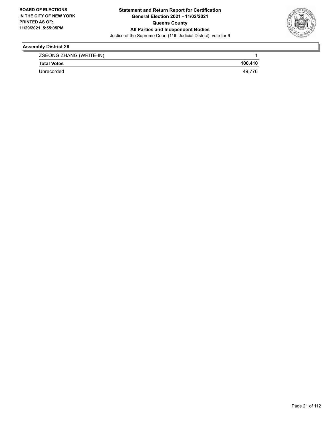

| ZSEONG ZHANG (WRITE-IN) |         |
|-------------------------|---------|
| <b>Total Votes</b>      | 100.410 |
| Unrecorded              | 40      |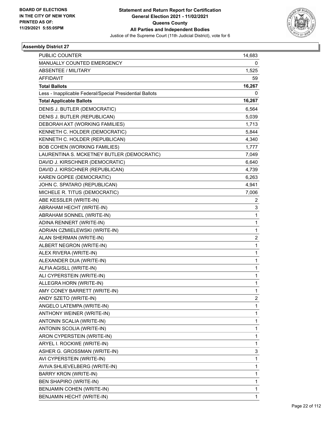

| PUBLIC COUNTER                                           | 14,683         |
|----------------------------------------------------------|----------------|
| MANUALLY COUNTED EMERGENCY                               | 0              |
| <b>ABSENTEE / MILITARY</b>                               | 1,525          |
| <b>AFFIDAVIT</b>                                         | 59             |
| <b>Total Ballots</b>                                     | 16,267         |
| Less - Inapplicable Federal/Special Presidential Ballots | 0              |
| <b>Total Applicable Ballots</b>                          | 16,267         |
| DENIS J. BUTLER (DEMOCRATIC)                             | 6,564          |
| DENIS J. BUTLER (REPUBLICAN)                             | 5,039          |
| DEBORAH AXT (WORKING FAMILIES)                           | 1,713          |
| KENNETH C. HOLDER (DEMOCRATIC)                           | 5,844          |
| KENNETH C. HOLDER (REPUBLICAN)                           | 4,340          |
| <b>BOB COHEN (WORKING FAMILIES)</b>                      | 1,777          |
| LAURENTINA S. MCKETNEY BUTLER (DEMOCRATIC)               | 7,049          |
| DAVID J. KIRSCHNER (DEMOCRATIC)                          | 6,640          |
| DAVID J. KIRSCHNER (REPUBLICAN)                          | 4,739          |
| KAREN GOPEE (DEMOCRATIC)                                 | 6,263          |
| JOHN C. SPATARO (REPUBLICAN)                             | 4,941          |
| MICHELE R. TITUS (DEMOCRATIC)                            | 7,006          |
| ABE KESSLER (WRITE-IN)                                   | 2              |
| ABRAHAM HECHT (WRITE-IN)                                 | 3              |
| ABRAHAM SONNEL (WRITE-IN)                                | 1              |
| ADINA RENNERT (WRITE-IN)                                 | 1              |
| ADRIAN CZMIELEWSKI (WRITE-IN)                            | 1              |
| ALAN SHERMAN (WRITE-IN)                                  | $\overline{c}$ |
| ALBERT NEGRON (WRITE-IN)                                 | 1              |
| ALEX RIVERA (WRITE-IN)                                   | 1              |
| ALEXANDER DUA (WRITE-IN)                                 | 1              |
| ALFIA AGISLL (WRITE-IN)                                  | 1              |
| ALI CYPERSTEIN (WRITE-IN)                                | 1              |
| ALLEGRA HORN (WRITE-IN)                                  | 1              |
| AMY CONEY BARRETT (WRITE-IN)                             | 1              |
| ANDY SZETO (WRITE-IN)                                    | 2              |
| ANGELO LATEMPA (WRITE-IN)                                | 1              |
| ANTHONY WEINER (WRITE-IN)                                | 1              |
| ANTONIN SCALIA (WRITE-IN)                                | 1              |
| ANTONIN SCOLIA (WRITE-IN)                                | 1              |
| ARON CYPERSTEIN (WRITE-IN)                               | 1              |
| ARYEL I. ROCKWE (WRITE-IN)                               | 1              |
| ASHER G. GROSSMAN (WRITE-IN)                             | 3              |
| AVI CYPERSTEIN (WRITE-IN)                                | 1              |
| AVIVA SHLIEVELBERG (WRITE-IN)                            | 1              |
| <b>BARRY KRON (WRITE-IN)</b>                             | 1              |
| <b>BEN SHAPIRO (WRITE-IN)</b>                            | 1              |
| BENJAMIN COHEN (WRITE-IN)                                | 1              |
| BENJAMIN HECHT (WRITE-IN)                                | 1              |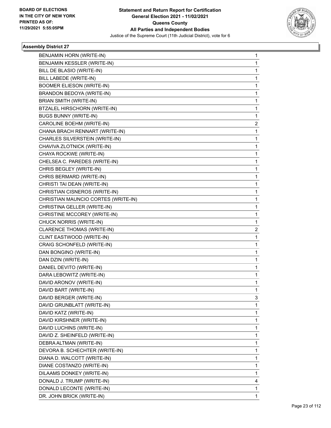

| BENJAMIN HORN (WRITE-IN)            | 1 |
|-------------------------------------|---|
| BENJAMIN KESSLER (WRITE-IN)         | 1 |
| BILL DE BLASIO (WRITE-IN)           | 1 |
| BILL LABEDE (WRITE-IN)              | 1 |
| <b>BOOMER ELIESON (WRITE-IN)</b>    | 1 |
| BRANDON BEDOYA (WRITE-IN)           | 1 |
| <b>BRIAN SMITH (WRITE-IN)</b>       | 1 |
| BTZALEL HIRSCHORN (WRITE-IN)        | 1 |
| <b>BUGS BUNNY (WRITE-IN)</b>        | 1 |
| CAROLINE BOEHM (WRITE-IN)           | 2 |
| CHANA BRACH RENNART (WRITE-IN)      | 1 |
| CHARLES SILVERSTEIN (WRITE-IN)      | 1 |
| CHAVIVA ZLOTNICK (WRITE-IN)         | 1 |
| CHAYA ROCKWE (WRITE-IN)             | 1 |
| CHELSEA C. PAREDES (WRITE-IN)       | 1 |
| CHRIS BEGLEY (WRITE-IN)             | 1 |
| CHRIS BERMARD (WRITE-IN)            | 1 |
| CHRISTI TAI DEAN (WRITE-IN)         | 1 |
| CHRISTIAN CISNEROS (WRITE-IN)       | 1 |
| CHRISTIAN MAUNCIO CORTES (WRITE-IN) | 1 |
| CHRISTINA GELLER (WRITE-IN)         | 1 |
| CHRISTINE MCCOREY (WRITE-IN)        | 1 |
| CHUCK NORRIS (WRITE-IN)             | 1 |
| CLARENCE THOMAS (WRITE-IN)          | 2 |
| CLINT EASTWOOD (WRITE-IN)           | 1 |
| CRAIG SCHONFELD (WRITE-IN)          | 1 |
| DAN BONGINO (WRITE-IN)              | 1 |
| DAN DZIN (WRITE-IN)                 | 1 |
| DANIEL DEVITO (WRITE-IN)            | 1 |
| DARA LEBOWITZ (WRITE-IN)            | 1 |
| DAVID ARONOV (WRITE-IN)             | 1 |
| DAVID BART (WRITE-IN)               | 1 |
| DAVID BERGER (WRITE-IN)             | 3 |
| DAVID GRUNBLATT (WRITE-IN)          | 1 |
| DAVID KATZ (WRITE-IN)               | 1 |
| DAVID KIRSHNER (WRITE-IN)           | 1 |
| DAVID LUCHINS (WRITE-IN)            | 1 |
| DAVID Z. SHEINFELD (WRITE-IN)       | 1 |
| DEBRA ALTMAN (WRITE-IN)             | 1 |
| DEVORA B. SCHECHTER (WRITE-IN)      | 1 |
| DIANA D. WALCOTT (WRITE-IN)         | 1 |
| DIANE COSTANZO (WRITE-IN)           | 1 |
| DILAAMS DONKEY (WRITE-IN)           | 1 |
| DONALD J. TRUMP (WRITE-IN)          | 4 |
| DONALD LECONTE (WRITE-IN)           | 1 |
| DR. JOHN BRICK (WRITE-IN)           | 1 |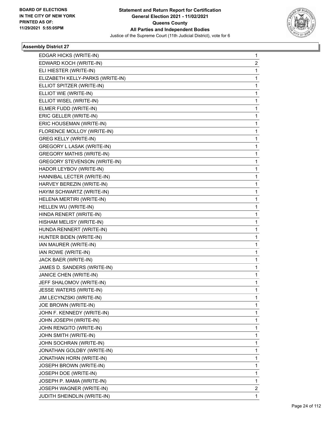

| EDGAR HICKS (WRITE-IN)              | 1            |
|-------------------------------------|--------------|
| EDWARD KOCH (WRITE-IN)              | 2            |
| ELI HIESTER (WRITE-IN)              | 1            |
| ELIZABETH KELLY-PARKS (WRITE-IN)    | 1            |
| ELLIOT SPITZER (WRITE-IN)           | 1            |
| ELLIOT WIE (WRITE-IN)               | 1            |
| ELLIOT WISEL (WRITE-IN)             | 1            |
| ELMER FUDD (WRITE-IN)               | 1            |
| ERIC GELLER (WRITE-IN)              | 1            |
| ERIC HOUSEMAN (WRITE-IN)            | 1            |
| FLORENCE MOLLOY (WRITE-IN)          | 1            |
| <b>GREG KELLY (WRITE-IN)</b>        | 1            |
| GREGORY L LASAK (WRITE-IN)          | 1            |
| <b>GREGORY MATHIS (WRITE-IN)</b>    | 1            |
| <b>GREGORY STEVENSON (WRITE-IN)</b> | 1            |
| HADOR LEYBOV (WRITE-IN)             | 1            |
| HANNIBAL LECTER (WRITE-IN)          | 1            |
| HARVEY BEREZIN (WRITE-IN)           | 1            |
| HAYIM SCHWARTZ (WRITE-IN)           | 1            |
| HELENA MERTIRI (WRITE-IN)           | 1            |
| HELLEN WU (WRITE-IN)                | 1            |
| HINDA RENERT (WRITE-IN)             | 1            |
| HISHAM MELISY (WRITE-IN)            | 1            |
| HUNDA RENNERT (WRITE-IN)            | 1            |
| HUNTER BIDEN (WRITE-IN)             | 1            |
| IAN MAURER (WRITE-IN)               | 1            |
| IAN ROWE (WRITE-IN)                 | 1            |
| JACK BAER (WRITE-IN)                | 1            |
| JAMES D. SANDERS (WRITE-IN)         | 1            |
| JANICE CHEN (WRITE-IN)              | 1            |
| JEFF SHALOMOV (WRITE-IN)            | 1            |
| JESSE WATERS (WRITE-IN)             | 1            |
| JIM LECYNZSKI (WRITE-IN)            | 1            |
| JOE BROWN (WRITE-IN)                | 1            |
| JOHN F. KENNEDY (WRITE-IN)          | 1            |
| JOHN JOSEPH (WRITE-IN)              | 1            |
| JOHN RENGITO (WRITE-IN)             | 1            |
| JOHN SMITH (WRITE-IN)               | 1            |
| JOHN SOCHRAN (WRITE-IN)             | 1            |
| JONATHAN GOLDBY (WRITE-IN)          | 1            |
| JONATHAN HORN (WRITE-IN)            | 1            |
| JOSEPH BROWN (WRITE-IN)             | 1            |
| JOSEPH DOE (WRITE-IN)               | 1            |
| JOSEPH P. MAMA (WRITE-IN)           | 1            |
| JOSEPH WAGNER (WRITE-IN)            | 2            |
| JUDITH SHEINDLIN (WRITE-IN)         | $\mathbf{1}$ |
|                                     |              |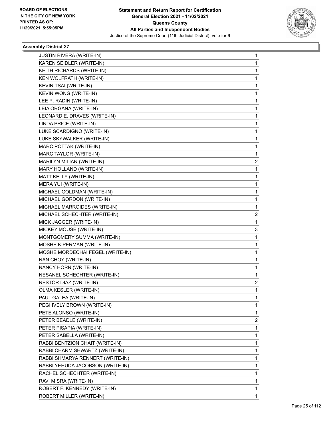

| <b>JUSTIN RIVERA (WRITE-IN)</b>  | 1              |
|----------------------------------|----------------|
| KAREN SEIDLER (WRITE-IN)         | 1              |
| KEITH RICHARDS (WRITE-IN)        | 1              |
| KEN WOLFRATH (WRITE-IN)          | 1              |
| KEVIN TSAI (WRITE-IN)            | 1              |
| KEVIN WONG (WRITE-IN)            | 1              |
| LEE P. RADIN (WRITE-IN)          | 1              |
| LEIA ORGANA (WRITE-IN)           | 1              |
| LEONARD E. DRAVES (WRITE-IN)     | 1              |
| LINDA PRICE (WRITE-IN)           | 1              |
| LUKE SCARDIGNO (WRITE-IN)        | 1              |
| LUKE SKYWALKER (WRITE-IN)        | 1              |
| MARC POTTAK (WRITE-IN)           | 1              |
| MARC TAYLOR (WRITE-IN)           | 1              |
| MARILYN MILIAN (WRITE-IN)        | 2              |
| MARY HOLLAND (WRITE-IN)          | 1              |
| MATT KELLY (WRITE-IN)            | 1              |
| MERA YUI (WRITE-IN)              | 1              |
| MICHAEL GOLDMAN (WRITE-IN)       | 1              |
| MICHAEL GORDON (WRITE-IN)        | 1              |
| MICHAEL MARROIDES (WRITE-IN)     | 1              |
| MICHAEL SCHECHTER (WRITE-IN)     | 2              |
| MICK JAGGER (WRITE-IN)           | 1              |
| MICKEY MOUSE (WRITE-IN)          | 3              |
| MONTGOMERY SUMMA (WRITE-IN)      | 1              |
| MOSHE KIPERMAN (WRITE-IN)        | 1              |
| MOSHE MORDECHAI FEGEL (WRITE-IN) | 1              |
| NAN CHOY (WRITE-IN)              | 1              |
| NANCY HORN (WRITE-IN)            | 1              |
| NESANEL SCHECHTER (WRITE-IN)     | 1              |
| NESTOR DIAZ (WRITE-IN)           | $\overline{2}$ |
| OLMA KESLER (WRITE-IN)           | $\mathbf{1}$   |
| PAUL GALEA (WRITE-IN)            | 1              |
| PEGI IVELY BROWN (WRITE-IN)      | 1              |
| PETE ALONSO (WRITE-IN)           | 1              |
| PETER BEADLE (WRITE-IN)          | 2              |
| PETER PISAPIA (WRITE-IN)         | 1              |
| PETER SABELLA (WRITE-IN)         | 1              |
| RABBI BENTZION CHAIT (WRITE-IN)  | 1              |
| RABBI CHARM SHWARTZ (WRITE-IN)   | 1              |
| RABBI SHMARYA RENNERT (WRITE-IN) | 1              |
| RABBI YEHUDA JACOBSON (WRITE-IN) | 1              |
| RACHEL SCHECHTER (WRITE-IN)      | 1              |
| RAVI MISRA (WRITE-IN)            | 1              |
| ROBERT F. KENNEDY (WRITE-IN)     | 1              |
| ROBERT MILLER (WRITE-IN)         | 1              |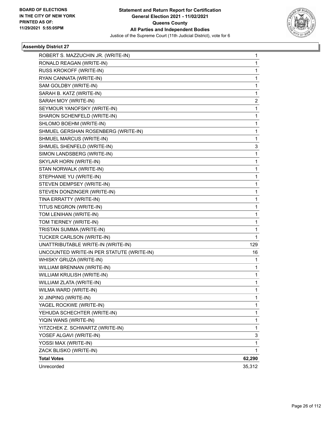

| ROBERT S. MAZZUCHIN JR. (WRITE-IN)        | 1      |
|-------------------------------------------|--------|
| RONALD REAGAN (WRITE-IN)                  | 1      |
| RUSS KROKOFF (WRITE-IN)                   | 1      |
| RYAN CANNATA (WRITE-IN)                   | 1      |
| SAM GOLDBY (WRITE-IN)                     | 1      |
| SARAH B. KATZ (WRITE-IN)                  | 1      |
| SARAH MOY (WRITE-IN)                      | 2      |
| SEYMOUR YANOFSKY (WRITE-IN)               | 1      |
| SHARON SCHENFELD (WRITE-IN)               | 1      |
| SHLOMO BOEHM (WRITE-IN)                   | 1      |
| SHMUEL GERSHAN ROSENBERG (WRITE-IN)       | 1      |
| SHMUEL MARCUS (WRITE-IN)                  | 1      |
| SHMUEL SHENFELD (WRITE-IN)                | 3      |
| SIMON LANDSBERG (WRITE-IN)                | 1      |
| SKYLAR HORN (WRITE-IN)                    | 1      |
| STAN NORWALK (WRITE-IN)                   | 1      |
| STEPHANIE YU (WRITE-IN)                   | 1      |
| STEVEN DEMPSEY (WRITE-IN)                 | 1      |
| STEVEN DONZINGER (WRITE-IN)               | 1      |
| TINA ERRATTY (WRITE-IN)                   | 1      |
| TITUS NEGRON (WRITE-IN)                   | 1      |
| TOM LENIHAN (WRITE-IN)                    | 1      |
| TOM TIERNEY (WRITE-IN)                    | 1      |
| TRISTAN SUMMA (WRITE-IN)                  | 1      |
| TUCKER CARLSON (WRITE-IN)                 | 1      |
| UNATTRIBUTABLE WRITE-IN (WRITE-IN)        | 129    |
| UNCOUNTED WRITE-IN PER STATUTE (WRITE-IN) | 16     |
| WHISKY GRUZA (WRITE-IN)                   | 1      |
| WILLIAM BRENNAN (WRITE-IN)                | 1      |
| WILLIAM KRULISH (WRITE-IN)                | 1      |
| WILLIAM ZLATA (WRITE-IN)                  | 1      |
| WILMA WARD (WRITE-IN)                     | 1      |
| XI JINPING (WRITE-IN)                     | 1      |
| YAGEL ROCKWE (WRITE-IN)                   | 1      |
| YEHUDA SCHECHTER (WRITE-IN)               | 1      |
| YIQIN WANS (WRITE-IN)                     | 1      |
| YITZCHEK Z. SCHWARTZ (WRITE-IN)           | 1      |
| YOSEF ALGAVI (WRITE-IN)                   | 3      |
| YOSSI MAX (WRITE-IN)                      | 1      |
| ZACK BLISKO (WRITE-IN)                    | 1      |
| <b>Total Votes</b>                        | 62,290 |
| Unrecorded                                | 35,312 |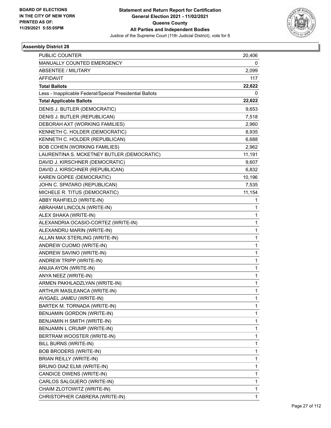

| <b>PUBLIC COUNTER</b>                                    | 20,406       |
|----------------------------------------------------------|--------------|
| MANUALLY COUNTED EMERGENCY                               | 0            |
| <b>ABSENTEE / MILITARY</b>                               | 2,099        |
| <b>AFFIDAVIT</b>                                         | 117          |
| <b>Total Ballots</b>                                     | 22,622       |
| Less - Inapplicable Federal/Special Presidential Ballots | 0            |
| <b>Total Applicable Ballots</b>                          | 22,622       |
| DENIS J. BUTLER (DEMOCRATIC)                             | 9,653        |
| DENIS J. BUTLER (REPUBLICAN)                             | 7,518        |
| DEBORAH AXT (WORKING FAMILIES)                           | 2,960        |
| KENNETH C. HOLDER (DEMOCRATIC)                           | 8,935        |
| KENNETH C. HOLDER (REPUBLICAN)                           | 6,688        |
| <b>BOB COHEN (WORKING FAMILIES)</b>                      | 2,962        |
| LAURENTINA S. MCKETNEY BUTLER (DEMOCRATIC)               | 11,191       |
| DAVID J. KIRSCHNER (DEMOCRATIC)                          | 9,607        |
| DAVID J. KIRSCHNER (REPUBLICAN)                          | 6,832        |
| KAREN GOPEE (DEMOCRATIC)                                 | 10,196       |
| JOHN C. SPATARO (REPUBLICAN)                             | 7,535        |
| MICHELE R. TITUS (DEMOCRATIC)                            | 11,154       |
| ABBY RAHFIELD (WRITE-IN)                                 | 1            |
| ABRAHAM LINCOLN (WRITE-IN)                               | 1            |
| ALEX SHAKA (WRITE-IN)                                    | 1            |
| ALEXANDRIA OCASIO-CORTEZ (WRITE-IN)                      | 1            |
| ALEXANDRU MARIN (WRITE-IN)                               | 1            |
| ALLAN MAX STERLING (WRITE-IN)                            | 1            |
| ANDREW CUOMO (WRITE-IN)                                  | 1            |
| ANDREW SAVINO (WRITE-IN)                                 | 1            |
| ANDREW TRIPP (WRITE-IN)                                  | 1            |
| ANIJIA AYON (WRITE-IN)                                   | 1            |
| ANYA NEEZ (WRITE-IN)                                     | 1            |
| ARMEN PAKHLADZLYAN (WRITE-IN)                            | 1            |
| ARTHUR MASLEANCA (WRITE-IN)                              | 1            |
| AVIGAEL JAMEU (WRITE-IN)                                 | 1            |
| BARTEK M. TORNADA (WRITE-IN)                             | 1            |
| BENJAMIN GORDON (WRITE-IN)                               | 1            |
| BENJAMIN H SMITH (WRITE-IN)                              | 1            |
| BENJAMIN L CRUMP (WRITE-IN)                              | 1            |
| BERTRAM WOOSTER (WRITE-IN)                               | 1            |
| BILL BURNS (WRITE-IN)                                    | 1            |
| <b>BOB BRODERS (WRITE-IN)</b>                            | 1            |
| BRIAN REILLY (WRITE-IN)                                  | 1            |
| BRUNO DIAZ ELMI (WRITE-IN)                               | 1            |
| CANDICE OWENS (WRITE-IN)                                 | 1            |
| CARLOS SALGUERO (WRITE-IN)                               | 1            |
| CHAIM ZLOTOWITZ (WRITE-IN)                               | 1            |
| CHRISTOPHER CABRERA (WRITE-IN)                           | $\mathbf{1}$ |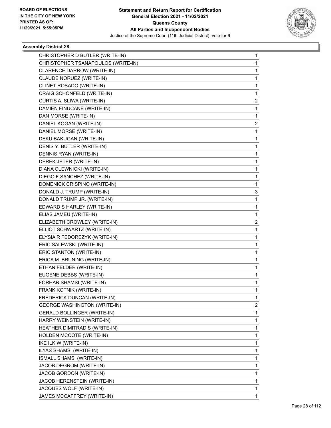

| CHRISTOPHER D BUTLER (WRITE-IN)     | 1 |
|-------------------------------------|---|
| CHRISTOPHER TSANAPOULOS (WRITE-IN)  | 1 |
| CLARENCE DARROW (WRITE-IN)          | 1 |
| CLAUDE NORUEZ (WRITE-IN)            | 1 |
| CLINET ROSADO (WRITE-IN)            | 1 |
| CRAIG SCHONFELD (WRITE-IN)          | 1 |
| CURTIS A. SLIWA (WRITE-IN)          | 2 |
| DAMIEN FINUCANE (WRITE-IN)          | 1 |
| DAN MORSE (WRITE-IN)                | 1 |
| DANIEL KOGAN (WRITE-IN)             | 2 |
| DANIEL MORSE (WRITE-IN)             | 1 |
| DEKU BAKUGAN (WRITE-IN)             | 1 |
| DENIS Y. BUTLER (WRITE-IN)          | 1 |
| DENNIS RYAN (WRITE-IN)              | 1 |
| DEREK JETER (WRITE-IN)              | 1 |
| DIANA OLEWNICKI (WRITE-IN)          | 1 |
| DIEGO F SANCHEZ (WRITE-IN)          | 1 |
| DOMENICK CRISPINO (WRITE-IN)        | 1 |
| DONALD J. TRUMP (WRITE-IN)          | 3 |
| DONALD TRUMP JR. (WRITE-IN)         | 1 |
| EDWARD S HARLEY (WRITE-IN)          | 1 |
| ELIAS JAMEU (WRITE-IN)              | 1 |
| ELIZABETH CROWLEY (WRITE-IN)        | 2 |
| ELLIOT SCHWARTZ (WRITE-IN)          | 1 |
| ELYSIA R FEDOREZYK (WRITE-IN)       | 1 |
| ERIC SALEWSKI (WRITE-IN)            | 1 |
| ERIC STANTON (WRITE-IN)             | 1 |
| ERICA M. BRUNING (WRITE-IN)         | 1 |
| ETHAN FELDER (WRITE-IN)             | 1 |
| EUGENE DEBBS (WRITE-IN)             | 1 |
| FORHAR SHAMSI (WRITE-IN)            | 1 |
| FRANK KOTNIK (WRITE-IN)             | 1 |
| FREDERICK DUNCAN (WRITE-IN)         | 1 |
| <b>GEORGE WASHINGTON (WRITE-IN)</b> | 2 |
| GERALD BOLLINGER (WRITE-IN)         | 1 |
| HARRY WEINSTEIN (WRITE-IN)          | 1 |
| HEATHER DIMITRADIS (WRITE-IN)       | 1 |
| HOLDEN MCCOTE (WRITE-IN)            | 1 |
| IKE ILKIW (WRITE-IN)                | 1 |
| ILYAS SHAMSI (WRITE-IN)             | 1 |
| ISMALL SHAMSI (WRITE-IN)            | 1 |
| JACOB DEGROM (WRITE-IN)             | 1 |
| JACOB GORDON (WRITE-IN)             | 1 |
| JACOB HERENSTEIN (WRITE-IN)         | 1 |
| JACQUES WOLF (WRITE-IN)             | 1 |
| JAMES MCCAFFREY (WRITE-IN)          | 1 |
|                                     |   |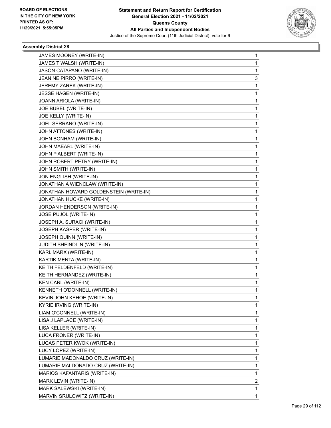

| JAMES MOONEY (WRITE-IN)                | 1 |
|----------------------------------------|---|
| JAMES T WALSH (WRITE-IN)               | 1 |
| JASON CATAPANO (WRITE-IN)              | 1 |
| JEANINE PIRRO (WRITE-IN)               | 3 |
| JEREMY ZAREK (WRITE-IN)                | 1 |
| JESSE HAGEN (WRITE-IN)                 | 1 |
| JOANN ARIOLA (WRITE-IN)                | 1 |
| JOE BUBEL (WRITE-IN)                   | 1 |
| JOE KELLY (WRITE-IN)                   | 1 |
| JOEL SERRANO (WRITE-IN)                | 1 |
| JOHN ATTONES (WRITE-IN)                | 1 |
| JOHN BONHAM (WRITE-IN)                 | 1 |
| JOHN MAEARL (WRITE-IN)                 | 1 |
| JOHN P ALBERT (WRITE-IN)               | 1 |
| JOHN ROBERT PETRY (WRITE-IN)           | 1 |
| JOHN SMITH (WRITE-IN)                  | 1 |
| JON ENGLISH (WRITE-IN)                 | 1 |
| JONATHAN A WIENCLAW (WRITE-IN)         | 1 |
| JONATHAN HOWARD GOLDENSTEIN (WRITE-IN) | 1 |
| JONATHAN HUCKE (WRITE-IN)              | 1 |
| JORDAN HENDERSON (WRITE-IN)            | 1 |
| JOSE PUJOL (WRITE-IN)                  | 1 |
| JOSEPH A. SURACI (WRITE-IN)            | 1 |
| JOSEPH KASPER (WRITE-IN)               | 1 |
| JOSEPH QUINN (WRITE-IN)                | 1 |
| JUDITH SHEINDLIN (WRITE-IN)            | 1 |
| KARL MARX (WRITE-IN)                   | 1 |
| KARTIK MENTA (WRITE-IN)                | 1 |
| KEITH FELDENFELD (WRITE-IN)            | 1 |
| KEITH HERNANDEZ (WRITE-IN)             | 1 |
| KEN CARL (WRITE-IN)                    | 1 |
| KENNETH O'DONNELL (WRITE-IN)           | 1 |
| KEVIN JOHN KEHOE (WRITE-IN)            | 1 |
| KYRIE IRVING (WRITE-IN)                | 1 |
| LIAM O'CONNELL (WRITE-IN)              | 1 |
| LISA J LAPLACE (WRITE-IN)              | 1 |
| LISA KELLER (WRITE-IN)                 | 1 |
| LUCA FRONER (WRITE-IN)                 | 1 |
| LUCAS PETER KWOK (WRITE-IN)            | 1 |
| LUCY LOPEZ (WRITE-IN)                  | 1 |
| LUMARIE MADONALDO CRUZ (WRITE-IN)      | 1 |
| LUMARIE MALDONADO CRUZ (WRITE-IN)      | 1 |
| MARIOS KAFANTARIS (WRITE-IN)           | 1 |
| MARK LEVIN (WRITE-IN)                  | 2 |
| MARK SALEWSKI (WRITE-IN)               | 1 |
| MARVIN SRULOWITZ (WRITE-IN)            | 1 |
|                                        |   |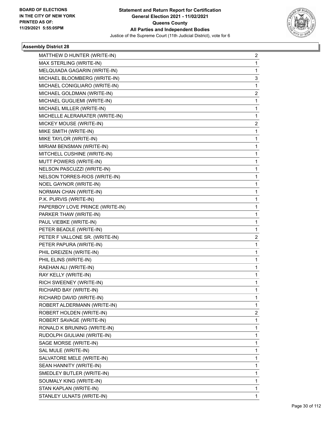

| MATTHEW D HUNTER (WRITE-IN)     | 2 |
|---------------------------------|---|
| MAX STERLING (WRITE-IN)         | 1 |
| MELQUIADA GAGARIN (WRITE-IN)    | 1 |
| MICHAEL BLOOMBERG (WRITE-IN)    | 3 |
| MICHAEL CONIGLIARO (WRITE-IN)   | 1 |
| MICHAEL GOLDMAN (WRITE-IN)      | 2 |
| MICHAEL GUGLIEMI (WRITE-IN)     | 1 |
| MICHAEL MILLER (WRITE-IN)       | 1 |
| MICHELLE ALERARATER (WRITE-IN)  | 1 |
| MICKEY MOUSE (WRITE-IN)         | 2 |
| MIKE SMITH (WRITE-IN)           | 1 |
| MIKE TAYLOR (WRITE-IN)          | 1 |
| MIRIAM BENSMAN (WRITE-IN)       | 1 |
| MITCHELL CUSHINE (WRITE-IN)     | 1 |
| MUTT POWERS (WRITE-IN)          | 1 |
| NELSON PASCUZZI (WRITE-IN)      | 1 |
| NELSON TORRES-RIOS (WRITE-IN)   | 1 |
| NOEL GAYNOR (WRITE-IN)          | 1 |
| NORMAN CHAN (WRITE-IN)          | 1 |
| P.K. PURVIS (WRITE-IN)          | 1 |
| PAPERBOY LOVE PRINCE (WRITE-IN) | 1 |
| PARKER THAW (WRITE-IN)          | 1 |
| PAUL VIEBKE (WRITE-IN)          | 1 |
| PETER BEADLE (WRITE-IN)         | 1 |
| PETER F VALLONE SR. (WRITE-IN)  | 2 |
| PETER PAPURA (WRITE-IN)         | 1 |
| PHIL DREIZEN (WRITE-IN)         | 1 |
| PHIL ELINS (WRITE-IN)           | 1 |
| RAEHAN ALI (WRITE-IN)           | 1 |
| RAY KELLY (WRITE-IN)            | 1 |
| RICH SWEENEY (WRITE-IN)         | 1 |
| RICHARD BAY (WRITE-IN)          | 1 |
| RICHARD DAVID (WRITE-IN)        | 1 |
| ROBERT ALDERMANN (WRITE-IN)     | 1 |
| ROBERT HOLDEN (WRITE-IN)        | 2 |
| ROBERT SAVAGE (WRITE-IN)        | 1 |
| RONALD K BRUNING (WRITE-IN)     | 1 |
| RUDOLPH GIULIANI (WRITE-IN)     | 1 |
| SAGE MORSE (WRITE-IN)           | 1 |
| SAL MULE (WRITE-IN)             | 1 |
| SALVATORE MELE (WRITE-IN)       | 1 |
| SEAN HANNITY (WRITE-IN)         | 1 |
| SMEDLEY BUTLER (WRITE-IN)       | 1 |
| SOUMALY KING (WRITE-IN)         | 1 |
| STAN KAPLAN (WRITE-IN)          | 1 |
| STANLEY ULNATS (WRITE-IN)       | 1 |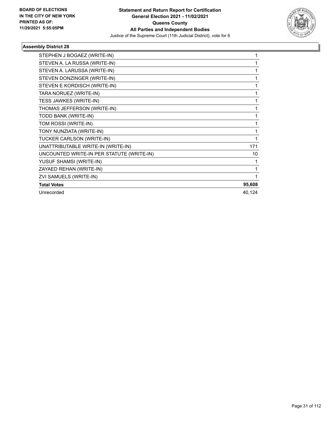

٠

| STEPHEN J BOGAEZ (WRITE-IN)               | 1      |
|-------------------------------------------|--------|
| STEVEN A. LA RUSSA (WRITE-IN)             | 1      |
| STEVEN A. LARUSSA (WRITE-IN)              | 1      |
| STEVEN DONZINGER (WRITE-IN)               | 1      |
| STEVEN E KORDISCH (WRITE-IN)              | 1      |
| TARA NORUEZ (WRITE-IN)                    |        |
| TESS JAWKES (WRITE-IN)                    |        |
| THOMAS JEFFERSON (WRITE-IN)               |        |
| TODD BANK (WRITE-IN)                      | 1      |
| TOM ROSSI (WRITE-IN)                      | 1      |
| TONY NUNZIATA (WRITE-IN)                  | 1      |
| TUCKER CARLSON (WRITE-IN)                 | 1      |
| UNATTRIBUTABLE WRITE-IN (WRITE-IN)        | 171    |
| UNCOUNTED WRITE-IN PER STATUTE (WRITE-IN) | 10     |
| YUSUF SHAMSI (WRITE-IN)                   | 1      |
| ZAYAED REHAN (WRITE-IN)                   | 1      |
| ZVI SAMUELS (WRITE-IN)                    |        |
| <b>Total Votes</b>                        | 95,608 |
| Unrecorded                                | 40,124 |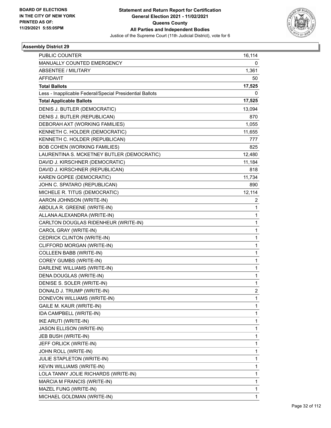

| PUBLIC COUNTER                                           | 16,114         |
|----------------------------------------------------------|----------------|
| MANUALLY COUNTED EMERGENCY                               | 0              |
| <b>ABSENTEE / MILITARY</b>                               | 1,361          |
| <b>AFFIDAVIT</b>                                         | 50             |
| <b>Total Ballots</b>                                     | 17,525         |
| Less - Inapplicable Federal/Special Presidential Ballots | 0              |
| <b>Total Applicable Ballots</b>                          | 17,525         |
| DENIS J. BUTLER (DEMOCRATIC)                             | 13,094         |
| DENIS J. BUTLER (REPUBLICAN)                             | 870            |
| DEBORAH AXT (WORKING FAMILIES)                           | 1,055          |
| KENNETH C. HOLDER (DEMOCRATIC)                           | 11,655         |
| KENNETH C. HOLDER (REPUBLICAN)                           | 777            |
| <b>BOB COHEN (WORKING FAMILIES)</b>                      | 825            |
| LAURENTINA S. MCKETNEY BUTLER (DEMOCRATIC)               | 12,480         |
| DAVID J. KIRSCHNER (DEMOCRATIC)                          | 11,184         |
| DAVID J. KIRSCHNER (REPUBLICAN)                          | 818            |
| KAREN GOPEE (DEMOCRATIC)                                 | 11,734         |
| JOHN C. SPATARO (REPUBLICAN)                             | 890            |
| MICHELE R. TITUS (DEMOCRATIC)                            | 12,114         |
| AARON JOHNSON (WRITE-IN)                                 | 2              |
| ABDULA R. GREENE (WRITE-IN)                              | 1              |
| ALLANA ALEXANDRA (WRITE-IN)                              | $\mathbf{1}$   |
| CARLTON DOUGLAS RIDENHEUR (WRITE-IN)                     | $\mathbf{1}$   |
| CAROL GRAY (WRITE-IN)                                    | 1              |
| CEDRICK CLINTON (WRITE-IN)                               | $\mathbf{1}$   |
| CLIFFORD MORGAN (WRITE-IN)                               | $\mathbf{1}$   |
| COLLEEN BABB (WRITE-IN)                                  | 1              |
| COREY GUMBS (WRITE-IN)                                   | $\mathbf{1}$   |
| DARLENE WILLIAMS (WRITE-IN)                              | $\mathbf{1}$   |
| DENA DOUGLAS (WRITE-IN)                                  | 1              |
| DENISE S. SOLER (WRITE-IN)                               | $\mathbf{1}$   |
| DONALD J. TRUMP (WRITE-IN)                               | $\overline{c}$ |
| DONEVON WILLIAMS (WRITE-IN)                              | 1              |
| GAILE M. KAUR (WRITE-IN)                                 | 1              |
| IDA CAMPBELL (WRITE-IN)                                  | $\mathbf{1}$   |
| <b>IKE ARUTI (WRITE-IN)</b>                              | 1              |
| JASON ELLISON (WRITE-IN)                                 | $\mathbf{1}$   |
| JEB BUSH (WRITE-IN)                                      | $\mathbf{1}$   |
| JEFF ORLICK (WRITE-IN)                                   | 1              |
| JOHN ROLL (WRITE-IN)                                     | $\mathbf{1}$   |
| JULIE STAPLETON (WRITE-IN)                               | $\mathbf{1}$   |
| KEVIN WILLIAMS (WRITE-IN)                                | 1              |
| LOLA TANNY JOLIE RICHARDS (WRITE-IN)                     | $\mathbf{1}$   |
| MARCIA M FRANCIS (WRITE-IN)                              | $\mathbf{1}$   |
| MAZEL FUNG (WRITE-IN)                                    | 1              |
| MICHAEL GOLDMAN (WRITE-IN)                               | $\mathbf{1}$   |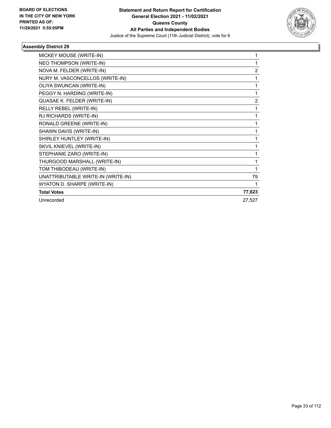

| MICKEY MOUSE (WRITE-IN)            |                |
|------------------------------------|----------------|
| NEO THOMPSON (WRITE-IN)            |                |
| NOVA M. FELDER (WRITE-IN)          | $\overline{2}$ |
| NURY M. VASCONCELLOS (WRITE-IN)    |                |
| OLIYA SWUNCAN (WRITE-IN)           | 1              |
| PEGGY N. HARDING (WRITE-IN)        |                |
| QUASAE K. FELDER (WRITE-IN)        | 2              |
| RELLY REBEL (WRITE-IN)             | 1              |
| RJ RICHARDS (WRITE-IN)             |                |
| RONALD GREENE (WRITE-IN)           | 1              |
| SHAWN DAVIS (WRITE-IN)             |                |
| SHIRLEY HUNTLEY (WRITE-IN)         |                |
| SKVIL KNIEVEL (WRITE-IN)           |                |
| STEPHANIE ZARO (WRITE-IN)          | 1              |
| THURGOOD MARSHALL (WRITE-IN)       | 1              |
| TOM THIBODEAU (WRITE-IN)           |                |
| UNATTRIBUTABLE WRITE-IN (WRITE-IN) | 79             |
| WYATON D. SHARPE (WRITE-IN)        |                |
| <b>Total Votes</b>                 | 77,623         |
| Unrecorded                         | 27,527         |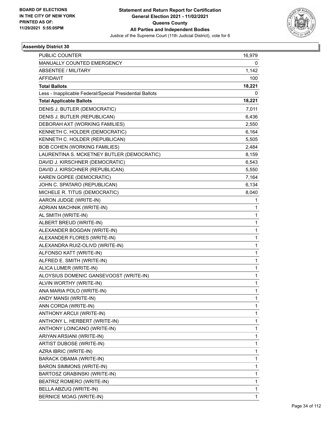

| PUBLIC COUNTER                                           | 16,979       |
|----------------------------------------------------------|--------------|
| MANUALLY COUNTED EMERGENCY                               | 0            |
| <b>ABSENTEE / MILITARY</b>                               | 1,142        |
| <b>AFFIDAVIT</b>                                         | 100          |
| <b>Total Ballots</b>                                     | 18,221       |
| Less - Inapplicable Federal/Special Presidential Ballots | 0            |
| <b>Total Applicable Ballots</b>                          | 18,221       |
| DENIS J. BUTLER (DEMOCRATIC)                             | 7,011        |
| DENIS J. BUTLER (REPUBLICAN)                             | 6,436        |
| DEBORAH AXT (WORKING FAMILIES)                           | 2,550        |
| KENNETH C. HOLDER (DEMOCRATIC)                           | 6,164        |
| KENNETH C. HOLDER (REPUBLICAN)                           | 5,505        |
| <b>BOB COHEN (WORKING FAMILIES)</b>                      | 2,484        |
| LAURENTINA S. MCKETNEY BUTLER (DEMOCRATIC)               | 8,159        |
| DAVID J. KIRSCHNER (DEMOCRATIC)                          | 6,543        |
| DAVID J. KIRSCHNER (REPUBLICAN)                          | 5,550        |
| KAREN GOPEE (DEMOCRATIC)                                 | 7,164        |
| JOHN C. SPATARO (REPUBLICAN)                             | 6,134        |
| MICHELE R. TITUS (DEMOCRATIC)                            | 8,040        |
| AARON JUDGE (WRITE-IN)                                   | 1            |
| <b>ADRIAN MACHNIK (WRITE-IN)</b>                         | 1            |
| AL SMITH (WRITE-IN)                                      | $\mathbf{1}$ |
| ALBERT BREUD (WRITE-IN)                                  | 1            |
| ALEXANDER BOGDAN (WRITE-IN)                              | 1            |
| ALEXANDER FLORES (WRITE-IN)                              | 1            |
| ALEXANDRA RUIZ-OLIVD (WRITE-IN)                          | 1            |
| ALFONSO KATT (WRITE-IN)                                  | 1            |
| ALFRED E. SMITH (WRITE-IN)                               | 1            |
| ALICA LUMER (WRITE-IN)                                   | 1            |
| ALOYSIUS DOMENIC GANSEVOOST (WRITE-IN)                   | 1            |
| ALVIN WORTHY (WRITE-IN)                                  | 1            |
| ANA MARIA POLO (WRITE-IN)                                | 1            |
| ANDY MANSI (WRITE-IN)                                    | 1            |
| ANN CORDA (WRITE-IN)                                     | 1            |
| ANTHONY ARCUI (WRITE-IN)                                 | 1            |
| ANTHONY L. HERBERT (WRITE-IN)                            | 1            |
| ANTHONY LOINCANO (WRITE-IN)                              | 1            |
| ARIYAN ARSIANI (WRITE-IN)                                | 1            |
| ARTIST DUBOSE (WRITE-IN)                                 | 1            |
| AZRA IBRIC (WRITE-IN)                                    | 1            |
| BARACK OBAMA (WRITE-IN)                                  | 1            |
| <b>BARON SIMMONS (WRITE-IN)</b>                          | 1            |
| BARTOSZ GRABINSKI (WRITE-IN)                             | 1            |
| BEATRIZ ROMERO (WRITE-IN)                                | 1            |
| BELLA ABZUQ (WRITE-IN)                                   | 1            |
| BERNICE MOAG (WRITE-IN)                                  | $\mathbf{1}$ |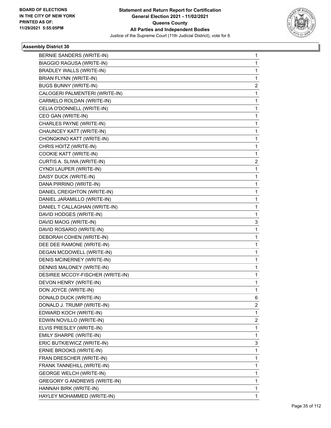

| BERNIE SANDERS (WRITE-IN)        | 1 |
|----------------------------------|---|
| BIAGGIO RAGUSA (WRITE-IN)        | 1 |
| BRADLEY WALLS (WRITE-IN)         | 1 |
| BRIAN FLYNN (WRITE-IN)           | 1 |
| <b>BUGS BUNNY (WRITE-IN)</b>     | 2 |
| CALOGERI PALMENTERI (WRITE-IN)   | 1 |
| CARMELO ROLDAN (WRITE-IN)        | 1 |
| CELIA O'DONNELL (WRITE-IN)       | 1 |
| CEO GAN (WRITE-IN)               | 1 |
| CHARLES PAYNE (WRITE-IN)         | 1 |
| CHAUNCEY KATT (WRITE-IN)         | 1 |
| CHONGKINO KATT (WRITE-IN)        | 1 |
| CHRIS HOITZ (WRITE-IN)           | 1 |
| COOKIE KATT (WRITE-IN)           | 1 |
| CURTIS A. SLIWA (WRITE-IN)       | 2 |
| CYNDI LAUPER (WRITE-IN)          | 1 |
| DAISY DUCK (WRITE-IN)            | 1 |
| DANA PIRRINO (WRITE-IN)          | 1 |
| DANIEL CREIGHTON (WRITE-IN)      | 1 |
| DANIEL JARAMILLO (WRITE-IN)      | 1 |
| DANIEL T CALLAGHAN (WRITE-IN)    | 1 |
| DAVID HODGES (WRITE-IN)          | 1 |
| DAVID MAOG (WRITE-IN)            | 3 |
| DAVID ROSARIO (WRITE-IN)         | 1 |
| DEBORAH COHEN (WRITE-IN)         | 1 |
| DEE DEE RAMONE (WRITE-IN)        | 1 |
| DEGAN MCDOWELL (WRITE-IN)        | 1 |
| DENIS MCINERNEY (WRITE-IN)       | 1 |
| DENNIS MALONEY (WRITE-IN)        | 1 |
| DESIREE MCCOY-FISCHER (WRITE-IN) | 1 |
| DEVON HENRY (WRITE-IN)           | 1 |
| DON JOYCE (WRITE-IN)             | 1 |
| DONALD DUCK (WRITE-IN)           | 6 |
| DONALD J. TRUMP (WRITE-IN)       | 2 |
| EDWARD KOCH (WRITE-IN)           | 1 |
| EDWIN NOVILLO (WRITE-IN)         | 2 |
| ELVIS PRESLEY (WRITE-IN)         | 1 |
| EMILY SHARPE (WRITE-IN)          | 1 |
| ERIC BUTKIEWICZ (WRITE-IN)       | 3 |
| ERNIE BROOKS (WRITE-IN)          | 1 |
| FRAN DRESCHER (WRITE-IN)         | 1 |
| FRANK TANNEHILL (WRITE-IN)       | 1 |
| <b>GEORGE WELCH (WRITE-IN)</b>   | 1 |
| GREGORY G ANDREWS (WRITE-IN)     | 1 |
| HANNAH BIRK (WRITE-IN)           | 1 |
| HAYLEY MOHAMMED (WRITE-IN)       | 1 |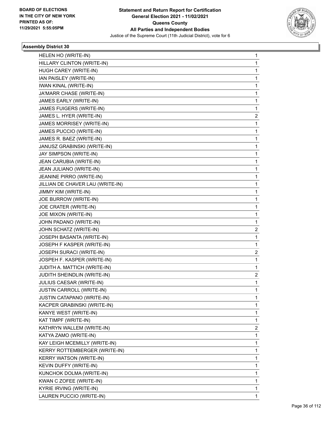

| HELEN HO (WRITE-IN)               | 1                       |
|-----------------------------------|-------------------------|
| HILLARY CLINTON (WRITE-IN)        | 1                       |
| HUGH CAREY (WRITE-IN)             | 1                       |
| IAN PAISLEY (WRITE-IN)            | 1                       |
| IWAN KINAL (WRITE-IN)             | 1                       |
| JA'MARR CHASE (WRITE-IN)          | 1                       |
| JAMES EARLY (WRITE-IN)            | 1                       |
| JAMES FUIGERS (WRITE-IN)          | 1                       |
| JAMES L. HYER (WRITE-IN)          | $\overline{\mathbf{c}}$ |
| JAMES MORRISEY (WRITE-IN)         | 1                       |
| JAMES PUCCIO (WRITE-IN)           | 1                       |
| JAMES R. BAEZ (WRITE-IN)          | 1                       |
| JANUSZ GRABINSKI (WRITE-IN)       | 1                       |
| JAY SIMPSON (WRITE-IN)            | 1                       |
| JEAN CARUBIA (WRITE-IN)           | 1                       |
| JEAN JULIANO (WRITE-IN)           | 1                       |
| JEANINE PIRRO (WRITE-IN)          | 1                       |
| JILLIAN DE CHAVER LAU (WRITE-IN)  | 1                       |
| JIMMY KIM (WRITE-IN)              | 1                       |
| JOE BURROW (WRITE-IN)             | 1                       |
| JOE CRATER (WRITE-IN)             | 1                       |
| JOE MIXON (WRITE-IN)              | 1                       |
| JOHN PADANO (WRITE-IN)            | 1                       |
| JOHN SCHATZ (WRITE-IN)            | 2                       |
| JOSEPH BASANTA (WRITE-IN)         | 1                       |
| JOSEPH F KASPER (WRITE-IN)        | 1                       |
| JOSEPH SURACI (WRITE-IN)          | $\overline{\mathbf{c}}$ |
| JOSPEH F. KASPER (WRITE-IN)       | 1                       |
| JUDITH A. MATTICH (WRITE-IN)      | 1                       |
| JUDITH SHEINDLIN (WRITE-IN)       | 2                       |
| JULIUS CAESAR (WRITE-IN)          | 1                       |
| JUSTIN CARROLL (WRITE-IN)         | 1                       |
| <b>JUSTIN CATAPANO (WRITE-IN)</b> | 1                       |
| KACPER GRABINSKI (WRITE-IN)       | 1                       |
| KANYE WEST (WRITE-IN)             | 1                       |
| KAT TIMPF (WRITE-IN)              | 1                       |
| KATHRYN WALLEM (WRITE-IN)         | 2                       |
| KATYA ZAMO (WRITE-IN)             | 1                       |
| KAY LEIGH MCEMILLY (WRITE-IN)     | 1                       |
| KERRY ROTTEMBERGER (WRITE-IN)     | 1                       |
| KERRY WATSON (WRITE-IN)           | 1                       |
| KEVIN DUFFY (WRITE-IN)            | 1                       |
| KUNCHOK DOLMA (WRITE-IN)          | 1                       |
| KWAN C ZOFEE (WRITE-IN)           | 1                       |
| KYRIE IRVING (WRITE-IN)           | 1                       |
| LAUREN PUCCIO (WRITE-IN)          | 1                       |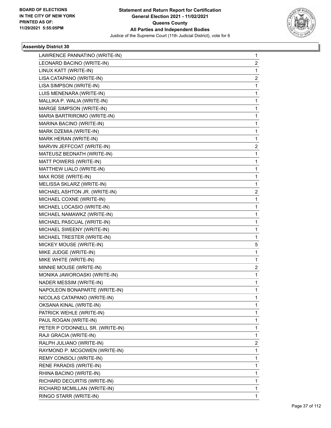

| LAWRENCE PANNATINO (WRITE-IN)    | 1                       |
|----------------------------------|-------------------------|
| LEONARD BACINO (WRITE-IN)        | $\overline{\mathbf{c}}$ |
| LINUX KATT (WRITE-IN)            | $\mathbf{1}$            |
| LISA CATAPANO (WRITE-IN)         | 2                       |
| LISA SIMPSON (WRITE-IN)          | 1                       |
| LUIS MENENARA (WRITE-IN)         | 1                       |
| MALLIKA P. WALIA (WRITE-IN)      | 1                       |
| MARGE SIMPSON (WRITE-IN)         | 1                       |
| MARIA BARTRIROMO (WRITE-IN)      | 1                       |
| MARINA BACINO (WRITE-IN)         | 1                       |
| MARK DZEMIA (WRITE-IN)           | 1                       |
| MARK HERAN (WRITE-IN)            | 1                       |
| MARVIN JEFFCOAT (WRITE-IN)       | 2                       |
| MATEUSZ BEDNATH (WRITE-IN)       | 1                       |
| MATT POWERS (WRITE-IN)           | $\mathbf{1}$            |
| MATTHEW LIALO (WRITE-IN)         | 1                       |
| MAX ROSE (WRITE-IN)              | 1                       |
| MELISSA SKLARZ (WRITE-IN)        | 1                       |
| MICHAEL ASHTON JR. (WRITE-IN)    | 2                       |
| MICHAEL COXNE (WRITE-IN)         | $\mathbf{1}$            |
| MICHAEL LOCASIO (WRITE-IN)       | $\mathbf{1}$            |
| MICHAEL NAMAWKZ (WRITE-IN)       | 1                       |
| MICHAEL PASCUAL (WRITE-IN)       | 1                       |
| MICHAEL SWEENY (WRITE-IN)        | 1                       |
| MICHAEL TRESTER (WRITE-IN)       | 1                       |
| MICKEY MOUSE (WRITE-IN)          | 5                       |
| MIKE JUDGE (WRITE-IN)            | $\mathbf{1}$            |
| MIKE WHITE (WRITE-IN)            | 1                       |
| MINNIE MOUSE (WRITE-IN)          | 2                       |
| MONIKA JAWOROASKI (WRITE-IN)     | 1                       |
| NADER MESSIM (WRITE-IN)          | 1                       |
| NAPOLEON BONAPARTE (WRITE-IN)    | $\mathbf{1}$            |
| NICOLAS CATAPANO (WRITE-IN)      | 1                       |
| OKSANA KINAL (WRITE-IN)          | 1                       |
| PATRICK WEHLE (WRITE-IN)         | 1                       |
| PAUL ROGAN (WRITE-IN)            | 1                       |
| PETER P O'DONNELL SR. (WRITE-IN) | 1                       |
| RAJI GRACIA (WRITE-IN)           | 1                       |
| RALPH JULIANO (WRITE-IN)         | 2                       |
| RAYMOND P. MCGOWEN (WRITE-IN)    | 1                       |
| REMY CONSOLI (WRITE-IN)          | 1                       |
| RENE PARADIS (WRITE-IN)          | 1                       |
| RHINA BACINO (WRITE-IN)          | 1                       |
| RICHARD DECURTIS (WRITE-IN)      | 1                       |
| RICHARD MCMILLAN (WRITE-IN)      | 1                       |
| RINGO STARR (WRITE-IN)           | 1                       |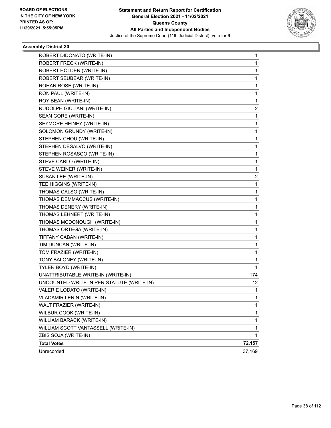

| ROBERT DIDONATO (WRITE-IN)                | 1            |
|-------------------------------------------|--------------|
| ROBERT FRECK (WRITE-IN)                   | 1            |
| ROBERT HOLDEN (WRITE-IN)                  | $\mathbf{1}$ |
| ROBERT SEUBEAR (WRITE-IN)                 | 1            |
| ROHAN ROSE (WRITE-IN)                     | 1            |
| RON PAUL (WRITE-IN)                       | 1            |
| ROY BEAN (WRITE-IN)                       | 1            |
| RUDOLPH GIULIANI (WRITE-IN)               | 2            |
| SEAN GORE (WRITE-IN)                      | 1            |
| SEYMORE HEINEY (WRITE-IN)                 | 1            |
| SOLOMON GRUNDY (WRITE-IN)                 | 1            |
| STEPHEN CHOU (WRITE-IN)                   | 1            |
| STEPHEN DESALVO (WRITE-IN)                | 1            |
| STEPHEN ROSASCO (WRITE-IN)                | 1            |
| STEVE CARLO (WRITE-IN)                    | $\mathbf 1$  |
| STEVE WEINER (WRITE-IN)                   | 1            |
| SUSAN LEE (WRITE-IN)                      | 2            |
| TEE HIGGINS (WRITE-IN)                    | 1            |
| THOMAS CALSO (WRITE-IN)                   | 1            |
| THOMAS DEMMACCUS (WRITE-IN)               | 1            |
| THOMAS DENERY (WRITE-IN)                  | $\mathbf 1$  |
| THOMAS LEHNERT (WRITE-IN)                 | 1            |
| THOMAS MCDONOUGH (WRITE-IN)               | 1            |
| THOMAS ORTEGA (WRITE-IN)                  | 1            |
| TIFFANY CABAN (WRITE-IN)                  | 1            |
| TIM DUNCAN (WRITE-IN)                     | 1            |
| TOM FRAZIER (WRITE-IN)                    | $\mathbf 1$  |
| TONY BALONEY (WRITE-IN)                   | 1            |
| TYLER BOYD (WRITE-IN)                     | 1            |
| UNATTRIBUTABLE WRITE-IN (WRITE-IN)        | 174          |
| UNCOUNTED WRITE-IN PER STATUTE (WRITE-IN) | 12           |
| VALERIE LODATO (WRITE-IN)                 | 1            |
| VLADAMIR LENIN (WRITE-IN)                 | $\mathbf{1}$ |
| WALT FRAZIER (WRITE-IN)                   | 1            |
| WILBUR COOK (WRITE-IN)                    | 1            |
| WILLIAM BARACK (WRITE-IN)                 | $\mathbf{1}$ |
| WILLIAM SCOTT VANTASSELL (WRITE-IN)       | 1            |
| ZBIS SOJA (WRITE-IN)                      | 1            |
| <b>Total Votes</b>                        | 72,157       |
| Unrecorded                                | 37,169       |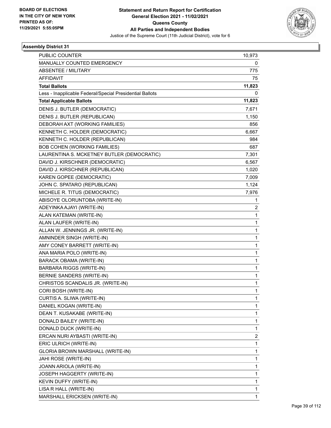

| <b>PUBLIC COUNTER</b>                                    | 10,973       |
|----------------------------------------------------------|--------------|
| MANUALLY COUNTED EMERGENCY                               | 0            |
| <b>ABSENTEE / MILITARY</b>                               | 775          |
| <b>AFFIDAVIT</b>                                         | 75           |
| <b>Total Ballots</b>                                     | 11,823       |
| Less - Inapplicable Federal/Special Presidential Ballots | 0            |
| <b>Total Applicable Ballots</b>                          | 11,823       |
| DENIS J. BUTLER (DEMOCRATIC)                             | 7,671        |
| DENIS J. BUTLER (REPUBLICAN)                             | 1,150        |
| DEBORAH AXT (WORKING FAMILIES)                           | 856          |
| KENNETH C. HOLDER (DEMOCRATIC)                           | 6,667        |
| KENNETH C. HOLDER (REPUBLICAN)                           | 984          |
| <b>BOB COHEN (WORKING FAMILIES)</b>                      | 687          |
| LAURENTINA S. MCKETNEY BUTLER (DEMOCRATIC)               | 7,301        |
| DAVID J. KIRSCHNER (DEMOCRATIC)                          | 6,567        |
| DAVID J. KIRSCHNER (REPUBLICAN)                          | 1,020        |
| KAREN GOPEE (DEMOCRATIC)                                 | 7,009        |
| JOHN C. SPATARO (REPUBLICAN)                             | 1,124        |
| MICHELE R. TITUS (DEMOCRATIC)                            | 7,976        |
| ABISOYE OLORUNTOBA (WRITE-IN)                            | 1            |
| ADEYINKA AJAYI (WRITE-IN)                                | 2            |
| ALAN KATEMAN (WRITE-IN)                                  | 1            |
| ALAN LAUFER (WRITE-IN)                                   | 1            |
| ALLAN W. JENNINGS JR. (WRITE-IN)                         | 1            |
| AMNINDER SINGH (WRITE-IN)                                | 1            |
| AMY CONEY BARRETT (WRITE-IN)                             | $\mathbf{1}$ |
| ANA MARIA POLO (WRITE-IN)                                | 1            |
| <b>BARACK OBAMA (WRITE-IN)</b>                           | 1            |
| <b>BARBARA RIGGS (WRITE-IN)</b>                          | 1            |
| BERNIE SANDERS (WRITE-IN)                                | 1            |
| CHRISTOS SCANDALIS JR. (WRITE-IN)                        | 1            |
| CORI BOSH (WRITE-IN)                                     | 1            |
| CURTIS A. SLIWA (WRITE-IN)                               | 1            |
| DANIEL KOGAN (WRITE-IN)                                  | 1            |
| DEAN T. KUSAKABE (WRITE-IN)                              | 1            |
| DONALD BAILEY (WRITE-IN)                                 | 1            |
| DONALD DUCK (WRITE-IN)                                   | 1            |
| ERCAN NURI AYBASTI (WRITE-IN)                            | 2            |
| ERIC ULRICH (WRITE-IN)                                   | 1            |
| GLORIA BROWN MARSHALL (WRITE-IN)                         | 1            |
| JAHI ROSE (WRITE-IN)                                     | 1            |
| JOANN ARIOLA (WRITE-IN)                                  | 1            |
| JOSEPH HAGGERTY (WRITE-IN)                               | 1            |
| KEVIN DUFFY (WRITE-IN)                                   | 1            |
| LISA R HALL (WRITE-IN)                                   | 1            |
| MARSHALL ERICKSEN (WRITE-IN)                             | 1            |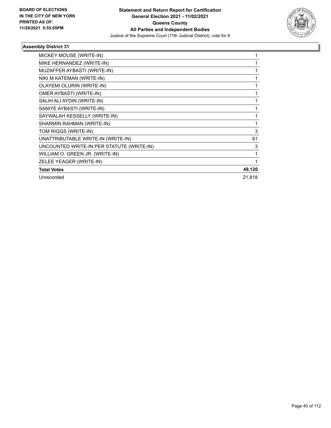

| MICKEY MOUSE (WRITE-IN)                   |        |
|-------------------------------------------|--------|
| MIKE HERNANDEZ (WRITE-IN)                 |        |
| MUZAFFER AYBASTI (WRITE-IN)               |        |
| NIKI M KATEMAN (WRITE-IN)                 |        |
| OLAYEMI OLURIN (WRITE-IN)                 |        |
| OMER AYBASTI (WRITE-IN)                   |        |
| SALIH ALI AYDIN (WRITE-IN)                |        |
| SANIYE AYBASTI (WRITE-IN)                 |        |
| SAYWALAH KESSELLY (WRITE-IN)              | 1      |
| SHARMIN RAHMAN (WRITE-IN)                 | 1      |
| TOM RIGGS (WRITE-IN)                      | 3      |
| UNATTRIBUTABLE WRITE-IN (WRITE-IN)        | 61     |
| UNCOUNTED WRITE-IN PER STATUTE (WRITE-IN) | 3      |
| WILLIAM O. GREEN JR. (WRITE-IN)           | 1      |
| ZELEE YEAGER (WRITE-IN)                   | 1      |
| <b>Total Votes</b>                        | 49,120 |
| Unrecorded                                | 21,818 |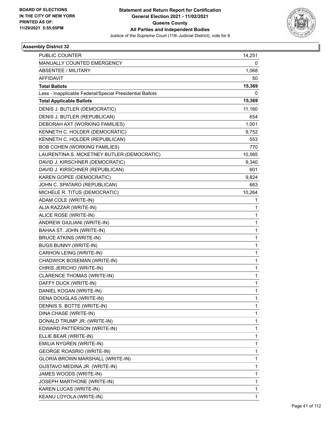

| PUBLIC COUNTER                                           | 14,251       |
|----------------------------------------------------------|--------------|
| MANUALLY COUNTED EMERGENCY                               | 0            |
| <b>ABSENTEE / MILITARY</b>                               | 1,068        |
| <b>AFFIDAVIT</b>                                         | 50           |
| <b>Total Ballots</b>                                     | 15,369       |
| Less - Inapplicable Federal/Special Presidential Ballots | 0            |
| <b>Total Applicable Ballots</b>                          | 15,369       |
| DENIS J. BUTLER (DEMOCRATIC)                             | 11,160       |
| DENIS J. BUTLER (REPUBLICAN)                             | 654          |
| DEBORAH AXT (WORKING FAMILIES)                           | 1,001        |
| KENNETH C. HOLDER (DEMOCRATIC)                           | 9,752        |
| KENNETH C. HOLDER (REPUBLICAN)                           | 553          |
| <b>BOB COHEN (WORKING FAMILIES)</b>                      | 770          |
| LAURENTINA S. MCKETNEY BUTLER (DEMOCRATIC)               | 10,565       |
| DAVID J. KIRSCHNER (DEMOCRATIC)                          | 9,340        |
| DAVID J. KIRSCHNER (REPUBLICAN)                          | 601          |
| KAREN GOPEE (DEMOCRATIC)                                 | 9,824        |
| JOHN C. SPATARO (REPUBLICAN)                             | 663          |
| MICHELE R. TITUS (DEMOCRATIC)                            | 10,264       |
| ADAM COLE (WRITE-IN)                                     | 1            |
| ALIA RAZZAR (WRITE-IN)                                   | 1            |
| ALICE ROSE (WRITE-IN)                                    | $\mathbf{1}$ |
| ANDREW GIULIANI (WRITE-IN)                               | $\mathbf{1}$ |
| BAHAA ST. JOHN (WRITE-IN)                                | 1            |
| <b>BRUCE ATKINS (WRITE-IN)</b>                           | $\mathbf{1}$ |
| <b>BUGS BUNNY (WRITE-IN)</b>                             | $\mathbf{1}$ |
| CARHON LEING (WRITE-IN)                                  | 1            |
| CHADWICK BOSEMAN (WRITE-IN)                              | $\mathbf{1}$ |
| CHRIS JERICHO (WRITE-IN)                                 | $\mathbf{1}$ |
| CLARENCE THOMAS (WRITE-IN)                               | 1            |
| DAFFY DUCK (WRITE-IN)                                    | $\mathbf{1}$ |
| DANIEL KOGAN (WRITE-IN)                                  | 1            |
| DENA DOUGLAS (WRITE-IN)                                  | 1            |
| DENNIS S. BOTTE (WRITE-IN)                               | 1            |
| DINA CHASE (WRITE-IN)                                    | 1            |
| DONALD TRUMP JR. (WRITE-IN)                              | 1            |
| EDWARD PATTERSON (WRITE-IN)                              | 1            |
| ELLIE BEAR (WRITE-IN)                                    | 1            |
| EMILIA NYGREN (WRITE-IN)                                 | 1            |
| GEORGE ROASRIO (WRITE-IN)                                | $\mathbf{1}$ |
| GLORIA BROWN MARSHALL (WRITE-IN)                         | 1            |
| GUSTAVO MEDINA JR. (WRITE-IN)                            | 1            |
| JAMES WOODS (WRITE-IN)                                   | $\mathbf{1}$ |
| <b>JOSEPH MARTHONE (WRITE-IN)</b>                        | $\mathbf{1}$ |
| KAREN LUCAS (WRITE-IN)                                   | 1            |
| KEANU LOYOLA (WRITE-IN)                                  | $\mathbf{1}$ |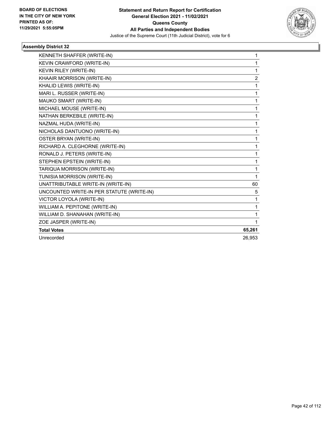

| KENNETH SHAFFER (WRITE-IN)                | 1              |
|-------------------------------------------|----------------|
| KEVIN CRAWFORD (WRITE-IN)                 | 1              |
| KEVIN RILEY (WRITE-IN)                    | 1              |
| KHAAIR MORRISON (WRITE-IN)                | $\overline{c}$ |
| KHALID LEWIS (WRITE-IN)                   | 1              |
| MARI L. RUSSER (WRITE-IN)                 | 1              |
| MAUKO SMART (WRITE-IN)                    | 1              |
| MICHAEL MOUSE (WRITE-IN)                  | 1              |
| NATHAN BERKEBILE (WRITE-IN)               | 1              |
| NAZMAL HUDA (WRITE-IN)                    | 1              |
| NICHOLAS DANTUONO (WRITE-IN)              | 1              |
| <b>OSTER BRYAN (WRITE-IN)</b>             | 1              |
| RICHARD A. CLEGHORNE (WRITE-IN)           | 1              |
| RONALD J. PETERS (WRITE-IN)               | 1              |
| STEPHEN EPSTEIN (WRITE-IN)                | 1              |
| TARIQUA MORRISON (WRITE-IN)               | 1              |
| TUNISIA MORRISON (WRITE-IN)               | 1              |
| UNATTRIBUTABLE WRITE-IN (WRITE-IN)        | 60             |
| UNCOUNTED WRITE-IN PER STATUTE (WRITE-IN) | 5              |
| VICTOR LOYOLA (WRITE-IN)                  | 1              |
| WILLIAM A. PEPITONE (WRITE-IN)            | 1              |
| WILLIAM D. SHANAHAN (WRITE-IN)            | 1              |
| ZOE JASPER (WRITE-IN)                     | 1              |
| <b>Total Votes</b>                        | 65,261         |
| Unrecorded                                | 26.953         |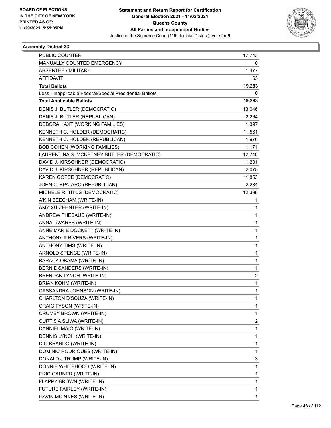

| 17,743       |
|--------------|
| 0            |
| 1,477        |
| 63           |
| 19,283       |
| 0            |
| 19,283       |
| 13,046       |
| 2,264        |
| 1,397        |
| 11,561       |
| 1,976        |
| 1,171        |
| 12,748       |
| 11,231       |
| 2,075        |
| 11,853       |
| 2,284        |
| 12,396       |
| 1            |
| 1            |
| 1            |
| 1            |
| 1            |
| 1            |
| 1            |
| 1            |
| 1            |
| 1            |
| 2            |
| 1            |
| 1            |
| 1            |
| 1            |
| 1            |
| 2            |
| 1            |
| 1            |
| 1            |
| 1            |
| 3            |
| 1            |
| 1            |
| 1            |
| 1            |
| $\mathbf{1}$ |
|              |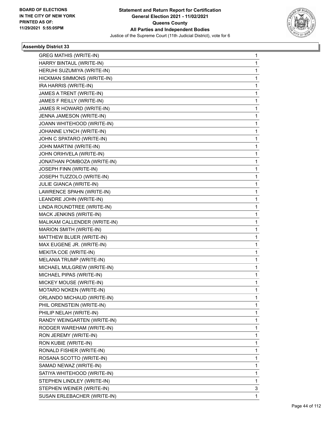

| <b>GREG MATHIS (WRITE-IN)</b> | 1 |
|-------------------------------|---|
| HARRY BINTAUL (WRITE-IN)      | 1 |
| HERUHI SUZUMIYA (WRITE-IN)    | 1 |
| HICKMAN SIMMONS (WRITE-IN)    | 1 |
| IRA HARRIS (WRITE-IN)         | 1 |
| JAMES A TRENT (WRITE-IN)      | 1 |
| JAMES F REILLY (WRITE-IN)     | 1 |
| JAMES R HOWARD (WRITE-IN)     | 1 |
| JENNA JAMESON (WRITE-IN)      | 1 |
| JOANN WHITEHOOD (WRITE-IN)    | 1 |
| JOHANNE LYNCH (WRITE-IN)      | 1 |
| JOHN C SPATARO (WRITE-IN)     | 1 |
| JOHN MARTINI (WRITE-IN)       | 1 |
| JOHN ORIHVELA (WRITE-IN)      | 1 |
| JONATHAN POMBOZA (WRITE-IN)   | 1 |
| JOSEPH FINN (WRITE-IN)        | 1 |
| JOSEPH TUZZOLO (WRITE-IN)     | 1 |
| JULIE GIANCA (WRITE-IN)       | 1 |
| LAWRENCE SPAHN (WRITE-IN)     | 1 |
| LEANDRE JOHN (WRITE-IN)       | 1 |
| LINDA ROUNDTREE (WRITE-IN)    | 1 |
| MACK JENKINS (WRITE-IN)       | 1 |
| MALIKAM CALLENDER (WRITE-IN)  | 1 |
| MARION SMITH (WRITE-IN)       | 1 |
| MATTHEW BLUER (WRITE-IN)      | 1 |
| MAX EUGENE JR. (WRITE-IN)     | 1 |
| MEKITA COE (WRITE-IN)         | 1 |
| MELANIA TRUMP (WRITE-IN)      | 1 |
| MICHAEL MULGREW (WRITE-IN)    | 1 |
| MICHAEL PIPAS (WRITE-IN)      | 1 |
| MICKEY MOUSE (WRITE-IN)       | 1 |
| MOTARO NOKEN (WRITE-IN)       | 1 |
| ORLANDO MICHAUD (WRITE-IN)    | 1 |
| PHIL ORENSTEIN (WRITE-IN)     | 1 |
| PHILIP NELAH (WRITE-IN)       | 1 |
| RANDY WEINGARTEN (WRITE-IN)   | 1 |
| RODGER WAREHAM (WRITE-IN)     | 1 |
| RON JEREMY (WRITE-IN)         | 1 |
| RON KUBIE (WRITE-IN)          | 1 |
| RONALD FISHER (WRITE-IN)      | 1 |
| ROSANA SCOTTO (WRITE-IN)      | 1 |
| SAMAD NEWAZ (WRITE-IN)        | 1 |
| SATIYA WHITEHOOD (WRITE-IN)   | 1 |
| STEPHEN LINDLEY (WRITE-IN)    | 1 |
| STEPHEN WEINER (WRITE-IN)     | 3 |
| SUSAN ERLEBACHER (WRITE-IN)   | 1 |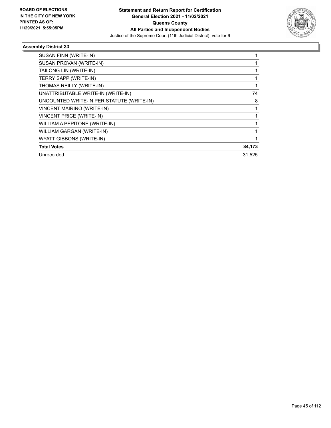

| SUSAN FINN (WRITE-IN)                     |        |
|-------------------------------------------|--------|
| SUSAN PROVAN (WRITE-IN)                   |        |
| TAILONG LIN (WRITE-IN)                    | 1      |
| <b>TERRY SAPP (WRITE-IN)</b>              |        |
| THOMAS REILLY (WRITE-IN)                  |        |
| UNATTRIBUTABLE WRITE-IN (WRITE-IN)        | 74     |
| UNCOUNTED WRITE-IN PER STATUTE (WRITE-IN) | 8      |
| <b>VINCENT MAIRINO (WRITE-IN)</b>         |        |
| <b>VINCENT PRICE (WRITE-IN)</b>           |        |
| WILLIAM A PEPITONE (WRITE-IN)             |        |
| WILLIAM GARGAN (WRITE-IN)                 |        |
| WYATT GIBBONS (WRITE-IN)                  |        |
| <b>Total Votes</b>                        | 84,173 |
| Unrecorded                                | 31.525 |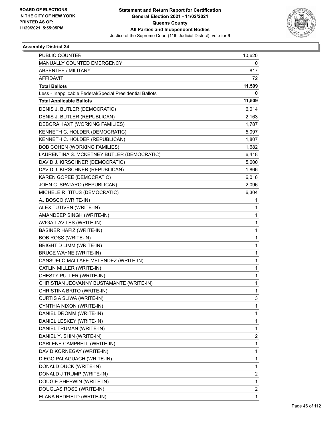

| PUBLIC COUNTER                                           | 10,620       |
|----------------------------------------------------------|--------------|
| MANUALLY COUNTED EMERGENCY                               | 0            |
| <b>ABSENTEE / MILITARY</b>                               | 817          |
| <b>AFFIDAVIT</b>                                         | 72           |
| <b>Total Ballots</b>                                     | 11,509       |
| Less - Inapplicable Federal/Special Presidential Ballots | 0            |
| <b>Total Applicable Ballots</b>                          | 11,509       |
| DENIS J. BUTLER (DEMOCRATIC)                             | 6,014        |
| DENIS J. BUTLER (REPUBLICAN)                             | 2,163        |
| DEBORAH AXT (WORKING FAMILIES)                           | 1,787        |
| KENNETH C. HOLDER (DEMOCRATIC)                           | 5,097        |
| KENNETH C. HOLDER (REPUBLICAN)                           | 1,807        |
| <b>BOB COHEN (WORKING FAMILIES)</b>                      | 1,682        |
| LAURENTINA S. MCKETNEY BUTLER (DEMOCRATIC)               | 6,418        |
| DAVID J. KIRSCHNER (DEMOCRATIC)                          | 5,600        |
| DAVID J. KIRSCHNER (REPUBLICAN)                          | 1,866        |
| KAREN GOPEE (DEMOCRATIC)                                 | 6,018        |
| JOHN C. SPATARO (REPUBLICAN)                             | 2,096        |
| MICHELE R. TITUS (DEMOCRATIC)                            | 6,304        |
| AJ BOSCO (WRITE-IN)                                      | 1            |
| ALEX TUTIVEN (WRITE-IN)                                  | 1            |
| AMANDEEP SINGH (WRITE-IN)                                | 1            |
| AVIGAIL AVILES (WRITE-IN)                                | 1            |
| <b>BASINER HAFIZ (WRITE-IN)</b>                          | 1            |
| <b>BOB ROSS (WRITE-IN)</b>                               | $\mathbf{1}$ |
| BRIGHT D LIMM (WRITE-IN)                                 | 1            |
| <b>BRUCE WAYNE (WRITE-IN)</b>                            | 1            |
| CANSUELO MALLAFE-MELENDEZ (WRITE-IN)                     | $\mathbf{1}$ |
| CATLIN MILLER (WRITE-IN)                                 | 1            |
| CHESTY PULLER (WRITE-IN)                                 | 1            |
| CHRISTIAN JEOVANNY BUSTAMANTE (WRITE-IN)                 | $\mathbf{1}$ |
| CHRISTINA BRITO (WRITE-IN)                               | 1            |
| CURTIS A SLIWA (WRITE-IN)                                | 3            |
| CYNTHIA NIXON (WRITE-IN)                                 | 1            |
| DANIEL DROMM (WRITE-IN)                                  | 1            |
| DANIEL LESKEY (WRITE-IN)                                 | 1            |
| DANIEL TRUMAN (WRITE-IN)                                 | $\mathbf{1}$ |
| DANIEL Y. SHIN (WRITE-IN)                                | 2            |
| DARLENE CAMPBELL (WRITE-IN)                              | $\mathbf{1}$ |
| DAVID KORNEGAY (WRITE-IN)                                | $\mathbf{1}$ |
| DIEGO PALAGUACH (WRITE-IN)                               | 1            |
| DONALD DUCK (WRITE-IN)                                   | $\mathbf 1$  |
| DONALD J TRUMP (WRITE-IN)                                | 2            |
| DOUGIE SHERWIN (WRITE-IN)                                | 1            |
| DOUGLAS ROSE (WRITE-IN)                                  | 2            |
| ELANA REDFIELD (WRITE-IN)                                | $\mathbf{1}$ |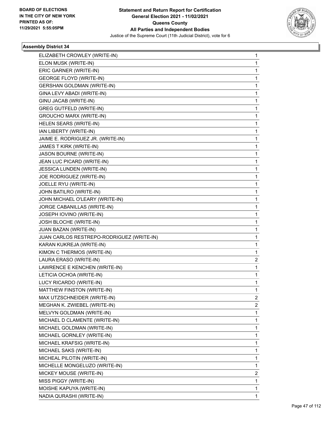

| ELIZABETH CROWLEY (WRITE-IN)              | 1 |
|-------------------------------------------|---|
| ELON MUSK (WRITE-IN)                      | 1 |
| ERIC GARNER (WRITE-IN)                    | 1 |
| <b>GEORGE FLOYD (WRITE-IN)</b>            | 1 |
| <b>GERSHAN GOLDMAN (WRITE-IN)</b>         | 1 |
| GINA LEVY ABADI (WRITE-IN)                | 1 |
| GINU JACAB (WRITE-IN)                     | 1 |
| <b>GREG GUTFELD (WRITE-IN)</b>            | 1 |
| GROUCHO MARX (WRITE-IN)                   | 1 |
| HELEN SEARS (WRITE-IN)                    | 1 |
| IAN LIBERTY (WRITE-IN)                    | 1 |
| JAIME E. RODRIGUEZ JR. (WRITE-IN)         | 1 |
| JAMES T KIRK (WRITE-IN)                   | 1 |
| JASON BOURNE (WRITE-IN)                   | 1 |
| JEAN LUC PICARD (WRITE-IN)                | 1 |
| JESSICA LUNDEN (WRITE-IN)                 | 1 |
| JOE RODRIGUEZ (WRITE-IN)                  | 1 |
| JOELLE RYU (WRITE-IN)                     | 1 |
| JOHN BATILRO (WRITE-IN)                   | 1 |
| JOHN MICHAEL O'LEARY (WRITE-IN)           | 1 |
| JORGE CABANILLAS (WRITE-IN)               | 1 |
| JOSEPH IOVINO (WRITE-IN)                  | 1 |
| JOSH BLOCHE (WRITE-IN)                    | 1 |
|                                           |   |
| JUAN BAZAN (WRITE-IN)                     | 1 |
| JUAN CARLOS RESTREPO-RODRIGUEZ (WRITE-IN) | 1 |
| KARAN KUKREJA (WRITE-IN)                  | 1 |
| KIMON C THERMOS (WRITE-IN)                | 1 |
| LAURA ERASO (WRITE-IN)                    | 2 |
| LAWRENCE E KENCHEN (WRITE-IN)             | 1 |
| LETICIA OCHOA (WRITE-IN)                  | 1 |
| LUCY RICARDO (WRITE-IN)                   | 1 |
| MATTHEW FINSTON (WRITE-IN)                | 1 |
| MAX UTZSCHNEIDER (WRITE-IN)               | 2 |
| MEGHAN K. ZWIEBEL (WRITE-IN)              | 2 |
| MELVYN GOLDMAN (WRITE-IN)                 | 1 |
| MICHAEL D CLAMENTE (WRITE-IN)             | 1 |
| MICHAEL GOLDMAN (WRITE-IN)                | 1 |
| MICHAEL GORNLEY (WRITE-IN)                | 1 |
| MICHAEL KRAFSIG (WRITE-IN)                | 1 |
| MICHAEL SAKS (WRITE-IN)                   | 1 |
| MICHEAL PILOTIN (WRITE-IN)                | 1 |
| MICHELLE MONGELUZO (WRITE-IN)             | 1 |
| MICKEY MOUSE (WRITE-IN)                   | 2 |
| MISS PIGGY (WRITE-IN)                     | 1 |
| MOISHE KAPUYA (WRITE-IN)                  | 1 |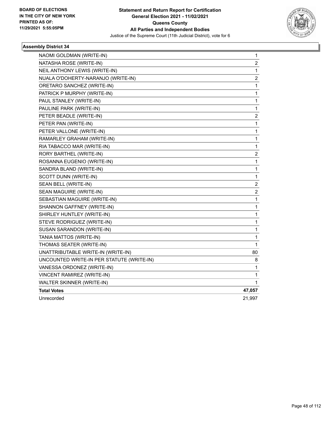

| NAOMI GOLDMAN (WRITE-IN)                  | 1                       |
|-------------------------------------------|-------------------------|
| NATASHA ROSE (WRITE-IN)                   | $\overline{2}$          |
| NEIL ANTHONY LEWIS (WRITE-IN)             | 1                       |
| NUALA O'DOHERTY-NARANJO (WRITE-IN)        | $\overline{c}$          |
| ORETARO SANCHEZ (WRITE-IN)                | 1                       |
| PATRICK P MURPHY (WRITE-IN)               | 1                       |
| PAUL STANLEY (WRITE-IN)                   | 1                       |
| PAULINE PARK (WRITE-IN)                   | 1                       |
| PETER BEADLE (WRITE-IN)                   | $\overline{\mathbf{c}}$ |
| PETER PAN (WRITE-IN)                      | $\mathbf{1}$            |
| PETER VALLONE (WRITE-IN)                  | 1                       |
| RAMARLEY GRAHAM (WRITE-IN)                | 1                       |
| RIA TABACCO MAR (WRITE-IN)                | 1                       |
| RORY BARTHEL (WRITE-IN)                   | $\overline{\mathbf{c}}$ |
| ROSANNA EUGENIO (WRITE-IN)                | 1                       |
| SANDRA BLAND (WRITE-IN)                   | $\mathbf{1}$            |
| SCOTT DUNN (WRITE-IN)                     | 1                       |
| SEAN BELL (WRITE-IN)                      | $\overline{\mathbf{c}}$ |
| SEAN MAGUIRE (WRITE-IN)                   | $\overline{c}$          |
| SEBASTIAN MAGUIRE (WRITE-IN)              | $\mathbf{1}$            |
| SHANNON GAFFNEY (WRITE-IN)                | 1                       |
| SHIRLEY HUNTLEY (WRITE-IN)                | 1                       |
| STEVE RODRIGUEZ (WRITE-IN)                | 1                       |
| SUSAN SARANDON (WRITE-IN)                 | $\mathbf{1}$            |
| TANIA MATTOS (WRITE-IN)                   | 1                       |
| THOMAS SEATER (WRITE-IN)                  | 1                       |
| UNATTRIBUTABLE WRITE-IN (WRITE-IN)        | 80                      |
| UNCOUNTED WRITE-IN PER STATUTE (WRITE-IN) | 8                       |
| VANESSA ORDONEZ (WRITE-IN)                | 1                       |
| VINCENT RAMIREZ (WRITE-IN)                | 1                       |
| WALTER SKINNER (WRITE-IN)                 | 1                       |
| <b>Total Votes</b>                        | 47,057                  |
| Unrecorded                                | 21,997                  |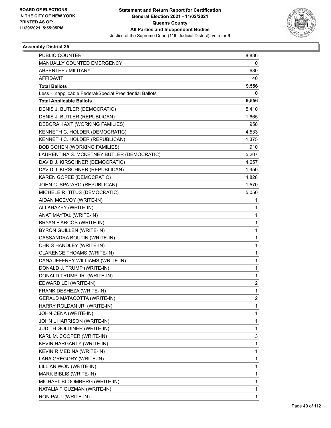

| PUBLIC COUNTER                                           | 8,836        |
|----------------------------------------------------------|--------------|
| MANUALLY COUNTED EMERGENCY                               | 0            |
| <b>ABSENTEE / MILITARY</b>                               | 680          |
| <b>AFFIDAVIT</b>                                         | 40           |
| <b>Total Ballots</b>                                     | 9,556        |
| Less - Inapplicable Federal/Special Presidential Ballots | 0            |
| <b>Total Applicable Ballots</b>                          | 9,556        |
| DENIS J. BUTLER (DEMOCRATIC)                             | 5,410        |
| DENIS J. BUTLER (REPUBLICAN)                             | 1,665        |
| DEBORAH AXT (WORKING FAMILIES)                           | 958          |
| KENNETH C. HOLDER (DEMOCRATIC)                           | 4,533        |
| KENNETH C. HOLDER (REPUBLICAN)                           | 1,375        |
| <b>BOB COHEN (WORKING FAMILIES)</b>                      | 910          |
| LAURENTINA S. MCKETNEY BUTLER (DEMOCRATIC)               | 5,207        |
| DAVID J. KIRSCHNER (DEMOCRATIC)                          | 4,657        |
| DAVID J. KIRSCHNER (REPUBLICAN)                          | 1,450        |
| KAREN GOPEE (DEMOCRATIC)                                 | 4,828        |
| JOHN C. SPATARO (REPUBLICAN)                             | 1,570        |
| MICHELE R. TITUS (DEMOCRATIC)                            | 5,050        |
| AIDAN MCEVOY (WRITE-IN)                                  | 1            |
| ALI KHAZEY (WRITE-IN)                                    | 1            |
| ANAT MAYTAL (WRITE-IN)                                   | $\mathbf{1}$ |
| BRYAN F ARCOS (WRITE-IN)                                 | $\mathbf{1}$ |
| <b>BYRON GUILLEN (WRITE-IN)</b>                          | 1            |
| CASSANDRA BOUTIN (WRITE-IN)                              | $\mathbf{1}$ |
| CHRIS HANDLEY (WRITE-IN)                                 | $\mathbf{1}$ |
| CLARENCE THOAMS (WRITE-IN)                               | 1            |
| DANA JEFFREY WILLIAMS (WRITE-IN)                         | $\mathbf{1}$ |
| DONALD J. TRUMP (WRITE-IN)                               | $\mathbf{1}$ |
| DONALD TRUMP JR. (WRITE-IN)                              | 1            |
| EDWARD LEI (WRITE-IN)                                    | 2            |
| FRANK DESHEZA (WRITE-IN)                                 | 1            |
| GERALD MATACOTTA (WRITE-IN)                              | 2            |
| HARRY ROLDAN JR. (WRITE-IN)                              | $\mathbf{1}$ |
| JOHN CENA (WRITE-IN)                                     | $\mathbf{1}$ |
| JOHN L HARRISON (WRITE-IN)                               | 1            |
| JUDITH GOLDINER (WRITE-IN)                               | $\mathbf{1}$ |
| KARL M. COOPER (WRITE-IN)                                | 3            |
| KEVIN HARGARTY (WRITE-IN)                                | 1            |
| KEVIN R MEDINA (WRITE-IN)                                | $\mathbf{1}$ |
| LARA GREGORY (WRITE-IN)                                  | $\mathbf{1}$ |
| LILLIAN WON (WRITE-IN)                                   | 1            |
| MARK BIBLIS (WRITE-IN)                                   | $\mathbf{1}$ |
| MICHAEL BLOOMBERG (WRITE-IN)                             | $\mathbf{1}$ |
| NATALIA F GUZMAN (WRITE-IN)                              | 1            |
| RON PAUL (WRITE-IN)                                      | $\mathbf{1}$ |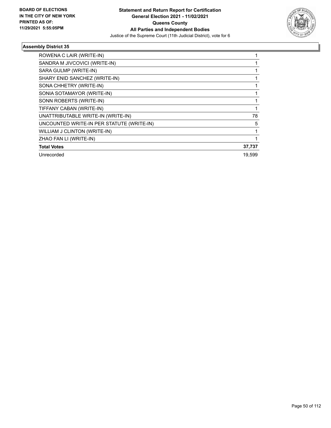

| ROWENA C LAIR (WRITE-IN)                  |        |
|-------------------------------------------|--------|
| SANDRA M JIVCOVICI (WRITE-IN)             |        |
| SARA GULMP (WRITE-IN)                     |        |
| SHARY ENID SANCHEZ (WRITE-IN)             |        |
| SONA CHHETRY (WRITE-IN)                   |        |
| SONIA SOTAMAYOR (WRITE-IN)                |        |
| SONN ROBERTS (WRITE-IN)                   |        |
| TIFFANY CABAN (WRITE-IN)                  |        |
| UNATTRIBUTABLE WRITE-IN (WRITE-IN)        | 78     |
| UNCOUNTED WRITE-IN PER STATUTE (WRITE-IN) | 5      |
| WILLIAM J CLINTON (WRITE-IN)              |        |
| ZHAO FAN LI (WRITE-IN)                    |        |
| <b>Total Votes</b>                        | 37,737 |
| Unrecorded                                | 19.599 |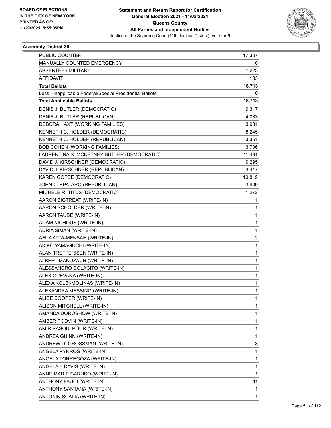

| PUBLIC COUNTER                                           | 17,307                  |
|----------------------------------------------------------|-------------------------|
| MANUALLY COUNTED EMERGENCY                               | 0                       |
| <b>ABSENTEE / MILITARY</b>                               | 1,223                   |
| <b>AFFIDAVIT</b>                                         | 183                     |
| <b>Total Ballots</b>                                     | 18,713                  |
| Less - Inapplicable Federal/Special Presidential Ballots | 0                       |
| <b>Total Applicable Ballots</b>                          | 18,713                  |
| DENIS J. BUTLER (DEMOCRATIC)                             | 9,317                   |
| DENIS J. BUTLER (REPUBLICAN)                             | 4,033                   |
| DEBORAH AXT (WORKING FAMILIES)                           | 3,981                   |
| KENNETH C. HOLDER (DEMOCRATIC)                           | 8,245                   |
| KENNETH C. HOLDER (REPUBLICAN)                           | 3,351                   |
| <b>BOB COHEN (WORKING FAMILIES)</b>                      | 3,706                   |
| LAURENTINA S. MCKETNEY BUTLER (DEMOCRATIC)               | 11,491                  |
| DAVID J. KIRSCHNER (DEMOCRATIC)                          | 9,295                   |
| DAVID J. KIRSCHNER (REPUBLICAN)                          | 3,417                   |
| KAREN GOPEE (DEMOCRATIC)                                 | 10,819                  |
| JOHN C. SPATARO (REPUBLICAN)                             | 3,909                   |
| MICHELE R. TITUS (DEMOCRATIC)                            | 11,272                  |
| AARON BIGTREAT (WRITE-IN)                                | 1                       |
| AARON SCHOLDER (WRITE-IN)                                | 1                       |
| AARON TAUBE (WRITE-IN)                                   | 1                       |
| ADAM NICHOUS (WRITE-IN)                                  | $\mathbf{1}$            |
| ADRIA SIMAN (WRITE-IN)                                   | 1                       |
| AFUA ATTA-MENSAH (WRITE-IN)                              | $\overline{\mathbf{c}}$ |
| AKIKO YAMAGUCHI (WRITE-IN)                               | $\mathbf{1}$            |
| ALAN TREFFERISEN (WRITE-IN)                              | 1                       |
| ALBERT MANUZA JR (WRITE-IN)                              | 1                       |
| ALESSANDRO COLACITO (WRITE-IN)                           | $\mathbf{1}$            |
| ALEX GUEVANA (WRITE-IN)                                  | 1                       |
| ALEXA KOLBI-MOLINAS (WRITE-IN)                           | $\mathbf{1}$            |
| ALEXANDRA MESSING (WRITE-IN)                             | 1                       |
| ALICE COOPER (WRITE-IN)                                  | 1                       |
| ALISON MITCHELL (WRITE-IN)                               | 1                       |
| AMANDA DOROSHOW (WRITE-IN)                               | $\mathbf{1}$            |
| AMBER PODVIN (WRITE-IN)                                  | 1                       |
| AMIR RASOULPOUR (WRITE-IN)                               | 1                       |
| ANDREA GUINN (WRITE-IN)                                  | 1                       |
| ANDREW D. GROSSMAN (WRITE-IN)                            | 3                       |
| ANGELA PYRROS (WRITE-IN)                                 | $\mathbf{1}$            |
| ANGELA TORREGOZA (WRITE-IN)                              | $\mathbf{1}$            |
| ANGELA Y DAVIS (WRITE-IN)                                | 1                       |
| ANNE MARIE CARUSO (WRITE-IN)                             | $\mathbf{1}$            |
| ANTHONY FAUCI (WRITE-IN)                                 | 11                      |
| ANTHONY SANTANA (WRITE-IN)                               | 1                       |
| ANTONIN SCALIA (WRITE-IN)                                | $\mathbf{1}$            |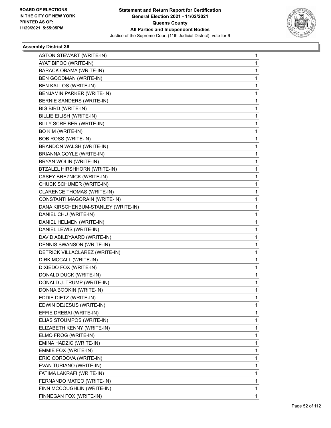

| ASTON STEWART (WRITE-IN)            | 1 |
|-------------------------------------|---|
| AYAT BIPOC (WRITE-IN)               | 1 |
| BARACK OBAMA (WRITE-IN)             | 1 |
| BEN GOODMAN (WRITE-IN)              | 1 |
| BEN KALLOS (WRITE-IN)               | 1 |
| BENJAMIN PARKER (WRITE-IN)          | 1 |
| BERNIE SANDERS (WRITE-IN)           | 1 |
| BIG BIRD (WRITE-IN)                 | 1 |
| <b>BILLIE EILISH (WRITE-IN)</b>     | 1 |
| BILLY SCREIBER (WRITE-IN)           | 1 |
| BO KIM (WRITE-IN)                   | 1 |
| <b>BOB ROSS (WRITE-IN)</b>          | 1 |
| BRANDON WALSH (WRITE-IN)            | 1 |
| <b>BRIANNA COYLE (WRITE-IN)</b>     | 1 |
| BRYAN WOLIN (WRITE-IN)              | 1 |
| BTZALEL HIRSHHORN (WRITE-IN)        | 1 |
| CASEY BREZNICK (WRITE-IN)           | 1 |
| CHUCK SCHUMER (WRITE-IN)            | 1 |
| CLARENCE THOMAS (WRITE-IN)          | 1 |
| CONSTANTI MAGORAIN (WRITE-IN)       | 1 |
| DANA KIRSCHENBUM-STANLEY (WRITE-IN) | 1 |
| DANIEL CHU (WRITE-IN)               | 1 |
| DANIEL HELMEN (WRITE-IN)            | 1 |
| DANIEL LEWIS (WRITE-IN)             | 1 |
| DAVID ABILDYAARD (WRITE-IN)         | 1 |
| DENNIS SWANSON (WRITE-IN)           | 1 |
| DETRICK VILLACLAREZ (WRITE-IN)      | 1 |
| DIRK MCCALL (WRITE-IN)              | 1 |
| DIXIEDO FOX (WRITE-IN)              | 1 |
| DONALD DUCK (WRITE-IN)              | 1 |
| DONALD J. TRUMP (WRITE-IN)          | 1 |
| DONNA BOOKIN (WRITE-IN)             | 1 |
| EDDIE DIETZ (WRITE-IN)              | 1 |
| EDWIN DEJESUS (WRITE-IN)            | 1 |
| EFFIE DREBAI (WRITE-IN)             | 1 |
| ELIAS STOUMPOS (WRITE-IN)           | 1 |
| ELIZABETH KENNY (WRITE-IN)          | 1 |
| ELMO FROG (WRITE-IN)                | 1 |
| EMINA HADZIC (WRITE-IN)             | 1 |
| EMMIE FOX (WRITE-IN)                | 1 |
| ERIC CORDOVA (WRITE-IN)             | 1 |
| EVAN TURIANO (WRITE-IN)             | 1 |
| FATIMA LAKRAFI (WRITE-IN)           | 1 |
| FERNANDO MATEO (WRITE-IN)           | 1 |
| FINN MCCOUGHLIN (WRITE-IN)          | 1 |
| FINNEGAN FOX (WRITE-IN)             | 1 |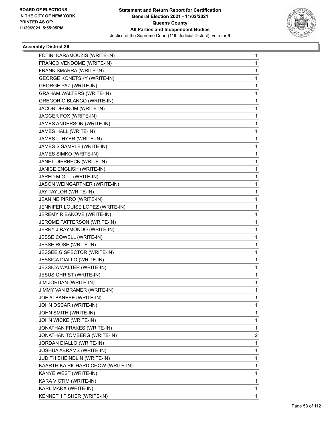

| FOTINI KARAMOUZIS (WRITE-IN)      | 1 |
|-----------------------------------|---|
| FRANCO VENDOME (WRITE-IN)         | 1 |
| FRANK SMARRA (WRITE-IN)           | 1 |
| <b>GEORGE KONETSKY (WRITE-IN)</b> | 1 |
| <b>GEORGE PAZ (WRITE-IN)</b>      | 1 |
| <b>GRAHAM WALTERS (WRITE-IN)</b>  | 1 |
| <b>GREGORIO BLANCO (WRITE-IN)</b> | 1 |
| JACOB DEGROM (WRITE-IN)           | 1 |
| JAGGER FOX (WRITE-IN)             | 1 |
| JAMES ANDERSON (WRITE-IN)         | 1 |
| JAMES HALL (WRITE-IN)             | 1 |
| JAMES L. HYER (WRITE-IN)          | 1 |
| JAMES S SAMPLE (WRITE-IN)         | 1 |
| JAMES SIMKO (WRITE-IN)            | 1 |
| JANET DIERBECK (WRITE-IN)         | 1 |
| JANICE ENGLISH (WRITE-IN)         | 1 |
| JARED M GILL (WRITE-IN)           | 1 |
| JASON WEINGARTNER (WRITE-IN)      | 1 |
| JAY TAYLOR (WRITE-IN)             | 1 |
| JEANINE PIRRO (WRITE-IN)          | 1 |
| JENNIFER LOUISE LOPEZ (WRITE-IN)  | 1 |
| JEREMY RIBAKOVE (WRITE-IN)        | 1 |
| JEROME PATTERSON (WRITE-IN)       | 1 |
| JERRY J RAYMONDO (WRITE-IN)       | 1 |
| JESSE COWELL (WRITE-IN)           | 1 |
| JESSE ROSE (WRITE-IN)             | 1 |
| JESSEE G SPECTOR (WRITE-IN)       | 1 |
| JESSICA DIALLO (WRITE-IN)         | 1 |
| JESSICA WALTER (WRITE-IN)         | 1 |
| <b>JESUS CHRIST (WRITE-IN)</b>    | 1 |
| JIM JORDAN (WRITE-IN)             | 1 |
| JIMMY VAN BRAMER (WRITE-IN)       | 1 |
| JOE ALBANESE (WRITE-IN)           | 1 |
| JOHN OSCAR (WRITE-IN)             | 1 |
| JOHN SMITH (WRITE-IN)             | 1 |
| JOHN WICKE (WRITE-IN)             | 1 |
| JONATHAN FRAKES (WRITE-IN)        | 1 |
| JONATHAN TOMBERG (WRITE-IN)       | 2 |
| JORDAN DIALLO (WRITE-IN)          | 1 |
| JOSHUA ABRAMS (WRITE-IN)          | 1 |
| JUDITH SHEINDLIN (WRITE-IN)       | 1 |
| KAARTHIKA RICHARD CHOW (WRITE-IN) | 1 |
| KANYE WEST (WRITE-IN)             | 1 |
| KARA VICTIM (WRITE-IN)            | 1 |
| KARL MARX (WRITE-IN)              | 1 |
| KENNETH FISHER (WRITE-IN)         | 1 |
|                                   |   |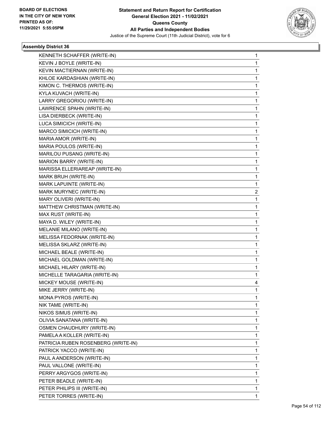

| KENNETH SCHAFFER (WRITE-IN)         | 1            |
|-------------------------------------|--------------|
| KEVIN J BOYLE (WRITE-IN)            | 1            |
| KEVIN MACTIERNAN (WRITE-IN)         | 1            |
| KHLOE KARDASHIAN (WRITE-IN)         | 1            |
| KIMON C. THERMOS (WRITE-IN)         | 1            |
| KYLA KUVACH (WRITE-IN)              | 1            |
| LARRY GREGORIOU (WRITE-IN)          | 1            |
| LAWRENCE SPAHN (WRITE-IN)           | 1            |
| LISA DIERBECK (WRITE-IN)            | 1            |
| LUCA SIMICICH (WRITE-IN)            | 1            |
| MARCO SIMICICH (WRITE-IN)           | 1            |
| MARIA AMOR (WRITE-IN)               | 1            |
| MARIA POULOS (WRITE-IN)             | 1            |
| MARILOU PUSANG (WRITE-IN)           | 1            |
| MARION BARRY (WRITE-IN)             | 1            |
| MARISSA ELLERIAREAP (WRITE-IN)      | 1            |
| MARK BRUH (WRITE-IN)                | 1            |
| MARK LAPUINTE (WRITE-IN)            | 1            |
| MARK MURYNEC (WRITE-IN)             | 2            |
| MARY OLIVERI (WRITE-IN)             | 1            |
| MATTHEW CHRISTMAN (WRITE-IN)        | 1            |
| MAX RUST (WRITE-IN)                 | 1            |
| MAYA D. WILEY (WRITE-IN)            | 1            |
| MELANIE MILANO (WRITE-IN)           | 1            |
| MELISSA FEDORNAK (WRITE-IN)         | 1            |
| MELISSA SKLARZ (WRITE-IN)           | 1            |
| MICHAEL BEALE (WRITE-IN)            | 1            |
| MICHAEL GOLDMAN (WRITE-IN)          | 1            |
| MICHAEL HILARY (WRITE-IN)           | 1            |
| MICHELLE TARAGARIA (WRITE-IN)       | 1            |
| MICKEY MOUSE (WRITE-IN)             | 4            |
| MIKE JERRY (WRITE-IN)               | $\mathbf{1}$ |
| MONA PYROS (WRITE-IN)               | 1            |
| NIK TAME (WRITE-IN)                 | 1            |
| NIKOS SIMUS (WRITE-IN)              | 1            |
| OLIVIA SANATANA (WRITE-IN)          | 1            |
| OSMEN CHAUDHURY (WRITE-IN)          | 1            |
| PAMELA A KOLLER (WRITE-IN)          | 1            |
| PATRICIA RUBEN ROSENBERG (WRITE-IN) | 1            |
| PATRICK YACCO (WRITE-IN)            | 1            |
| PAUL A ANDERSON (WRITE-IN)          | 1            |
| PAUL VALLONE (WRITE-IN)             | 1            |
| PERRY ARGYGOS (WRITE-IN)            | 1            |
| PETER BEADLE (WRITE-IN)             | 1            |
| PETER PHILIPS III (WRITE-IN)        | 1            |
| PETER TORRES (WRITE-IN)             | 1            |
|                                     |              |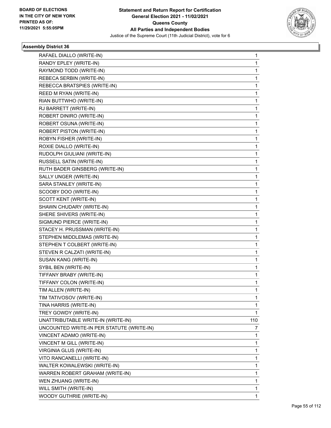

| RAFAEL DIALLO (WRITE-IN)                  | 1            |
|-------------------------------------------|--------------|
| RANDY EPLEY (WRITE-IN)                    | 1            |
| RAYMOND TODD (WRITE-IN)                   | 1            |
| REBECA SERBIN (WRITE-IN)                  | 1            |
| REBECCA BRATSPIES (WRITE-IN)              | 1            |
| REED M RYAN (WRITE-IN)                    | 1            |
| RIAN BUTTWHO (WRITE-IN)                   | 1            |
| RJ BARRETT (WRITE-IN)                     | 1            |
| ROBERT DINIRO (WRITE-IN)                  | 1            |
| ROBERT OSUNA (WRITE-IN)                   | 1            |
| <b>ROBERT PISTON (WRITE-IN)</b>           | 1            |
| ROBYN FISHER (WRITE-IN)                   | 1            |
| ROXIE DIALLO (WRITE-IN)                   | 1            |
| RUDOLPH GIULIANI (WRITE-IN)               | 1            |
| RUSSELL SATIN (WRITE-IN)                  | 1            |
| RUTH BADER GINSBERG (WRITE-IN)            | 1            |
| SALLY UNGER (WRITE-IN)                    | 1            |
| SARA STANLEY (WRITE-IN)                   | 1            |
| SCOOBY DOO (WRITE-IN)                     | 1            |
| SCOTT KENT (WRITE-IN)                     | 1            |
| SHAWN CHUDARY (WRITE-IN)                  | $\mathbf 1$  |
| SHERE SHIVERS (WRITE-IN)                  | 1            |
| SIGMUND PIERCE (WRITE-IN)                 | 1            |
| STACEY H. PRUSSMAN (WRITE-IN)             | 1            |
| STEPHEN MIDDLEMAS (WRITE-IN)              | 1            |
| STEPHEN T COLBERT (WRITE-IN)              | 1            |
| STEVEN R CALZATI (WRITE-IN)               | 1            |
| SUSAN KANG (WRITE-IN)                     | 1            |
| SYBIL BEN (WRITE-IN)                      | 1            |
| TIFFANY BRABY (WRITE-IN)                  | 1            |
| TIFFANY COLON (WRITE-IN)                  | 1            |
| TIM ALLEN (WRITE-IN)                      | 1            |
| TIM TATIVOSOV (WRITE-IN)                  | 1            |
| TINA HARRIS (WRITE-IN)                    | 1            |
| TREY GOWDY (WRITE-IN)                     | 1            |
| UNATTRIBUTABLE WRITE-IN (WRITE-IN)        | 110          |
| UNCOUNTED WRITE-IN PER STATUTE (WRITE-IN) | 7            |
| VINCENT ADAMO (WRITE-IN)                  | 1            |
| VINCENT M GILL (WRITE-IN)                 | 1            |
| VIRGINIA GLUS (WRITE-IN)                  | 1            |
| VITO RANCANELLI (WRITE-IN)                | 1            |
| WALTER KOWALEWSKI (WRITE-IN)              | 1            |
| WARREN ROBERT GRAHAM (WRITE-IN)           | 1            |
| WEN ZHUANG (WRITE-IN)                     | 1            |
| WILL SMITH (WRITE-IN)                     | 1            |
| WOODY GUTHRIE (WRITE-IN)                  | $\mathbf{1}$ |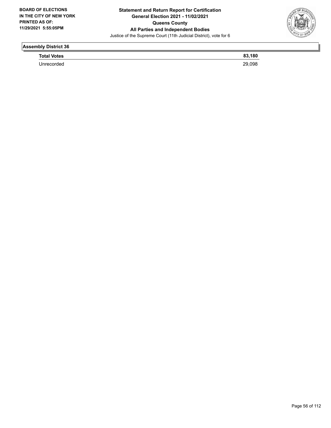

**Total Votes 83,180** 

Unrecorded 29,098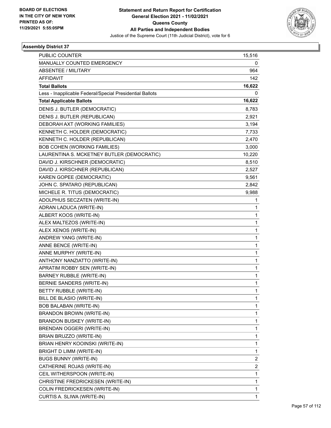

| 15,516       |
|--------------|
| 0            |
| 964          |
| 142          |
| 16,622       |
| 0            |
| 16,622       |
| 8,783        |
| 2,921        |
| 3,194        |
| 7,733        |
| 2,470        |
| 3,000        |
| 10,220       |
| 8,510        |
| 2,527        |
| 9,561        |
| 2,842        |
| 9,988        |
| 1            |
| 1            |
| 1            |
| 1            |
| 1            |
| 1            |
| $\mathbf{1}$ |
| 1            |
| 1            |
| 1            |
| 1            |
| 1            |
| 1            |
| 1            |
| 1            |
| 1            |
| 1            |
| 1            |
| 1            |
| 1            |
| 1            |
| 2            |
| 2            |
| 1            |
| 1            |
| 1            |
| 1            |
|              |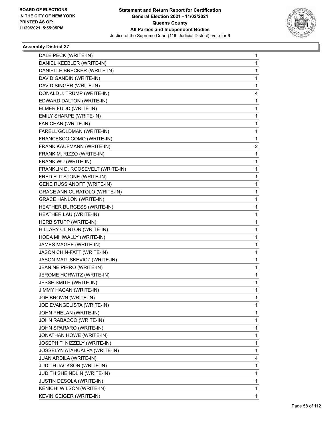

| DALE PECK (WRITE-IN)                 | 1            |
|--------------------------------------|--------------|
| DANIEL KEEBLER (WRITE-IN)            | 1            |
| DANIELLE BRECKER (WRITE-IN)          | 1            |
| DAVID GANDIN (WRITE-IN)              | 1            |
| DAVID SINGER (WRITE-IN)              | 1            |
| DONALD J. TRUMP (WRITE-IN)           | 4            |
| EDWARD DALTON (WRITE-IN)             | 1            |
| ELMER FUDD (WRITE-IN)                | 1            |
| EMILY SHARPE (WRITE-IN)              | 1            |
| FAN CHAN (WRITE-IN)                  | 1            |
| FARELL GOLDMAN (WRITE-IN)            | 1            |
| FRANCESCO COMO (WRITE-IN)            | 1            |
| FRANK KAUFMANN (WRITE-IN)            | 2            |
| FRANK M. RIZZO (WRITE-IN)            | 1            |
| FRANK WU (WRITE-IN)                  | 1            |
| FRANKLIN D. ROOSEVELT (WRITE-IN)     | 1            |
| FRED FLITSTONE (WRITE-IN)            | 1            |
| <b>GENE RUSSIANOFF (WRITE-IN)</b>    | 1            |
| <b>GRACE ANN CURATOLO (WRITE-IN)</b> | 1            |
| <b>GRACE HANLON (WRITE-IN)</b>       | 1            |
| HEATHER BURGESS (WRITE-IN)           | 1            |
| HEATHER LAU (WRITE-IN)               | 1            |
| HERB STUPP (WRITE-IN)                | 1            |
| HILLARY CLINTON (WRITE-IN)           | 1            |
| HODA MIHWALLY (WRITE-IN)             | 1            |
| JAMES MAGEE (WRITE-IN)               | 1            |
| JASON CHIN-FATT (WRITE-IN)           | 1            |
| JASON MATUSKEVICZ (WRITE-IN)         | 1            |
| JEANINE PIRRO (WRITE-IN)             | 1            |
| JEROME HORWITZ (WRITE-IN)            | 1            |
| <b>JESSE SMITH (WRITE-IN)</b>        | 1            |
| JIMMY HAGAN (WRITE-IN)               | 1            |
| JOE BROWN (WRITE-IN)                 | 1            |
| JOE EVANGELISTA (WRITE-IN)           | 1            |
| JOHN PHELAN (WRITE-IN)               | 1            |
| JOHN RABACCO (WRITE-IN)              | 1            |
| JOHN SPARARO (WRITE-IN)              | 1            |
| JONATHAN HOWE (WRITE-IN)             | 1            |
| JOSEPH T. NIZZELY (WRITE-IN)         | 1            |
| JOSSELYN ATAHUALPA (WRITE-IN)        | 1            |
| JUAN ARDILA (WRITE-IN)               | 4            |
| <b>JUDITH JACKSON (WRITE-IN)</b>     | 1            |
| JUDITH SHEINDLIN (WRITE-IN)          | 1            |
| JUSTIN DESOLA (WRITE-IN)             | 1            |
| KENICHI WILSON (WRITE-IN)            | 1            |
| KEVIN GEIGER (WRITE-IN)              | $\mathbf{1}$ |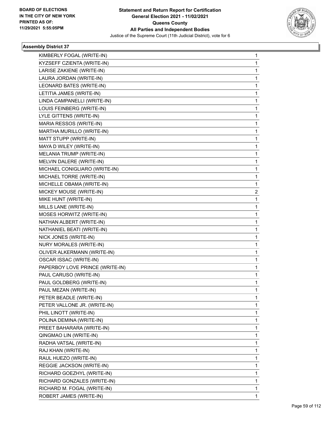

| KIMBERLY FOGAL (WRITE-IN)       | 1            |
|---------------------------------|--------------|
| KYZSEFF CZIENTA (WRITE-IN)      | 1            |
| LARISE ZAKIENE (WRITE-IN)       | $\mathbf{1}$ |
| LAURA JORDAN (WRITE-IN)         | 1            |
| LEONARD BATES (WRITE-IN)        | 1            |
| LETITIA JAMES (WRITE-IN)        | 1            |
| LINDA CAMPANELLI (WRITE-IN)     | 1            |
| LOUIS FEINBERG (WRITE-IN)       | 1            |
| LYLE GITTENS (WRITE-IN)         | $\mathbf{1}$ |
| MARIA RESSOS (WRITE-IN)         | 1            |
| MARTHA MURILLO (WRITE-IN)       | 1            |
| MATT STUPP (WRITE-IN)           | 1            |
| MAYA D WILEY (WRITE-IN)         | 1            |
| MELANIA TRUMP (WRITE-IN)        | 1            |
| MELVIN DALERE (WRITE-IN)        | $\mathbf{1}$ |
| MICHAEL CONIGLIARO (WRITE-IN)   | 1            |
| MICHAEL TORRE (WRITE-IN)        | 1            |
| MICHELLE OBAMA (WRITE-IN)       | 1            |
| MICKEY MOUSE (WRITE-IN)         | 2            |
| MIKE HUNT (WRITE-IN)            | 1            |
| MILLS LANE (WRITE-IN)           | $\mathbf{1}$ |
| MOSES HORWITZ (WRITE-IN)        | 1            |
| NATHAN ALBERT (WRITE-IN)        | 1            |
| NATHANIEL BEATI (WRITE-IN)      | 1            |
| NICK JONES (WRITE-IN)           | 1            |
| <b>NURY MORALES (WRITE-IN)</b>  | 1            |
| OLIVER ALKERMANN (WRITE-IN)     | $\mathbf{1}$ |
| <b>OSCAR ISSAC (WRITE-IN)</b>   | 1            |
| PAPERBOY LOVE PRINCE (WRITE-IN) | 1            |
| PAUL CARUSO (WRITE-IN)          | 1            |
| PAUL GOLDBERG (WRITE-IN)        | 1            |
| PAUL MEZAN (WRITE-IN)           | 1            |
| PETER BEADLE (WRITE-IN)         | 1            |
| PETER VALLONE JR. (WRITE-IN)    | 1            |
| PHIL LINOTT (WRITE-IN)          | 1            |
| POLINA DEMINA (WRITE-IN)        | $\mathbf{1}$ |
| PREET BAHARARA (WRITE-IN)       | 1            |
| QINGMAO LIN (WRITE-IN)          | 1            |
| RADHA VATSAL (WRITE-IN)         | 1            |
| RAJ KHAN (WRITE-IN)             | 1            |
| RAUL HUEZO (WRITE-IN)           | 1            |
| REGGIE JACKSON (WRITE-IN)       | $\mathbf{1}$ |
| RICHARD GOEZHYL (WRITE-IN)      | 1            |
| RICHARD GONZALES (WRITE-IN)     | 1            |
| RICHARD M. FOGAL (WRITE-IN)     | 1            |
| ROBERT JAMES (WRITE-IN)         | 1            |
|                                 |              |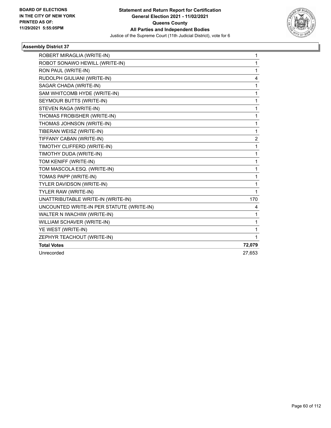

| ROBERT MIRAGLIA (WRITE-IN)                | 1              |
|-------------------------------------------|----------------|
| ROBOT SONAWO HEWILL (WRITE-IN)            | 1              |
| RON PAUL (WRITE-IN)                       | $\mathbf{1}$   |
| RUDOLPH GIULIANI (WRITE-IN)               | 4              |
| SAGAR CHADA (WRITE-IN)                    | 1              |
| SAM WHITCOMB HYDE (WRITE-IN)              | 1              |
| SEYMOUR BUTTS (WRITE-IN)                  | 1              |
| STEVEN RAGA (WRITE-IN)                    | 1              |
| THOMAS FROBISHER (WRITE-IN)               | 1              |
| THOMAS JOHNSON (WRITE-IN)                 | 1              |
| TIBERAN WEISZ (WRITE-IN)                  | 1              |
| TIFFANY CABAN (WRITE-IN)                  | $\overline{2}$ |
| TIMOTHY CLIFFERD (WRITE-IN)               | 1              |
| TIMOTHY DUDA (WRITE-IN)                   | $\mathbf{1}$   |
| TOM KENIFF (WRITE-IN)                     | 1              |
| TOM MASCOLA ESQ. (WRITE-IN)               | 1              |
| TOMAS PAPP (WRITE-IN)                     | 1              |
| TYLER DAVIDSON (WRITE-IN)                 | 1              |
| <b>TYLER RAW (WRITE-IN)</b>               | 1              |
| UNATTRIBUTABLE WRITE-IN (WRITE-IN)        | 170            |
| UNCOUNTED WRITE-IN PER STATUTE (WRITE-IN) | 4              |
| WALTER N IWACHIW (WRITE-IN)               | 1              |
| WILLIAM SCHAVER (WRITE-IN)                | 1              |
| YE WEST (WRITE-IN)                        | 1              |
| ZEPHYR TEACHOUT (WRITE-IN)                | 1              |
| <b>Total Votes</b>                        | 72,079         |
| Unrecorded                                | 27,653         |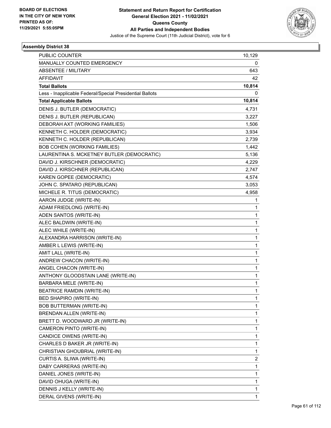

| <b>PUBLIC COUNTER</b>                                    |              |
|----------------------------------------------------------|--------------|
| <b>MANUALLY COUNTED EMERGENCY</b>                        | 10,129<br>0  |
| <b>ABSENTEE / MILITARY</b>                               | 643          |
| <b>AFFIDAVIT</b>                                         | 42           |
| <b>Total Ballots</b>                                     | 10,814       |
| Less - Inapplicable Federal/Special Presidential Ballots | 0            |
| <b>Total Applicable Ballots</b>                          | 10,814       |
| DENIS J. BUTLER (DEMOCRATIC)                             | 4,731        |
| DENIS J. BUTLER (REPUBLICAN)                             | 3,227        |
| DEBORAH AXT (WORKING FAMILIES)                           | 1,506        |
| KENNETH C. HOLDER (DEMOCRATIC)                           | 3,934        |
| KENNETH C. HOLDER (REPUBLICAN)                           | 2,739        |
| <b>BOB COHEN (WORKING FAMILIES)</b>                      | 1,442        |
| LAURENTINA S. MCKETNEY BUTLER (DEMOCRATIC)               | 5,136        |
| DAVID J. KIRSCHNER (DEMOCRATIC)                          | 4,229        |
| DAVID J. KIRSCHNER (REPUBLICAN)                          | 2,747        |
| KAREN GOPEE (DEMOCRATIC)                                 | 4,574        |
| JOHN C. SPATARO (REPUBLICAN)                             | 3,053        |
| MICHELE R. TITUS (DEMOCRATIC)                            | 4,958        |
| AARON JUDGE (WRITE-IN)                                   | 1            |
| ADAM FRIEDLONG (WRITE-IN)                                | 1            |
| ADEN SANTOS (WRITE-IN)                                   | 1            |
| ALEC BALDWIN (WRITE-IN)                                  | $\mathbf{1}$ |
| ALEC WHILE (WRITE-IN)                                    | 1            |
| ALEXANDRA HARRISON (WRITE-IN)                            | 1            |
| AMBER L LEWIS (WRITE-IN)                                 | $\mathbf{1}$ |
| AMIT LALL (WRITE-IN)                                     | 1            |
| ANDREW CHACON (WRITE-IN)                                 | 1            |
| ANGEL CHACON (WRITE-IN)                                  | $\mathbf{1}$ |
| ANTHONY GLOODSTAIN LANE (WRITE-IN)                       | 1            |
| BARBARA MELE (WRITE-IN)                                  | 1            |
| <b>BEATRICE RAMDIN (WRITE-IN)</b>                        | 1            |
| BED SHAPIRO (WRITE-IN)                                   | 1            |
| <b>BOB BUTTERMAN (WRITE-IN)</b>                          | 1            |
| BRENDAN ALLEN (WRITE-IN)                                 | $\mathbf{1}$ |
| BRETT D. WOODWARD JR (WRITE-IN)                          | 1            |
| CAMERON PINTO (WRITE-IN)                                 | 1            |
| CANDICE OWENS (WRITE-IN)                                 | 1            |
| CHARLES D BAKER JR (WRITE-IN)                            | 1            |
| CHRISTIAN GHOUBRIAL (WRITE-IN)                           | 1            |
| CURTIS A. SLIWA (WRITE-IN)                               | 2            |
| DABY CARRERAS (WRITE-IN)                                 | 1            |
| DANIEL JONES (WRITE-IN)                                  | 1            |
| DAVID OHUGA (WRITE-IN)                                   | $\mathbf{1}$ |
| DENNIS J KELLY (WRITE-IN)                                | 1            |
| DERAL GIVENS (WRITE-IN)                                  | $\mathbf{1}$ |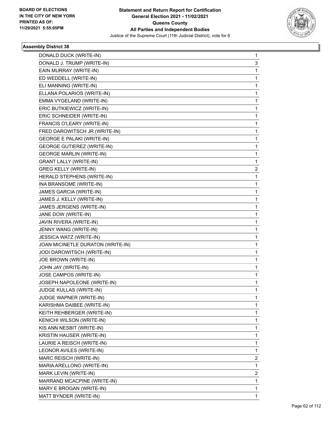

| DONALD DUCK (WRITE-IN)            | 1 |
|-----------------------------------|---|
| DONALD J. TRUMP (WRITE-IN)        | 3 |
| EAIN MURRAY (WRITE-IN)            | 1 |
| ED WEDDELL (WRITE-IN)             | 1 |
| ELI MANNING (WRITE-IN)            | 1 |
| ELLANA POLARIOS (WRITE-IN)        | 1 |
| EMMA VYGELAND (WRITE-IN)          | 1 |
| ERIC BUTKIEWICZ (WRITE-IN)        | 1 |
| ERIC SCHNEIDER (WRITE-IN)         | 1 |
| FRANCIS O'LEARY (WRITE-IN)        | 1 |
| FRED DAROWITSCH JR (WRITE-IN)     | 1 |
| <b>GEORGE E PALAKI (WRITE-IN)</b> | 1 |
| <b>GEORGE GUTIEREZ (WRITE-IN)</b> | 1 |
| <b>GEORGE MARLIN (WRITE-IN)</b>   | 1 |
| <b>GRANT LALLY (WRITE-IN)</b>     | 1 |
| <b>GREG KELLY (WRITE-IN)</b>      | 2 |
| HERALD STEPHENS (WRITE-IN)        | 1 |
| INA BRANSOME (WRITE-IN)           | 1 |
| JAMES GARCIA (WRITE-IN)           | 1 |
| JAMES J. KELLY (WRITE-IN)         | 1 |
| JAMES JERGENS (WRITE-IN)          | 1 |
| JANE DOW (WRITE-IN)               | 1 |
| JAVIN RIVERA (WRITE-IN)           | 1 |
| JENNY WANG (WRITE-IN)             | 1 |
| JESSICA WATZ (WRITE-IN)           | 1 |
| JOAN MICINETLE DURATON (WRITE-IN) | 1 |
| JODI DAROWITSCH (WRITE-IN)        | 1 |
| JOE BROWN (WRITE-IN)              | 1 |
| JOHN JAY (WRITE-IN)               | 1 |
| JOSE CAMPOS (WRITE-IN)            | 1 |
| JOSEPH NAPOLEONE (WRITE-IN)       | 1 |
| JUDGE KULLAS (WRITE-IN)           | 1 |
| JUDGE WAPNER (WRITE-IN)           | 1 |
| KARISHMA DAIBEE (WRITE-IN)        | 1 |
| KEITH REHBERGER (WRITE-IN)        | 1 |
| KENICHI WILSON (WRITE-IN)         | 1 |
| KIS ANN NESBIT (WRITE-IN)         | 1 |
| KRISTIN HAUSER (WRITE-IN)         | 1 |
| LAURIE A REISCH (WRITE-IN)        | 1 |
| LEONOR AVILES (WRITE-IN)          | 1 |
| MARC REISCH (WRITE-IN)            | 2 |
| MARIA ARELLONO (WRITE-IN)         | 1 |
| MARK LEVIN (WRITE-IN)             | 2 |
| MARRAND MCACPINE (WRITE-IN)       | 1 |
| MARY E BROGAN (WRITE-IN)          | 1 |
| MATT BYNDER (WRITE-IN)            | 1 |
|                                   |   |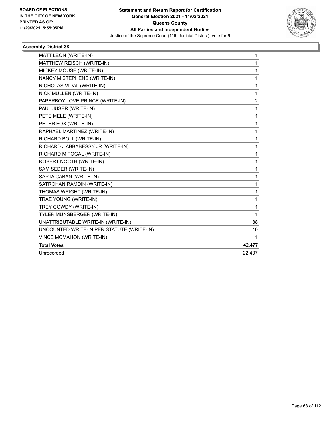

| MATT LEON (WRITE-IN)                      | 1              |
|-------------------------------------------|----------------|
| MATTHEW REISCH (WRITE-IN)                 | 1              |
| MICKEY MOUSE (WRITE-IN)                   | 1              |
| NANCY M STEPHENS (WRITE-IN)               | 1              |
| NICHOLAS VIDAL (WRITE-IN)                 | 1              |
| NICK MULLEN (WRITE-IN)                    | 1              |
| PAPERBOY LOVE PRINCE (WRITE-IN)           | $\overline{2}$ |
| PAUL JUSER (WRITE-IN)                     | 1              |
| PETE MELE (WRITE-IN)                      | 1              |
| PETER FOX (WRITE-IN)                      | 1              |
| RAPHAEL MARTINEZ (WRITE-IN)               | 1              |
| RICHARD BOLL (WRITE-IN)                   | 1              |
| RICHARD J ABBABESSY JR (WRITE-IN)         | 1              |
| RICHARD M FOGAL (WRITE-IN)                | 1              |
| ROBERT NOCTH (WRITE-IN)                   | 1              |
| SAM SEDER (WRITE-IN)                      | 1              |
| SAPTA CABAN (WRITE-IN)                    | 1              |
| SATROHAN RAMDIN (WRITE-IN)                | 1              |
| THOMAS WRIGHT (WRITE-IN)                  | 1              |
| TRAE YOUNG (WRITE-IN)                     | 1              |
| TREY GOWDY (WRITE-IN)                     | 1              |
| TYLER MUNSBERGER (WRITE-IN)               | 1              |
| UNATTRIBUTABLE WRITE-IN (WRITE-IN)        | 88             |
| UNCOUNTED WRITE-IN PER STATUTE (WRITE-IN) | 10             |
| <b>VINCE MCMAHON (WRITE-IN)</b>           | 1              |
| <b>Total Votes</b>                        | 42,477         |
| Unrecorded                                | 22.407         |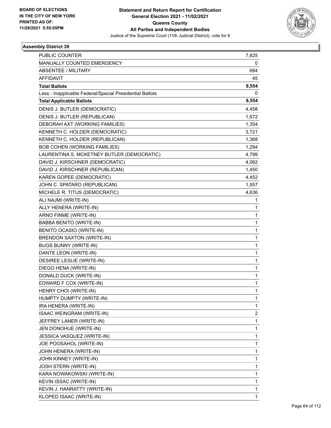

| PUBLIC COUNTER                                           | 7,825        |
|----------------------------------------------------------|--------------|
| MANUALLY COUNTED EMERGENCY                               | 0            |
| <b>ABSENTEE / MILITARY</b>                               | 684          |
| <b>AFFIDAVIT</b>                                         | 45           |
| <b>Total Ballots</b>                                     | 8,554        |
| Less - Inapplicable Federal/Special Presidential Ballots | 0            |
| <b>Total Applicable Ballots</b>                          | 8,554        |
| DENIS J. BUTLER (DEMOCRATIC)                             | 4,458        |
| DENIS J. BUTLER (REPUBLICAN)                             | 1,672        |
| DEBORAH AXT (WORKING FAMILIES)                           | 1,354        |
| KENNETH C. HOLDER (DEMOCRATIC)                           | 3,721        |
| KENNETH C. HOLDER (REPUBLICAN)                           | 1,368        |
| <b>BOB COHEN (WORKING FAMILIES)</b>                      | 1,294        |
| LAURENTINA S. MCKETNEY BUTLER (DEMOCRATIC)               | 4,799        |
| DAVID J. KIRSCHNER (DEMOCRATIC)                          | 4,062        |
| DAVID J. KIRSCHNER (REPUBLICAN)                          | 1,450        |
| KAREN GOPEE (DEMOCRATIC)                                 | 4,452        |
| JOHN C. SPATARO (REPUBLICAN)                             | 1,557        |
| MICHELE R. TITUS (DEMOCRATIC)                            | 4,636        |
| ALI NAJMI (WRITE-IN)                                     | 1            |
| ALLY HENERA (WRITE-IN)                                   | 1            |
| ARNO FINME (WRITE-IN)                                    | $\mathbf{1}$ |
| BABBA BENITO (WRITE-IN)                                  | $\mathbf{1}$ |
| BENITO OCASIO (WRITE-IN)                                 | 1            |
| <b>BRENDON SAXTON (WRITE-IN)</b>                         | $\mathbf 1$  |
| <b>BUGS BUNNY (WRITE-IN)</b>                             | $\mathbf{1}$ |
| DANTE LEON (WRITE-IN)                                    | 1            |
| DESIREE LESLIE (WRITE-IN)                                | $\mathbf 1$  |
| DIEGO HENA (WRITE-IN)                                    | $\mathbf{1}$ |
| DONALD DUCK (WRITE-IN)                                   | 1            |
| EDWARD F COX (WRITE-IN)                                  | $\mathbf{1}$ |
| HENRY CHOI (WRITE-IN)                                    | 1            |
| HUMPTY DUMPTY (WRITE-IN)                                 | 1            |
| IRA HENERA (WRITE-IN)                                    | $\mathbf{1}$ |
| ISAAC WEINGRAM (WRITE-IN)                                | 2            |
| JEFFREY LANER (WRITE-IN)                                 | 1            |
| JEN DONOHUE (WRITE-IN)                                   | $\mathbf 1$  |
| JESSICA VASQUEZ (WRITE-IN)                               | $\mathbf 1$  |
| JOE POOSAHOL (WRITE-IN)                                  | 1            |
| JOHN HENERA (WRITE-IN)                                   | $\mathbf{1}$ |
| JOHN KINNEY (WRITE-IN)                                   | 1            |
| JOSH STERN (WRITE-IN)                                    | 1            |
| KARA NOWAKOWSKI (WRITE-IN)                               | $\mathbf 1$  |
| KEVIN ISSAC (WRITE-IN)                                   | $\mathbf{1}$ |
| KEVIN J. HANRATTY (WRITE-IN)                             | 1            |
| KLOPED ISAAC (WRITE-IN)                                  | $\mathbf{1}$ |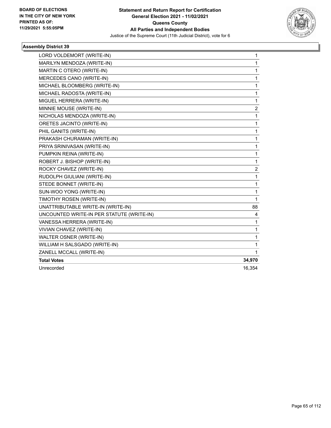

| LORD VOLDEMORT (WRITE-IN)                 | 1              |
|-------------------------------------------|----------------|
| MARILYN MENDOZA (WRITE-IN)                | 1              |
| MARTIN C OTERO (WRITE-IN)                 | 1              |
| MERCEDES CANO (WRITE-IN)                  | 1              |
| MICHAEL BLOOMBERG (WRITE-IN)              | 1              |
| MICHAEL RADOSTA (WRITE-IN)                | 1              |
| MIGUEL HERRERA (WRITE-IN)                 | 1              |
| MINNIE MOUSE (WRITE-IN)                   | $\overline{c}$ |
| NICHOLAS MENDOZA (WRITE-IN)               | 1              |
| ORETES JACINTO (WRITE-IN)                 | 1              |
| PHIL GANITS (WRITE-IN)                    | 1              |
| PRAKASH CHURAMAN (WRITE-IN)               | 1              |
| PRIYA SRINIVASAN (WRITE-IN)               | 1              |
| PUMPKIN REINA (WRITE-IN)                  | 1              |
| ROBERT J. BISHOP (WRITE-IN)               | $\mathbf{1}$   |
| ROCKY CHAVEZ (WRITE-IN)                   | 2              |
| RUDOLPH GIULIANI (WRITE-IN)               | 1              |
| STEDE BONNET (WRITE-IN)                   | 1              |
| SUN-WOO YONG (WRITE-IN)                   | 1              |
| TIMOTHY ROSEN (WRITE-IN)                  | 1              |
| UNATTRIBUTABLE WRITE-IN (WRITE-IN)        | 88             |
| UNCOUNTED WRITE-IN PER STATUTE (WRITE-IN) | 4              |
| VANESSA HERRERA (WRITE-IN)                | 1              |
| VIVIAN CHAVEZ (WRITE-IN)                  | 1              |
| WALTER OSNER (WRITE-IN)                   | 1              |
| WILLIAM H SALSGADO (WRITE-IN)             | 1              |
| ZANELL MCCALL (WRITE-IN)                  | 1              |
| <b>Total Votes</b>                        | 34,970         |
| Unrecorded                                | 16,354         |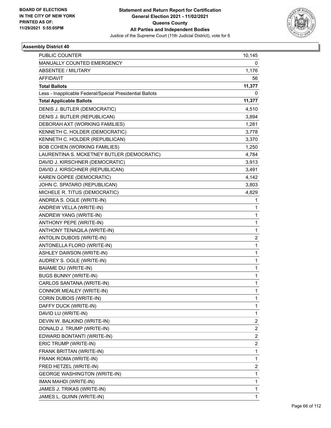

| <b>PUBLIC COUNTER</b>                                    | 10,145                  |
|----------------------------------------------------------|-------------------------|
| MANUALLY COUNTED EMERGENCY                               | 0                       |
| <b>ABSENTEE / MILITARY</b>                               | 1,176                   |
| <b>AFFIDAVIT</b>                                         | 56                      |
| <b>Total Ballots</b>                                     | 11,377                  |
| Less - Inapplicable Federal/Special Presidential Ballots | 0                       |
| <b>Total Applicable Ballots</b>                          | 11,377                  |
| DENIS J. BUTLER (DEMOCRATIC)                             | 4,510                   |
| DENIS J. BUTLER (REPUBLICAN)                             | 3,894                   |
| DEBORAH AXT (WORKING FAMILIES)                           | 1,281                   |
| KENNETH C. HOLDER (DEMOCRATIC)                           | 3,778                   |
| KENNETH C. HOLDER (REPUBLICAN)                           | 3,370                   |
| <b>BOB COHEN (WORKING FAMILIES)</b>                      | 1,250                   |
| LAURENTINA S. MCKETNEY BUTLER (DEMOCRATIC)               | 4,784                   |
| DAVID J. KIRSCHNER (DEMOCRATIC)                          | 3,913                   |
| DAVID J. KIRSCHNER (REPUBLICAN)                          | 3,491                   |
| KAREN GOPEE (DEMOCRATIC)                                 | 4,142                   |
| JOHN C. SPATARO (REPUBLICAN)                             | 3,803                   |
| MICHELE R. TITUS (DEMOCRATIC)                            | 4,829                   |
| ANDREA S. OGLE (WRITE-IN)                                | 1                       |
| ANDREW VELLA (WRITE-IN)                                  | 1                       |
| ANDREW YANG (WRITE-IN)                                   | 1                       |
| ANTHONY PEPE (WRITE-IN)                                  | 1                       |
| ANTHONY TENAQILA (WRITE-IN)                              | 1                       |
| ANTOLIN DUBOIS (WRITE-IN)                                | $\overline{\mathbf{c}}$ |
| ANTONELLA FLORO (WRITE-IN)                               | 1                       |
| ASHLEY DAWSON (WRITE-IN)                                 | 1                       |
| AUDREY S. OGLE (WRITE-IN)                                | 1                       |
| <b>BAIAME DU (WRITE-IN)</b>                              | 1                       |
| <b>BUGS BUNNY (WRITE-IN)</b>                             | 1                       |
| CARLOS SANTANA (WRITE-IN)                                | 1                       |
| CONNOR MEALEY (WRITE-IN)                                 | 1                       |
| CORIN DUBOIS (WRITE-IN)                                  | 1                       |
| DAFFY DUCK (WRITE-IN)                                    | 1                       |
| DAVID LU (WRITE-IN)                                      | 1                       |
| DEVIN W. BALKIND (WRITE-IN)                              | 2                       |
| DONALD J. TRUMP (WRITE-IN)                               | $\overline{\mathbf{c}}$ |
| EDWARD BONTANTI (WRITE-IN)                               | $\overline{2}$          |
| ERIC TRUMP (WRITE-IN)                                    | 2                       |
| FRANK BRITTAN (WRITE-IN)                                 | 1                       |
| FRANK ROMA (WRITE-IN)                                    | 1                       |
| FRED HETZEL (WRITE-IN)                                   | 2                       |
| <b>GEORGE WASHINGTON (WRITE-IN)</b>                      | 1                       |
| IMAN MAHDI (WRITE-IN)                                    | 1                       |
| JAMES J. TRIKAS (WRITE-IN)                               | 1                       |
| JAMES L. QUINN (WRITE-IN)                                | $\mathbf{1}$            |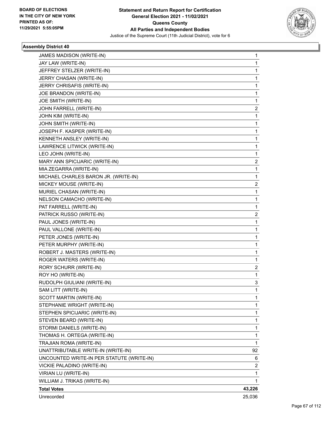

| JAMES MADISON (WRITE-IN)                  | 1      |
|-------------------------------------------|--------|
| JAY LAW (WRITE-IN)                        | 1      |
| JEFFREY STELZER (WRITE-IN)                | 1      |
| JERRY CHASAN (WRITE-IN)                   | 1      |
| JERRY CHRISAFIS (WRITE-IN)                | 1      |
| JOE BRANDON (WRITE-IN)                    | 1      |
| JOE SMITH (WRITE-IN)                      | 1      |
| JOHN FARRELL (WRITE-IN)                   | 2      |
| JOHN KIM (WRITE-IN)                       | 1      |
| JOHN SMITH (WRITE-IN)                     | 1      |
| JOSEPH F. KASPER (WRITE-IN)               | 1      |
| KENNETH ANSLEY (WRITE-IN)                 | 1      |
| LAWRENCE LITWICK (WRITE-IN)               | 1      |
| LEO JOHN (WRITE-IN)                       | 1      |
| MARY ANN SPICIJARIC (WRITE-IN)            | 2      |
| MIA ZEGARRA (WRITE-IN)                    | 1      |
| MICHAEL CHARLES BARON JR. (WRITE-IN)      | 1      |
| MICKEY MOUSE (WRITE-IN)                   | 2      |
| MURIEL CHASAN (WRITE-IN)                  | 1      |
| NELSON CAMACHO (WRITE-IN)                 | 1      |
| PAT FARRELL (WRITE-IN)                    | 1      |
| PATRICK RUSSO (WRITE-IN)                  | 2      |
| PAUL JONES (WRITE-IN)                     | 1      |
| PAUL VALLONE (WRITE-IN)                   | 1      |
| PETER JONES (WRITE-IN)                    | 1      |
| PETER MURPHY (WRITE-IN)                   | 1      |
| ROBERT J. MASTERS (WRITE-IN)              | 1      |
| ROGER WATERS (WRITE-IN)                   | 1      |
| RORY SCHURR (WRITE-IN)                    | 2      |
| ROY HO (WRITE-IN)                         | 1      |
| RUDOLPH GIULIANI (WRITE-IN)               | 3      |
| SAM LITT (WRITE-IN)                       | 1      |
| SCOTT MARTIN (WRITE-IN)                   | 1      |
| STEPHANIE WRIGHT (WRITE-IN)               | 1      |
| STEPHEN SPICIJARIC (WRITE-IN)             | 1      |
| STEVEN BEARD (WRITE-IN)                   | 1      |
| STORMI DANIELS (WRITE-IN)                 | 1      |
| THOMAS H. ORTEGA (WRITE-IN)               | 1      |
| TRAJIAN ROMA (WRITE-IN)                   | 1      |
| UNATTRIBUTABLE WRITE-IN (WRITE-IN)        | 92     |
| UNCOUNTED WRITE-IN PER STATUTE (WRITE-IN) | 6      |
| VICKIE PALADINO (WRITE-IN)                | 2      |
| VIRIAN LU (WRITE-IN)                      | 1      |
| WILLIAM J. TRIKAS (WRITE-IN)              | 1      |
| <b>Total Votes</b>                        | 43,226 |
| Unrecorded                                | 25,036 |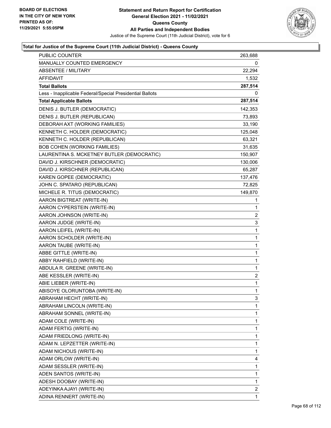

| PUBLIC COUNTER                                           | 263,688                 |
|----------------------------------------------------------|-------------------------|
| MANUALLY COUNTED EMERGENCY                               | 0                       |
| <b>ABSENTEE / MILITARY</b>                               | 22,294                  |
| AFFIDAVIT                                                | 1,532                   |
| <b>Total Ballots</b>                                     | 287,514                 |
| Less - Inapplicable Federal/Special Presidential Ballots | 0                       |
| <b>Total Applicable Ballots</b>                          | 287,514                 |
| DENIS J. BUTLER (DEMOCRATIC)                             | 142,353                 |
| DENIS J. BUTLER (REPUBLICAN)                             | 73,893                  |
| DEBORAH AXT (WORKING FAMILIES)                           | 33,190                  |
| KENNETH C. HOLDER (DEMOCRATIC)                           | 125,048                 |
| KENNETH C. HOLDER (REPUBLICAN)                           | 63,321                  |
| BOB COHEN (WORKING FAMILIES)                             | 31,635                  |
| LAURENTINA S. MCKETNEY BUTLER (DEMOCRATIC)               | 150,907                 |
| DAVID J. KIRSCHNER (DEMOCRATIC)                          | 130,006                 |
| DAVID J. KIRSCHNER (REPUBLICAN)                          | 65,287                  |
| KAREN GOPEE (DEMOCRATIC)                                 | 137,476                 |
| JOHN C. SPATARO (REPUBLICAN)                             | 72,825                  |
| MICHELE R. TITUS (DEMOCRATIC)                            | 149,870                 |
| AARON BIGTREAT (WRITE-IN)                                | 1                       |
| AARON CYPERSTEIN (WRITE-IN)                              | 1                       |
| AARON JOHNSON (WRITE-IN)                                 | $\overline{\mathbf{c}}$ |
| AARON JUDGE (WRITE-IN)                                   | 3                       |
| AARON LEIFEL (WRITE-IN)                                  | 1                       |
| AARON SCHOLDER (WRITE-IN)                                | 1                       |
| AARON TAUBE (WRITE-IN)                                   | 1                       |
| ABBE GITTLE (WRITE-IN)                                   | 1                       |
| ABBY RAHFIELD (WRITE-IN)                                 | 1                       |
| ABDULA R. GREENE (WRITE-IN)                              | 1                       |
| ABE KESSLER (WRITE-IN)                                   | $\overline{c}$          |
| ABIE LIEBER (WRITE-IN)                                   | 1                       |
| ABISOYE OLORUNTOBA (WRITE-IN)                            | 1                       |
| ABRAHAM HECHT (WRITE-IN)                                 | 3                       |
| ABRAHAM LINCOLN (WRITE-IN)                               | 1                       |
| ABRAHAM SONNEL (WRITE-IN)                                | 1                       |
| ADAM COLE (WRITE-IN)                                     | 1                       |
| ADAM FERTIG (WRITE-IN)                                   | 1                       |
| ADAM FRIEDLONG (WRITE-IN)                                | 1                       |
| ADAM N. LEPZETTER (WRITE-IN)                             | 1                       |
| ADAM NICHOUS (WRITE-IN)                                  | 1                       |
| ADAM ORLOW (WRITE-IN)                                    | 4                       |
| ADAM SESSLER (WRITE-IN)                                  | 1                       |
| ADEN SANTOS (WRITE-IN)                                   | 1                       |
| ADESH DOOBAY (WRITE-IN)                                  | 1                       |
| ADEYINKA AJAYI (WRITE-IN)                                | 2                       |
| ADINA RENNERT (WRITE-IN)                                 | 1                       |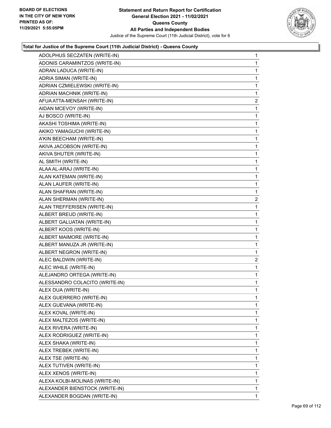

| ADOLPHUS SECZATEN (WRITE-IN)   | 1              |
|--------------------------------|----------------|
| ADONIS CARAMINTZOS (WRITE-IN)  | 1              |
| ADRAN LADUCA (WRITE-IN)        | 1              |
| ADRIA SIMAN (WRITE-IN)         | 1              |
| ADRIAN CZMIELEWSKI (WRITE-IN)  | 1              |
| ADRIAN MACHNIK (WRITE-IN)      | 1              |
| AFUA ATTA-MENSAH (WRITE-IN)    | $\overline{2}$ |
| AIDAN MCEVOY (WRITE-IN)        | 1              |
| AJ BOSCO (WRITE-IN)            | 1              |
| AKASHI TOSHIMA (WRITE-IN)      | 1              |
| AKIKO YAMAGUCHI (WRITE-IN)     | 1              |
| A'KIN BEECHAM (WRITE-IN)       | 1              |
| AKIVA JACOBSON (WRITE-IN)      | 1              |
| AKIVA SHUTER (WRITE-IN)        | 1              |
| AL SMITH (WRITE-IN)            | 1              |
| ALAA AL-ARAJ (WRITE-IN)        | 1              |
| ALAN KATEMAN (WRITE-IN)        | 1              |
| ALAN LAUFER (WRITE-IN)         | 1              |
| ALAN SHAFRAN (WRITE-IN)        | 1              |
| ALAN SHERMAN (WRITE-IN)        | 2              |
| ALAN TREFFERISEN (WRITE-IN)    | 1              |
| ALBERT BREUD (WRITE-IN)        | 1              |
| ALBERT GALUATAN (WRITE-IN)     | 1              |
| ALBERT KOOS (WRITE-IN)         | 1              |
| ALBERT MAIMORE (WRITE-IN)      | 1              |
| ALBERT MANUZA JR (WRITE-IN)    | 1              |
| ALBERT NEGRON (WRITE-IN)       | 1              |
| ALEC BALDWIN (WRITE-IN)        | $\overline{c}$ |
| ALEC WHILE (WRITE-IN)          | 1              |
| ALEJANDRO ORTEGA (WRITE-IN)    | 1              |
| ALESSANDRO COLACITO (WRITE-IN) | 1              |
| ALEX DUA (WRITE-IN)            | 1              |
| ALEX GUERRERO (WRITE-IN)       | 1              |
| ALEX GUEVANA (WRITE-IN)        | 1              |
| ALEX KOVAL (WRITE-IN)          | 1              |
| ALEX MALTEZOS (WRITE-IN)       | 1              |
| ALEX RIVERA (WRITE-IN)         | 1              |
| ALEX RODRIGUEZ (WRITE-IN)      | 1              |
| ALEX SHAKA (WRITE-IN)          | 1              |
| ALEX TREBEK (WRITE-IN)         | 1              |
| ALEX TSE (WRITE-IN)            | 1              |
| ALEX TUTIVEN (WRITE-IN)        | 1              |
| ALEX XENOS (WRITE-IN)          | 1              |
| ALEXA KOLBI-MOLINAS (WRITE-IN) | 1              |
| ALEXANDER BIENSTOCK (WRITE-IN) | 1              |
| ALEXANDER BOGDAN (WRITE-IN)    | 1              |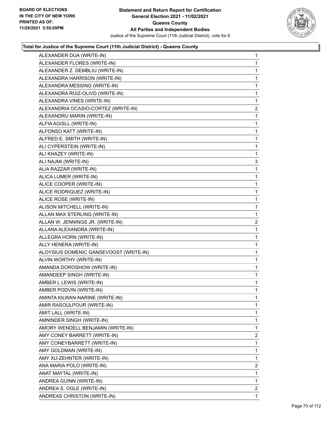

| ALEXANDER DUA (WRITE-IN)               | $\mathbf{1}$   |
|----------------------------------------|----------------|
| ALEXANDER FLORES (WRITE-IN)            | $\mathbf{1}$   |
| ALEXANDER Z. DEMBLIU (WRITE-IN)        | 1              |
| ALEXANDRA HARRISON (WRITE-IN)          | $\mathbf 1$    |
| ALEXANDRA MESSING (WRITE-IN)           | 1              |
| ALEXANDRA RUIZ-OLIVD (WRITE-IN)        | 1              |
| ALEXANDRA VINES (WRITE-IN)             | 1              |
| ALEXANDRIA OCASIO-CORTEZ (WRITE-IN)    | $\overline{c}$ |
| ALEXANDRU MARIN (WRITE-IN)             | 1              |
| ALFIA AGISLL (WRITE-IN)                | $\mathbf 1$    |
| ALFONSO KATT (WRITE-IN)                | 1              |
| ALFRED E. SMITH (WRITE-IN)             | 1              |
| ALI CYPERSTEIN (WRITE-IN)              | 1              |
| ALI KHAZEY (WRITE-IN)                  | 1              |
| ALI NAJMI (WRITE-IN)                   | 3              |
| ALIA RAZZAR (WRITE-IN)                 | $\mathbf 1$    |
| ALICA LUMER (WRITE-IN)                 | 1              |
| ALICE COOPER (WRITE-IN)                | 1              |
| ALICE RODRIQUEZ (WRITE-IN)             | 1              |
| ALICE ROSE (WRITE-IN)                  | $\mathbf 1$    |
| ALISON MITCHELL (WRITE-IN)             | $\mathbf{1}$   |
| ALLAN MAX STERLING (WRITE-IN)          | 1              |
| ALLAN W. JENNINGS JR. (WRITE-IN)       | 2              |
| ALLANA ALEXANDRA (WRITE-IN)            | 1              |
| ALLEGRA HORN (WRITE-IN)                | $\mathbf{1}$   |
| ALLY HENERA (WRITE-IN)                 | $\mathbf 1$    |
| ALOYSIUS DOMENIC GANSEVOOST (WRITE-IN) | 1              |
| ALVIN WORTHY (WRITE-IN)                | $\mathbf 1$    |
| AMANDA DOROSHOW (WRITE-IN)             | 1              |
| AMANDEEP SINGH (WRITE-IN)              | $\mathbf 1$    |
| AMBER L LEWIS (WRITE-IN)               | 1              |
| AMBER PODVIN (WRITE-IN)                | 1              |
| AMINTA KILWAN-NARINE (WRITE-IN)        | 1              |
| AMIR RASOULPOUR (WRITE-IN)             | 1              |
| AMIT LALL (WRITE-IN)                   | 1              |
| AMNINDER SINGH (WRITE-IN)              | $\mathbf{1}$   |
| AMORY WENDELL BENJAMIN (WRITE-IN)      | 1              |
| AMY CONEY BARRETT (WRITE-IN)           | 2              |
| AMY CONEYBARRETT (WRITE-IN)            | 1              |
| AMY GOLDMAN (WRITE-IN)                 | 1              |
| AMY XU-ZEHNTER (WRITE-IN)              | 1              |
| ANA MARIA POLO (WRITE-IN)              | 2              |
| ANAT MAYTAL (WRITE-IN)                 | 1              |
| ANDREA GUINN (WRITE-IN)                | 1              |
| ANDREA S. OGLE (WRITE-IN)              | $\overline{2}$ |
| ANDREAS CHRISTON (WRITE-IN)            | 1              |
|                                        |                |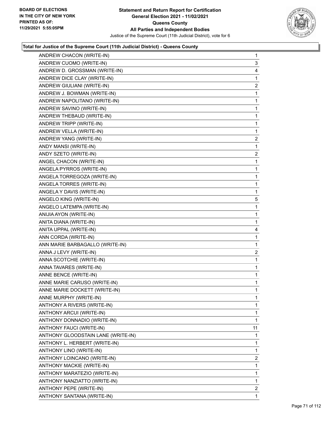

| ANDREW CHACON (WRITE-IN)           | 1                       |
|------------------------------------|-------------------------|
| ANDREW CUOMO (WRITE-IN)            | 3                       |
| ANDREW D. GROSSMAN (WRITE-IN)      | 4                       |
| ANDREW DICE CLAY (WRITE-IN)        | 1                       |
| ANDREW GIULIANI (WRITE-IN)         | $\overline{c}$          |
| ANDREW J. BOWMAN (WRITE-IN)        | 1                       |
| ANDREW NAPOLITANO (WRITE-IN)       | 1                       |
| ANDREW SAVINO (WRITE-IN)           | $\mathbf{1}$            |
| ANDREW THEBAUD (WRITE-IN)          | 1                       |
| ANDREW TRIPP (WRITE-IN)            | 1                       |
| ANDREW VELLA (WRITE-IN)            | 1                       |
| ANDREW YANG (WRITE-IN)             | 2                       |
| ANDY MANSI (WRITE-IN)              | 1                       |
| ANDY SZETO (WRITE-IN)              | $\overline{\mathbf{c}}$ |
| ANGEL CHACON (WRITE-IN)            | 1                       |
| ANGELA PYRROS (WRITE-IN)           | 1                       |
| ANGELA TORREGOZA (WRITE-IN)        | 1                       |
| ANGELA TORRES (WRITE-IN)           | 1                       |
| ANGELA Y DAVIS (WRITE-IN)          | 1                       |
| ANGELO KING (WRITE-IN)             | 5                       |
| ANGELO LATEMPA (WRITE-IN)          | 1                       |
| ANIJIA AYON (WRITE-IN)             | 1                       |
| ANITA DIANA (WRITE-IN)             | 1                       |
| ANITA UPPAL (WRITE-IN)             | 4                       |
| ANN CORDA (WRITE-IN)               | 1                       |
| ANN MARIE BARBAGALLO (WRITE-IN)    | 1                       |
| ANNA J LEVY (WRITE-IN)             | 2                       |
| ANNA SCOTCHIE (WRITE-IN)           | 1                       |
| ANNA TAVARES (WRITE-IN)            | 1                       |
| ANNE BENCE (WRITE-IN)              | 1                       |
| ANNE MARIE CARUSO (WRITE-IN)       | 1                       |
| ANNE MARIE DOCKETT (WRITE-IN)      | $\mathbf{1}$            |
| ANNE MURPHY (WRITE-IN)             | 1                       |
| ANTHONY A RIVERS (WRITE-IN)        | 1                       |
| ANTHONY ARCUI (WRITE-IN)           | 1                       |
| ANTHONY DONNADIO (WRITE-IN)        | 1                       |
| ANTHONY FAUCI (WRITE-IN)           | 11                      |
| ANTHONY GLOODSTAIN LANE (WRITE-IN) | 1                       |
| ANTHONY L. HERBERT (WRITE-IN)      | 1                       |
| ANTHONY LINO (WRITE-IN)            | 1                       |
| ANTHONY LOINCANO (WRITE-IN)        | $\overline{c}$          |
| ANTHONY MACKIE (WRITE-IN)          | 1                       |
| ANTHONY MARATEZIO (WRITE-IN)       | 1                       |
| ANTHONY NANZIATTO (WRITE-IN)       | 1                       |
| ANTHONY PEPE (WRITE-IN)            | 2                       |
| ANTHONY SANTANA (WRITE-IN)         | 1                       |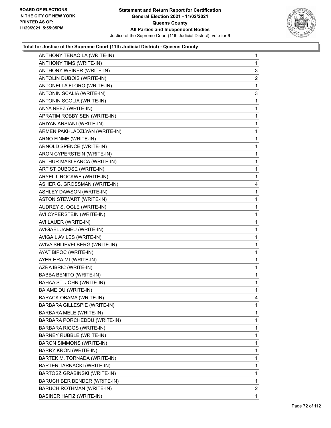

| ANTHONY TENAQILA (WRITE-IN)       | $\mathbf{1}$   |
|-----------------------------------|----------------|
| ANTHONY TIMS (WRITE-IN)           | 1              |
| ANTHONY WEINER (WRITE-IN)         | 3              |
| ANTOLIN DUBOIS (WRITE-IN)         | $\overline{2}$ |
| ANTONELLA FLORO (WRITE-IN)        | 1              |
| ANTONIN SCALIA (WRITE-IN)         | 3              |
| ANTONIN SCOLIA (WRITE-IN)         | 1              |
| ANYA NEEZ (WRITE-IN)              | 1              |
| APRATIM ROBBY SEN (WRITE-IN)      | 1              |
| ARIYAN ARSIANI (WRITE-IN)         | 1              |
| ARMEN PAKHLADZLYAN (WRITE-IN)     | 1              |
| ARNO FINME (WRITE-IN)             | 1              |
| ARNOLD SPENCE (WRITE-IN)          | 1              |
| ARON CYPERSTEIN (WRITE-IN)        | 1              |
| ARTHUR MASLEANCA (WRITE-IN)       | 1              |
| ARTIST DUBOSE (WRITE-IN)          | 1              |
| ARYEL I. ROCKWE (WRITE-IN)        | 1              |
| ASHER G. GROSSMAN (WRITE-IN)      | 4              |
| ASHLEY DAWSON (WRITE-IN)          | 1              |
| <b>ASTON STEWART (WRITE-IN)</b>   | 1              |
| AUDREY S. OGLE (WRITE-IN)         | 1              |
| AVI CYPERSTEIN (WRITE-IN)         | 1              |
| AVI LAUER (WRITE-IN)              | 1              |
| AVIGAEL JAMEU (WRITE-IN)          | 1              |
| AVIGAIL AVILES (WRITE-IN)         | 1              |
| AVIVA SHLIEVELBERG (WRITE-IN)     | 1              |
| AYAT BIPOC (WRITE-IN)             | 1              |
| AYER HRAIMI (WRITE-IN)            | 1              |
| AZRA IBRIC (WRITE-IN)             | 1              |
| BABBA BENITO (WRITE-IN)           | 1              |
| BAHAA ST. JOHN (WRITE-IN)         | 1              |
| <b>BAIAME DU (WRITE-IN)</b>       | 1              |
| BARACK OBAMA (WRITE-IN)           | 4              |
| BARBARA GILLESPIE (WRITE-IN)      | 1              |
| BARBARA MELE (WRITE-IN)           | 1              |
| BARBARA PORCHEDDU (WRITE-IN)      | 1              |
| BARBARA RIGGS (WRITE-IN)          | 1              |
| BARNEY RUBBLE (WRITE-IN)          | 1              |
| BARON SIMMONS (WRITE-IN)          | 1              |
| <b>BARRY KRON (WRITE-IN)</b>      | 1              |
| BARTEK M. TORNADA (WRITE-IN)      | 1              |
| <b>BARTER TARNACKI (WRITE-IN)</b> | 1              |
| BARTOSZ GRABINSKI (WRITE-IN)      | 1              |
| BARUCH BER BENDER (WRITE-IN)      | 1              |
| BARUCH ROTHMAN (WRITE-IN)         | $\mathbf{2}$   |
| <b>BASINER HAFIZ (WRITE-IN)</b>   | 1              |
|                                   |                |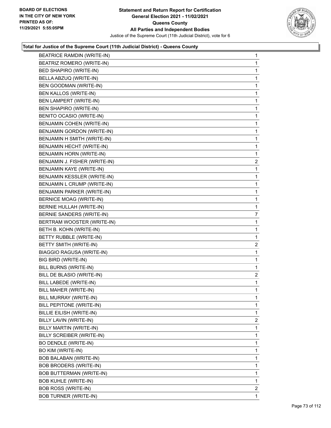

| <b>BEATRICE RAMDIN (WRITE-IN)</b> | 1              |
|-----------------------------------|----------------|
| BEATRIZ ROMERO (WRITE-IN)         | 1              |
| <b>BED SHAPIRO (WRITE-IN)</b>     | 1              |
| BELLA ABZUQ (WRITE-IN)            | $\mathbf 1$    |
| BEN GOODMAN (WRITE-IN)            | 1              |
| BEN KALLOS (WRITE-IN)             | 1              |
| BEN LAMPERT (WRITE-IN)            | 1              |
| BEN SHAPIRO (WRITE-IN)            | 1              |
| <b>BENITO OCASIO (WRITE-IN)</b>   | 1              |
| BENJAMIN COHEN (WRITE-IN)         | $\mathbf 1$    |
| BENJAMIN GORDON (WRITE-IN)        | 1              |
| BENJAMIN H SMITH (WRITE-IN)       | 1              |
| BENJAMIN HECHT (WRITE-IN)         | 1              |
| BENJAMIN HORN (WRITE-IN)          | 1              |
| BENJAMIN J. FISHER (WRITE-IN)     | 2              |
| BENJAMIN KAYE (WRITE-IN)          | 1              |
| BENJAMIN KESSLER (WRITE-IN)       | 1              |
| BENJAMIN L CRUMP (WRITE-IN)       | 1              |
| BENJAMIN PARKER (WRITE-IN)        | 1              |
| <b>BERNICE MOAG (WRITE-IN)</b>    | 1              |
| BERNIE HULLAH (WRITE-IN)          | 1              |
| BERNIE SANDERS (WRITE-IN)         | 7              |
| BERTRAM WOOSTER (WRITE-IN)        | 1              |
| BETH B. KOHN (WRITE-IN)           | 1              |
| BETTY RUBBLE (WRITE-IN)           | $\mathbf{1}$   |
| BETTY SMITH (WRITE-IN)            | $\overline{c}$ |
| <b>BIAGGIO RAGUSA (WRITE-IN)</b>  | 1              |
| BIG BIRD (WRITE-IN)               | 1              |
| BILL BURNS (WRITE-IN)             | 1              |
| BILL DE BLASIO (WRITE-IN)         | 2              |
| <b>BILL LABEDE (WRITE-IN)</b>     | 1              |
| BILL MAHER (WRITE-IN)             | 1              |
| BILL MURRAY (WRITE-IN)            | 1              |
| <b>BILL PEPITONE (WRITE-IN)</b>   | 1              |
| BILLIE EILISH (WRITE-IN)          | 1              |
| BILLY LAVIN (WRITE-IN)            | $\overline{2}$ |
| BILLY MARTIN (WRITE-IN)           | 1              |
| BILLY SCREIBER (WRITE-IN)         | 1              |
| <b>BO DENDLE (WRITE-IN)</b>       | 1              |
| <b>BO KIM (WRITE-IN)</b>          | 1              |
| BOB BALABAN (WRITE-IN)            | 1              |
| BOB BRODERS (WRITE-IN)            | 1              |
| <b>BOB BUTTERMAN (WRITE-IN)</b>   | 1              |
| <b>BOB KUHLE (WRITE-IN)</b>       | 1              |
| <b>BOB ROSS (WRITE-IN)</b>        | 2              |
| <b>BOB TURNER (WRITE-IN)</b>      | $\mathbf{1}$   |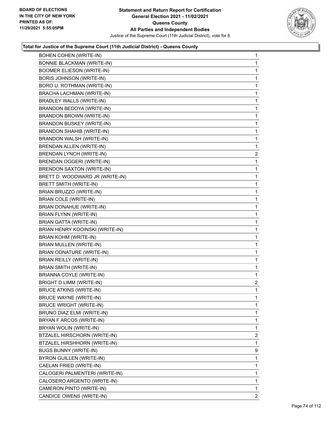

| <b>BOHEN COHEN (WRITE-IN)</b>     | 1                       |
|-----------------------------------|-------------------------|
| <b>BONNIE BLACKMAN (WRITE-IN)</b> | 1                       |
| <b>BOOMER ELIESON (WRITE-IN)</b>  | 1                       |
| <b>BORIS JOHNSON (WRITE-IN)</b>   | 1                       |
| BORO U. ROTHMAN (WRITE-IN)        | 1                       |
| BRACHA LACHMAN (WRITE-IN)         | 1                       |
| <b>BRADLEY WALLS (WRITE-IN)</b>   | 1                       |
| BRANDON BEDOYA (WRITE-IN)         | 1                       |
| BRANDON BROWN (WRITE-IN)          | 1                       |
| <b>BRANDON BUSKEY (WRITE-IN)</b>  | 1                       |
| <b>BRANDON SHAHIB (WRITE-IN)</b>  | 1                       |
| BRANDON WALSH (WRITE-IN)          | 1                       |
| BRENDAN ALLEN (WRITE-IN)          | 1                       |
| <b>BRENDAN LYNCH (WRITE-IN)</b>   | $\overline{\mathbf{c}}$ |
| BRENDAN OGGERI (WRITE-IN)         | 1                       |
| <b>BRENDON SAXTON (WRITE-IN)</b>  | 1                       |
| BRETT D. WOODWARD JR (WRITE-IN)   | 1                       |
| BRETT SMITH (WRITE-IN)            | 1                       |
| BRIAN BRUZZO (WRITE-IN)           | 1                       |
| BRIAN COLE (WRITE-IN)             | 1                       |
| BRIAN DONAHUE (WRITE-IN)          | 1                       |
| BRIAN FLYNN (WRITE-IN)            | 1                       |
| BRIAN GATTA (WRITE-IN)            | 1                       |
| BRIAN HENRY KOOINSKI (WRITE-IN)   | 1                       |
| BRIAN KOHM (WRITE-IN)             | 1                       |
| BRIAN MULLEN (WRITE-IN)           | 1                       |
| BRIAN ODNATURE (WRITE-IN)         | 1                       |
| <b>BRIAN REILLY (WRITE-IN)</b>    | 1                       |
| BRIAN SMITH (WRITE-IN)            | 1                       |
| <b>BRIANNA COYLE (WRITE-IN)</b>   | 1                       |
| <b>BRIGHT D LIMM (WRITE-IN)</b>   | $\overline{2}$          |
| <b>BRUCE ATKINS (WRITE-IN)</b>    | 1                       |
| BRUCE WAYNE (WRITE-IN)            | 1                       |
| <b>BRUCE WRIGHT (WRITE-IN)</b>    | 1                       |
| BRUNO DIAZ ELMI (WRITE-IN)        | 1                       |
| BRYAN F ARCOS (WRITE-IN)          | 1                       |
| BRYAN WOLIN (WRITE-IN)            | 1                       |
| BTZALEL HIRSCHORN (WRITE-IN)      | $\overline{2}$          |
| BTZALEL HIRSHHORN (WRITE-IN)      | 1                       |
| <b>BUGS BUNNY (WRITE-IN)</b>      | 9                       |
| BYRON GUILLEN (WRITE-IN)          | 1                       |
| CAELAN FRIED (WRITE-IN)           | 1                       |
| CALOGERI PALMENTERI (WRITE-IN)    | 1                       |
| CALOSERO ARGENTO (WRITE-IN)       | 1                       |
| CAMERON PINTO (WRITE-IN)          | 1                       |
| CANDICE OWENS (WRITE-IN)          | 2                       |
|                                   |                         |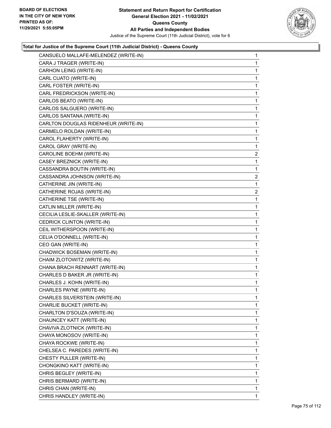

| CANSUELO MALLAFE-MELENDEZ (WRITE-IN) | $\mathbf{1}$   |
|--------------------------------------|----------------|
| CARA J TRAGER (WRITE-IN)             | 1              |
| CARHON LEING (WRITE-IN)              | 1              |
| CARL CUATO (WRITE-IN)                | 1              |
| CARL FOSTER (WRITE-IN)               | 1              |
| CARL FREDRICKSON (WRITE-IN)          | 1              |
| CARLOS BEATO (WRITE-IN)              | 1              |
| CARLOS SALGUERO (WRITE-IN)           | 1              |
| CARLOS SANTANA (WRITE-IN)            | 1              |
| CARLTON DOUGLAS RIDENHEUR (WRITE-IN) | 1              |
| CARMELO ROLDAN (WRITE-IN)            | 1              |
| CAROL FLAHERTY (WRITE-IN)            | 1              |
| CAROL GRAY (WRITE-IN)                | 1              |
| CAROLINE BOEHM (WRITE-IN)            | $\overline{2}$ |
| CASEY BREZNICK (WRITE-IN)            | 1              |
| CASSANDRA BOUTIN (WRITE-IN)          | 1              |
| CASSANDRA JOHNSON (WRITE-IN)         | $\overline{2}$ |
| CATHERINE JIN (WRITE-IN)             | 1              |
| CATHERINE ROJAS (WRITE-IN)           | $\overline{2}$ |
| CATHERINE TSE (WRITE-IN)             | 1              |
| CATLIN MILLER (WRITE-IN)             | 1              |
| CECILIA LESLIE-SKALLER (WRITE-IN)    | 1              |
| CEDRICK CLINTON (WRITE-IN)           | 1              |
| CEIL WITHERSPOON (WRITE-IN)          | 1              |
| CELIA O'DONNELL (WRITE-IN)           | 1              |
| CEO GAN (WRITE-IN)                   | 1              |
| CHADWICK BOSEMAN (WRITE-IN)          | 1              |
| CHAIM ZLOTOWITZ (WRITE-IN)           | 1              |
| CHANA BRACH RENNART (WRITE-IN)       | 1              |
| CHARLES D BAKER JR (WRITE-IN)        | 1              |
| CHARLES J. KOHN (WRITE-IN)           | 1              |
| CHARLES PAYNE (WRITE-IN)             | 1              |
| CHARLES SILVERSTEIN (WRITE-IN)       | 1              |
| CHARLIE BUCKET (WRITE-IN)            | 1              |
| CHARLTON D'SOUZA (WRITE-IN)          | 1              |
| CHAUNCEY KATT (WRITE-IN)             | 1              |
| CHAVIVA ZLOTNICK (WRITE-IN)          | 1              |
| CHAYA MONOSOV (WRITE-IN)             | 1              |
| CHAYA ROCKWE (WRITE-IN)              | 1              |
| CHELSEA C. PAREDES (WRITE-IN)        | 1              |
| CHESTY PULLER (WRITE-IN)             | 1              |
| CHONGKINO KATT (WRITE-IN)            | 1              |
| CHRIS BEGLEY (WRITE-IN)              | 1              |
| CHRIS BERMARD (WRITE-IN)             | 1              |
| CHRIS CHAN (WRITE-IN)                | 1              |
| CHRIS HANDLEY (WRITE-IN)             | 1.             |
|                                      |                |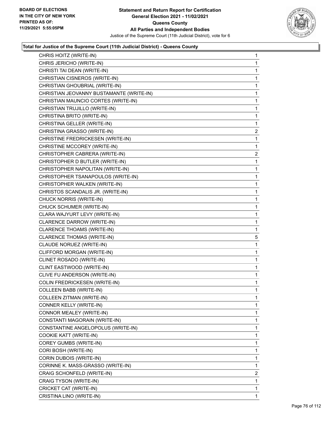

| CHRIS HOITZ (WRITE-IN)                   | 1              |
|------------------------------------------|----------------|
| CHRIS JERICHO (WRITE-IN)                 | 1              |
| CHRISTI TAI DEAN (WRITE-IN)              | 1              |
| CHRISTIAN CISNEROS (WRITE-IN)            | $\mathbf{1}$   |
| CHRISTIAN GHOUBRIAL (WRITE-IN)           | 1              |
| CHRISTIAN JEOVANNY BUSTAMANTE (WRITE-IN) | 1              |
| CHRISTIAN MAUNCIO CORTES (WRITE-IN)      | 1              |
| CHRISTIAN TRUJILLO (WRITE-IN)            | 1              |
| CHRISTINA BRITO (WRITE-IN)               | 1              |
| CHRISTINA GELLER (WRITE-IN)              | 1              |
| CHRISTINA GRASSO (WRITE-IN)              | 2              |
| CHRISTINE FREDRICKESEN (WRITE-IN)        | 1              |
| CHRISTINE MCCOREY (WRITE-IN)             | 1              |
| CHRISTOPHER CABRERA (WRITE-IN)           | $\overline{a}$ |
| CHRISTOPHER D BUTLER (WRITE-IN)          | 1              |
| CHRISTOPHER NAPOLITAN (WRITE-IN)         | $\mathbf{1}$   |
| CHRISTOPHER TSANAPOULOS (WRITE-IN)       | 1              |
| CHRISTOPHER WALKEN (WRITE-IN)            | 1              |
| CHRISTOS SCANDALIS JR. (WRITE-IN)        | 1              |
| CHUCK NORRIS (WRITE-IN)                  | 1              |
| CHUCK SCHUMER (WRITE-IN)                 | 1              |
| CLARA WAJYURT LEVY (WRITE-IN)            | $\mathbf{1}$   |
| CLARENCE DARROW (WRITE-IN)               | 1              |
| CLARENCE THOAMS (WRITE-IN)               | 1              |
| CLARENCE THOMAS (WRITE-IN)               | 5              |
| CLAUDE NORUEZ (WRITE-IN)                 | 1              |
| CLIFFORD MORGAN (WRITE-IN)               | 1              |
| CLINET ROSADO (WRITE-IN)                 | $\mathbf{1}$   |
| CLINT EASTWOOD (WRITE-IN)                | 1              |
| CLIVE FU ANDERSON (WRITE-IN)             | 1              |
| COLIN FREDRICKESEN (WRITE-IN)            | $\mathbf{1}$   |
| <b>COLLEEN BABB (WRITE-IN)</b>           | 1              |
| COLLEEN ZITMAN (WRITE-IN)                | 1              |
| CONNER KELLY (WRITE-IN)                  | 1              |
| CONNOR MEALEY (WRITE-IN)                 | 1              |
| CONSTANTI MAGORAIN (WRITE-IN)            | 1              |
| CONSTANTINE ANGELOPOLUS (WRITE-IN)       | 1              |
| COOKIE KATT (WRITE-IN)                   | 1              |
| COREY GUMBS (WRITE-IN)                   | 1              |
| CORI BOSH (WRITE-IN)                     | 1              |
| CORIN DUBOIS (WRITE-IN)                  | 1              |
| CORINNE K. MASS-GRASSO (WRITE-IN)        | 1              |
| CRAIG SCHONFELD (WRITE-IN)               | $\overline{2}$ |
| CRAIG TYSON (WRITE-IN)                   | 1              |
| CRICKET CAT (WRITE-IN)                   | 1              |
| CRISTINA LINO (WRITE-IN)                 | 1.             |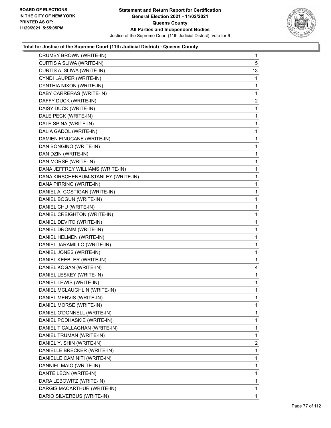

| CRUMBY BROWN (WRITE-IN)             | $\mathbf{1}$   |
|-------------------------------------|----------------|
| CURTIS A SLIWA (WRITE-IN)           | 5              |
| CURTIS A. SLIWA (WRITE-IN)          | 13             |
| CYNDI LAUPER (WRITE-IN)             | 1              |
| CYNTHIA NIXON (WRITE-IN)            | 1              |
| DABY CARRERAS (WRITE-IN)            | 1              |
| DAFFY DUCK (WRITE-IN)               | $\overline{a}$ |
| DAISY DUCK (WRITE-IN)               | 1              |
| DALE PECK (WRITE-IN)                | 1              |
| DALE SPINA (WRITE-IN)               | 1              |
| DALIA GADOL (WRITE-IN)              | 1              |
| DAMIEN FINUCANE (WRITE-IN)          | 1              |
| DAN BONGINO (WRITE-IN)              | 1              |
| DAN DZIN (WRITE-IN)                 | 1              |
| DAN MORSE (WRITE-IN)                | 1              |
| DANA JEFFREY WILLIAMS (WRITE-IN)    | 1              |
| DANA KIRSCHENBUM-STANLEY (WRITE-IN) | 1              |
| DANA PIRRINO (WRITE-IN)             | 1              |
| DANIEL A. COSTIGAN (WRITE-IN)       | 1              |
| DANIEL BOGUN (WRITE-IN)             | 1              |
| DANIEL CHU (WRITE-IN)               | 1              |
| DANIEL CREIGHTON (WRITE-IN)         | 1              |
| DANIEL DEVITO (WRITE-IN)            | 1              |
| DANIEL DROMM (WRITE-IN)             | 1              |
| DANIEL HELMEN (WRITE-IN)            | 1              |
| DANIEL JARAMILLO (WRITE-IN)         | 1              |
| DANIEL JONES (WRITE-IN)             | 1              |
| DANIEL KEEBLER (WRITE-IN)           | 1              |
| DANIEL KOGAN (WRITE-IN)             | 4              |
| DANIEL LESKEY (WRITE-IN)            | 1              |
| DANIEL LEWIS (WRITE-IN)             | 1              |
| DANIEL MCLAUGHLIN (WRITE-IN)        | 1              |
| DANIEL MERVIS (WRITE-IN)            | 1              |
| DANIEL MORSE (WRITE-IN)             | 1              |
| DANIEL O'DONNELL (WRITE-IN)         | 1              |
| DANIEL PODHASKIE (WRITE-IN)         | 1              |
| DANIEL T CALLAGHAN (WRITE-IN)       | 1              |
| DANIEL TRUMAN (WRITE-IN)            | 1              |
| DANIEL Y. SHIN (WRITE-IN)           | 2              |
| DANIELLE BRECKER (WRITE-IN)         | 1              |
| DANIELLE CAMINITI (WRITE-IN)        | 1              |
| DANNIEL MAIO (WRITE-IN)             | 1              |
| DANTE LEON (WRITE-IN)               | 1              |
| DARA LEBOWITZ (WRITE-IN)            | 1              |
| DARGIS MACARTHUR (WRITE-IN)         | 1              |
| DARIO SILVERBUS (WRITE-IN)          | 1              |
|                                     |                |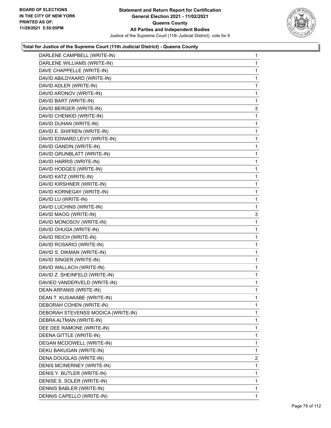

| DARLENE CAMPBELL (WRITE-IN)        | $\mathbf{1}$   |
|------------------------------------|----------------|
| DARLENE WILLIAMS (WRITE-IN)        | 1              |
| DAVE CHAPPELLE (WRITE-IN)          | 1              |
| DAVID ABILDYAARD (WRITE-IN)        | 1              |
| DAVID ADLER (WRITE-IN)             | 1              |
| DAVID ARONOV (WRITE-IN)            | 1              |
| DAVID BART (WRITE-IN)              | 1              |
| DAVID BERGER (WRITE-IN)            | 3              |
| DAVID CHENKID (WRITE-IN)           | 1              |
| DAVID DUHAN (WRITE-IN)             | 1              |
| DAVID E. SHIFREN (WRITE-IN)        | 1              |
| DAVID EDWARD LEVY (WRITE-IN)       | 1              |
| DAVID GANDIN (WRITE-IN)            | 1              |
| DAVID GRUNBLATT (WRITE-IN)         | 1              |
| DAVID HARRIS (WRITE-IN)            | 1              |
| DAVID HODGES (WRITE-IN)            | 1              |
| DAVID KATZ (WRITE-IN)              | 1              |
| DAVID KIRSHNER (WRITE-IN)          | 1              |
| DAVID KORNEGAY (WRITE-IN)          | 1              |
| DAVID LU (WRITE-IN)                | 1              |
| DAVID LUCHINS (WRITE-IN)           | 1              |
| DAVID MAOG (WRITE-IN)              | 3              |
| DAVID MONOSOV (WRITE-IN)           | 1              |
| DAVID OHUGA (WRITE-IN)             | 1              |
| DAVID REICH (WRITE-IN)             | 1              |
| DAVID ROSARIO (WRITE-IN)           | 1              |
| DAVID S. DIKMAN (WRITE-IN)         | 1              |
| DAVID SINGER (WRITE-IN)            | 1              |
| DAVID WALLACH (WRITE-IN)           | 1              |
| DAVID Z. SHEINFELD (WRITE-IN)      | 1              |
| DAVIED VANDERVELD (WRITE-IN)       | 1              |
| DEAN ARFANIS (WRITE-IN)            | 1              |
| DEAN T. KUSAKABE (WRITE-IN)        | 1              |
| DEBORAH COHEN (WRITE-IN)           | 1              |
| DEBORAH STEVENSS MODICA (WRITE-IN) | 1              |
| DEBRA ALTMAN (WRITE-IN)            | 1              |
| DEE DEE RAMONE (WRITE-IN)          | 1              |
| DEENA GITTLE (WRITE-IN)            | 1              |
| DEGAN MCDOWELL (WRITE-IN)          | 1              |
| DEKU BAKUGAN (WRITE-IN)            | 1              |
| DENA DOUGLAS (WRITE-IN)            | $\overline{2}$ |
| DENIS MCINERNEY (WRITE-IN)         | 1              |
| DENIS Y. BUTLER (WRITE-IN)         | 1              |
| DENISE S. SOLER (WRITE-IN)         | 1              |
| DENNIS BABLER (WRITE-IN)           | 1              |
| DENNIS CAPELLO (WRITE-IN)          | 1              |
|                                    |                |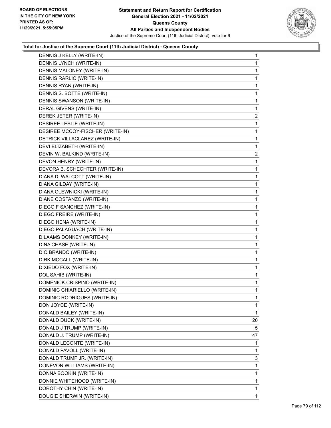

| DENNIS J KELLY (WRITE-IN)        | $\mathbf{1}$   |
|----------------------------------|----------------|
| DENNIS LYNCH (WRITE-IN)          | 1              |
| DENNIS MALONEY (WRITE-IN)        | 1              |
| DENNIS RARLIC (WRITE-IN)         | 1              |
| DENNIS RYAN (WRITE-IN)           | 1              |
| DENNIS S. BOTTE (WRITE-IN)       | 1              |
| DENNIS SWANSON (WRITE-IN)        | 1              |
| DERAL GIVENS (WRITE-IN)          | 1              |
| DEREK JETER (WRITE-IN)           | 2              |
| DESIREE LESLIE (WRITE-IN)        | 1              |
| DESIREE MCCOY-FISCHER (WRITE-IN) | 1              |
| DETRICK VILLACLAREZ (WRITE-IN)   | 1              |
| DEVI ELIZABETH (WRITE-IN)        | 1              |
| DEVIN W. BALKIND (WRITE-IN)      | $\overline{2}$ |
| DEVON HENRY (WRITE-IN)           | 1              |
| DEVORA B. SCHECHTER (WRITE-IN)   | 1              |
| DIANA D. WALCOTT (WRITE-IN)      | 1              |
| DIANA GILDAY (WRITE-IN)          | 1              |
| DIANA OLEWNICKI (WRITE-IN)       | 1              |
| DIANE COSTANZO (WRITE-IN)        | 1              |
| DIEGO F SANCHEZ (WRITE-IN)       | 1              |
| DIEGO FREIRE (WRITE-IN)          | 1              |
| DIEGO HENA (WRITE-IN)            | 1              |
| DIEGO PALAGUACH (WRITE-IN)       | 1              |
| DILAAMS DONKEY (WRITE-IN)        | 1              |
| DINA CHASE (WRITE-IN)            | 1              |
| DIO BRANDO (WRITE-IN)            | 1              |
| DIRK MCCALL (WRITE-IN)           | 1              |
| DIXIEDO FOX (WRITE-IN)           | 1              |
| DOL SAHIB (WRITE-IN)             | 1              |
| DOMENICK CRISPINO (WRITE-IN)     | 1              |
| DOMINIC CHIARIELLO (WRITE-IN)    | 1              |
| DOMINIC RODRIQUES (WRITE-IN)     | 1              |
| DON JOYCE (WRITE-IN)             | 1              |
| DONALD BAILEY (WRITE-IN)         | 1              |
| DONALD DUCK (WRITE-IN)           | 20             |
| DONALD J TRUMP (WRITE-IN)        | 5              |
| DONALD J. TRUMP (WRITE-IN)       | 47             |
| DONALD LECONTE (WRITE-IN)        | 1              |
| DONALD PAVOLL (WRITE-IN)         | 1              |
| DONALD TRUMP JR. (WRITE-IN)      | 3              |
| DONEVON WILLIAMS (WRITE-IN)      | 1              |
| DONNA BOOKIN (WRITE-IN)          | 1              |
| DONNIE WHITEHOOD (WRITE-IN)      | 1              |
| DOROTHY CHIN (WRITE-IN)          | 1              |
| DOUGIE SHERWIN (WRITE-IN)        | 1              |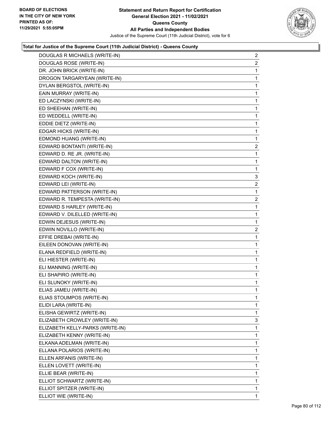

| DOUGLAS R MICHAELS (WRITE-IN)    | $\overline{a}$ |
|----------------------------------|----------------|
| DOUGLAS ROSE (WRITE-IN)          | $\overline{2}$ |
| DR. JOHN BRICK (WRITE-IN)        | 1              |
| DROGON TARGARYEAN (WRITE-IN)     | 1              |
| DYLAN BERGSTOL (WRITE-IN)        | 1              |
| EAIN MURRAY (WRITE-IN)           | 1              |
| ED LACZYNSKI (WRITE-IN)          | 1              |
| ED SHEEHAN (WRITE-IN)            | 1              |
| ED WEDDELL (WRITE-IN)            | 1              |
| EDDIE DIETZ (WRITE-IN)           | 1              |
| EDGAR HICKS (WRITE-IN)           | 1              |
| EDMOND HUANG (WRITE-IN)          | $\mathbf{1}$   |
| EDWARD BONTANTI (WRITE-IN)       | $\overline{a}$ |
| EDWARD D. RE JR. (WRITE-IN)      | 1              |
| EDWARD DALTON (WRITE-IN)         | 1              |
| EDWARD F COX (WRITE-IN)          | 1              |
| EDWARD KOCH (WRITE-IN)           | 3              |
| EDWARD LEI (WRITE-IN)            | $\overline{a}$ |
| EDWARD PATTERSON (WRITE-IN)      | 1              |
| EDWARD R. TEMPESTA (WRITE-IN)    | $\overline{c}$ |
| EDWARD S HARLEY (WRITE-IN)       | 1              |
| EDWARD V. DILELLED (WRITE-IN)    | 1              |
| EDWIN DEJESUS (WRITE-IN)         | 1              |
| EDWIN NOVILLO (WRITE-IN)         | $\overline{a}$ |
| EFFIE DREBAI (WRITE-IN)          | 1              |
| EILEEN DONOVAN (WRITE-IN)        | 1              |
| ELANA REDFIELD (WRITE-IN)        | 1              |
| ELI HIESTER (WRITE-IN)           | 1              |
| ELI MANNING (WRITE-IN)           | 1              |
| ELI SHAPIRO (WRITE-IN)           | 1              |
| ELI SLUNOKY (WRITE-IN)           | 1              |
| ELIAS JAMEU (WRITE-IN)           | $\mathbf{1}$   |
| ELIAS STOUMPOS (WRITE-IN)        | 1              |
| ELIDI LARA (WRITE-IN)            | 1              |
| ELISHA GEWIRTZ (WRITE-IN)        | 1              |
| ELIZABETH CROWLEY (WRITE-IN)     | 3              |
| ELIZABETH KELLY-PARKS (WRITE-IN) | 1              |
| ELIZABETH KENNY (WRITE-IN)       | 1              |
| ELKANA ADELMAN (WRITE-IN)        | 1              |
| ELLANA POLARIOS (WRITE-IN)       | 1              |
| ELLEN ARFANIS (WRITE-IN)         | 1              |
| ELLEN LOVETT (WRITE-IN)          | 1              |
| ELLIE BEAR (WRITE-IN)            | 1              |
| ELLIOT SCHWARTZ (WRITE-IN)       | 1              |
| ELLIOT SPITZER (WRITE-IN)        | $\mathbf{1}$   |
| ELLIOT WIE (WRITE-IN)            | 1              |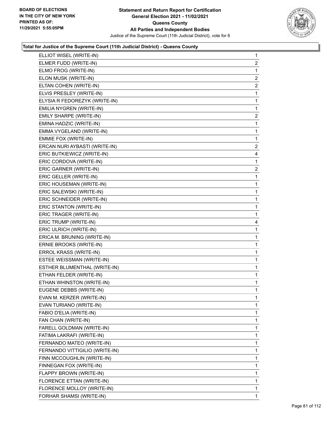

| ELLIOT WISEL (WRITE-IN)        | $\mathbf{1}$            |
|--------------------------------|-------------------------|
| ELMER FUDD (WRITE-IN)          | $\overline{2}$          |
| ELMO FROG (WRITE-IN)           | 1                       |
| ELON MUSK (WRITE-IN)           | $\overline{c}$          |
| ELTAN COHEN (WRITE-IN)         | $\overline{2}$          |
| ELVIS PRESLEY (WRITE-IN)       | 1                       |
| ELYSIA R FEDOREZYK (WRITE-IN)  | $\mathbf 1$             |
| EMILIA NYGREN (WRITE-IN)       | 1                       |
| EMILY SHARPE (WRITE-IN)        | $\overline{c}$          |
| EMINA HADZIC (WRITE-IN)        | $\mathbf 1$             |
| EMMA VYGELAND (WRITE-IN)       | $\mathbf{1}$            |
| EMMIE FOX (WRITE-IN)           | 1                       |
| ERCAN NURI AYBASTI (WRITE-IN)  | $\overline{\mathbf{c}}$ |
| ERIC BUTKIEWICZ (WRITE-IN)     | 4                       |
| ERIC CORDOVA (WRITE-IN)        | 1                       |
| ERIC GARNER (WRITE-IN)         | $\overline{\mathbf{c}}$ |
| ERIC GELLER (WRITE-IN)         | $\mathbf{1}$            |
| ERIC HOUSEMAN (WRITE-IN)       | 1                       |
| ERIC SALEWSKI (WRITE-IN)       | $\mathbf 1$             |
| ERIC SCHNEIDER (WRITE-IN)      | 1                       |
| ERIC STANTON (WRITE-IN)        | 1                       |
| ERIC TRAGER (WRITE-IN)         | 1                       |
| ERIC TRUMP (WRITE-IN)          | 4                       |
| ERIC ULRICH (WRITE-IN)         | 1                       |
| ERICA M. BRUNING (WRITE-IN)    | $\mathbf 1$             |
| ERNIE BROOKS (WRITE-IN)        | 1                       |
| ERROL KRASS (WRITE-IN)         | 1                       |
| ESTEE WEISSMAN (WRITE-IN)      | 1                       |
| ESTHER BLUMENTHAL (WRITE-IN)   | $\mathbf{1}$            |
| ETHAN FELDER (WRITE-IN)        | 1                       |
| ETHAN WHINSTON (WRITE-IN)      | 1                       |
| EUGENE DEBBS (WRITE-IN)        | 1                       |
| EVAN M. KERZER (WRITE-IN)      | 1                       |
| EVAN TURIANO (WRITE-IN)        | 1                       |
| FABIO D'ELIA (WRITE-IN)        | 1                       |
| FAN CHAN (WRITE-IN)            | 1                       |
| FARELL GOLDMAN (WRITE-IN)      | 1                       |
| FATIMA LAKRAFI (WRITE-IN)      | 1                       |
| FERNANDO MATEO (WRITE-IN)      | 1                       |
| FERNANDO VITTIGILIO (WRITE-IN) | 1                       |
| FINN MCCOUGHLIN (WRITE-IN)     | 1                       |
| FINNEGAN FOX (WRITE-IN)        | 1                       |
| FLAPPY BROWN (WRITE-IN)        | 1                       |
| FLORENCE ETTAN (WRITE-IN)      | 1                       |
| FLORENCE MOLLOY (WRITE-IN)     | 1                       |
| FORHAR SHAMSI (WRITE-IN)       | 1                       |
|                                |                         |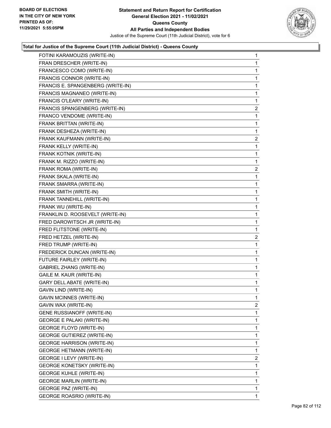

| FOTINI KARAMOUZIS (WRITE-IN)      | $\mathbf{1}$   |
|-----------------------------------|----------------|
| FRAN DRESCHER (WRITE-IN)          | 1              |
| FRANCESCO COMO (WRITE-IN)         | 1              |
| FRANCIS CONNOR (WRITE-IN)         | 1              |
| FRANCIS E. SPANGENBERG (WRITE-IN) | 1              |
| FRANCIS MAGNANEO (WRITE-IN)       | 1              |
| FRANCIS O'LEARY (WRITE-IN)        | 1              |
| FRANCIS SPANGENBERG (WRITE-IN)    | $\overline{2}$ |
| FRANCO VENDOME (WRITE-IN)         | 1              |
| FRANK BRITTAN (WRITE-IN)          | 1              |
| FRANK DESHEZA (WRITE-IN)          | 1              |
| FRANK KAUFMANN (WRITE-IN)         | $\overline{2}$ |
| FRANK KELLY (WRITE-IN)            | 1              |
| FRANK KOTNIK (WRITE-IN)           | 1              |
| FRANK M. RIZZO (WRITE-IN)         | 1              |
| FRANK ROMA (WRITE-IN)             | $\overline{a}$ |
| FRANK SKALA (WRITE-IN)            | 1              |
| FRANK SMARRA (WRITE-IN)           | 1              |
| FRANK SMITH (WRITE-IN)            | 1              |
| FRANK TANNEHILL (WRITE-IN)        | 1              |
| FRANK WU (WRITE-IN)               | 1              |
| FRANKLIN D. ROOSEVELT (WRITE-IN)  | 1              |
| FRED DAROWITSCH JR (WRITE-IN)     | 1              |
| FRED FLITSTONE (WRITE-IN)         | 1              |
| FRED HETZEL (WRITE-IN)            | $\overline{a}$ |
| FRED TRUMP (WRITE-IN)             | 1              |
| FREDERICK DUNCAN (WRITE-IN)       | 1              |
| FUTURE FAIRLEY (WRITE-IN)         | 1              |
| <b>GABRIEL ZHANG (WRITE-IN)</b>   | 1              |
| GAILE M. KAUR (WRITE-IN)          | 1              |
| GARY DELL ABATE (WRITE-IN)        | 1              |
| GAVIN LIND (WRITE-IN)             | 1              |
| <b>GAVIN MCINNES (WRITE-IN)</b>   | 1              |
| GAVIN WAX (WRITE-IN)              | 2              |
| <b>GENE RUSSIANOFF (WRITE-IN)</b> | 1              |
| <b>GEORGE E PALAKI (WRITE-IN)</b> | 1              |
| <b>GEORGE FLOYD (WRITE-IN)</b>    | 1              |
| <b>GEORGE GUTIEREZ (WRITE-IN)</b> | 1              |
| <b>GEORGE HARRISON (WRITE-IN)</b> | 1              |
| <b>GEORGE HETMANN (WRITE-IN)</b>  | 1              |
| <b>GEORGE I LEVY (WRITE-IN)</b>   | $\overline{2}$ |
| <b>GEORGE KONETSKY (WRITE-IN)</b> | 1              |
| <b>GEORGE KUHLE (WRITE-IN)</b>    | 1              |
| <b>GEORGE MARLIN (WRITE-IN)</b>   | 1              |
|                                   | 1              |
| GEORGE PAZ (WRITE-IN)             |                |
| <b>GEORGE ROASRIO (WRITE-IN)</b>  | 1.             |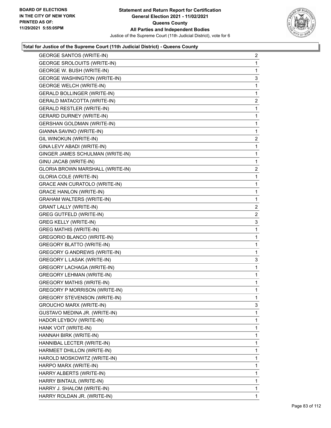

| <b>GEORGE SANTOS (WRITE-IN)</b>      | $\overline{a}$ |
|--------------------------------------|----------------|
| <b>GEORGE SROLOUITS (WRITE-IN)</b>   | $\mathbf{1}$   |
| GEORGE W. BUSH (WRITE-IN)            | $\mathbf{1}$   |
| <b>GEORGE WASHINGTON (WRITE-IN)</b>  | 3              |
| <b>GEORGE WELCH (WRITE-IN)</b>       | $\mathbf 1$    |
| GERALD BOLLINGER (WRITE-IN)          | $\mathbf{1}$   |
| <b>GERALD MATACOTTA (WRITE-IN)</b>   | 2              |
| <b>GERALD RESTLER (WRITE-IN)</b>     | $\mathbf 1$    |
| <b>GERARD DURNEY (WRITE-IN)</b>      | $\mathbf{1}$   |
| <b>GERSHAN GOLDMAN (WRITE-IN)</b>    | $\mathbf 1$    |
| GIANNA SAVINO (WRITE-IN)             | 1              |
| GIL WINOKUN (WRITE-IN)               | 2              |
| GINA LEVY ABADI (WRITE-IN)           | $\mathbf{1}$   |
| GINGER JAMES SCHULMAN (WRITE-IN)     | $\mathbf 1$    |
| GINU JACAB (WRITE-IN)                | $\mathbf{1}$   |
| GLORIA BROWN MARSHALL (WRITE-IN)     | 2              |
| <b>GLORIA COLE (WRITE-IN)</b>        | $\mathbf{1}$   |
| <b>GRACE ANN CURATOLO (WRITE-IN)</b> | $\mathbf{1}$   |
| <b>GRACE HANLON (WRITE-IN)</b>       | $\mathbf 1$    |
| <b>GRAHAM WALTERS (WRITE-IN)</b>     | 1              |
| <b>GRANT LALLY (WRITE-IN)</b>        | 2              |
| <b>GREG GUTFELD (WRITE-IN)</b>       | 2              |
| <b>GREG KELLY (WRITE-IN)</b>         | 3              |
| <b>GREG MATHIS (WRITE-IN)</b>        | $\mathbf{1}$   |
| GREGORIO BLANCO (WRITE-IN)           | $\mathbf{1}$   |
| <b>GREGORY BLATTO (WRITE-IN)</b>     | $\mathbf 1$    |
| <b>GREGORY G ANDREWS (WRITE-IN)</b>  | $\mathbf{1}$   |
| GREGORY L LASAK (WRITE-IN)           | 3              |
| <b>GREGORY LACHAGA (WRITE-IN)</b>    | 1              |
| <b>GREGORY LEHMAN (WRITE-IN)</b>     | $\mathbf{1}$   |
| <b>GREGORY MATHIS (WRITE-IN)</b>     | 1              |
| <b>GREGORY P MORRISON (WRITE-IN)</b> | 1              |
| <b>GREGORY STEVENSON (WRITE-IN)</b>  | 1              |
| <b>GROUCHO MARX (WRITE-IN)</b>       | 3              |
| GUSTAVO MEDINA JR. (WRITE-IN)        | 1              |
| HADOR LEYBOV (WRITE-IN)              | 1              |
| HANK VOIT (WRITE-IN)                 | 1              |
| HANNAH BIRK (WRITE-IN)               | 1              |
| HANNIBAL LECTER (WRITE-IN)           | 1              |
| HARMEET DHILLON (WRITE-IN)           | $\mathbf 1$    |
| HAROLD MOSKOWITZ (WRITE-IN)          | 1              |
| HARPO MARX (WRITE-IN)                | $\mathbf{1}$   |
| HARRY ALBERTS (WRITE-IN)             | 1              |
| HARRY BINTAUL (WRITE-IN)             | 1              |
| HARRY J. SHALOM (WRITE-IN)           | 1              |
| HARRY ROLDAN JR. (WRITE-IN)          | 1              |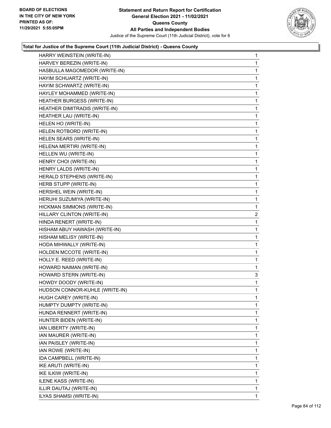

| HARRY WEINSTEIN (WRITE-IN)     | $\mathbf{1}$   |
|--------------------------------|----------------|
| HARVEY BEREZIN (WRITE-IN)      | $\mathbf{1}$   |
| HASBULLA MAGOMEDOR (WRITE-IN)  | $\mathbf{1}$   |
| HAYIM SCHUARTZ (WRITE-IN)      | 1              |
| HAYIM SCHWARTZ (WRITE-IN)      | $\mathbf{1}$   |
| HAYLEY MOHAMMED (WRITE-IN)     | $\mathbf{1}$   |
| HEATHER BURGESS (WRITE-IN)     | 1              |
| HEATHER DIMITRADIS (WRITE-IN)  | $\mathbf{1}$   |
| HEATHER LAU (WRITE-IN)         | $\mathbf{1}$   |
| HELEN HO (WRITE-IN)            | 1              |
| HELEN ROTBORD (WRITE-IN)       | 1              |
| HELEN SEARS (WRITE-IN)         | $\mathbf{1}$   |
| HELENA MERTIRI (WRITE-IN)      | 1              |
| HELLEN WU (WRITE-IN)           | $\mathbf{1}$   |
| HENRY CHOI (WRITE-IN)          | $\mathbf{1}$   |
| HENRY LALDS (WRITE-IN)         | 1              |
| HERALD STEPHENS (WRITE-IN)     | 1              |
| HERB STUPP (WRITE-IN)          | $\mathbf{1}$   |
| HERSHEL WEIN (WRITE-IN)        | 1              |
| HERUHI SUZUMIYA (WRITE-IN)     | $\mathbf{1}$   |
| HICKMAN SIMMONS (WRITE-IN)     | 1              |
| HILLARY CLINTON (WRITE-IN)     | $\overline{c}$ |
| HINDA RENERT (WRITE-IN)        | $\mathbf{1}$   |
| HISHAM ABUY HAWASH (WRITE-IN)  | $\mathbf{1}$   |
| HISHAM MELISY (WRITE-IN)       | 1              |
| HODA MIHWALLY (WRITE-IN)       | $\mathbf{1}$   |
| HOLDEN MCCOTE (WRITE-IN)       | 1              |
| HOLLY E. REED (WRITE-IN)       | 1              |
| HOWARD NAIMAN (WRITE-IN)       | $\mathbf{1}$   |
| HOWARD STERN (WRITE-IN)        | 3              |
| HOWDY DOODY (WRITE-IN)         | 1              |
| HUDSON CONNOR-KUHLE (WRITE-IN) | $\mathbf{1}$   |
| HUGH CAREY (WRITE-IN)          | 1              |
| HUMPTY DUMPTY (WRITE-IN)       | 1              |
| HUNDA RENNERT (WRITE-IN)       | $\mathbf{1}$   |
| HUNTER BIDEN (WRITE-IN)        | 1              |
| IAN LIBERTY (WRITE-IN)         | 1              |
| IAN MAURER (WRITE-IN)          | $\mathbf{1}$   |
| IAN PAISLEY (WRITE-IN)         | 1              |
| IAN ROWE (WRITE-IN)            | 1              |
| IDA CAMPBELL (WRITE-IN)        | $\mathbf{1}$   |
| IKE ARUTI (WRITE-IN)           | 1              |
| IKE ILKIW (WRITE-IN)           | 1              |
| ILENE KASS (WRITE-IN)          | $\mathbf{1}$   |
| ILLIR DAUTAJ (WRITE-IN)        | 1              |
| ILYAS SHAMSI (WRITE-IN)        | 1              |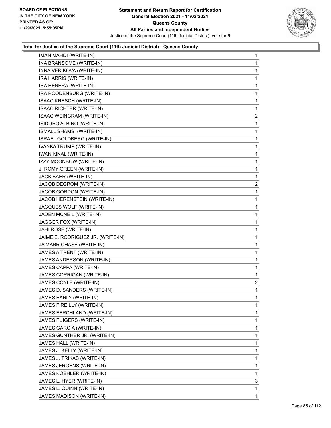

| INA BRANSOME (WRITE-IN)<br>1<br>INNA VERIKOVA (WRITE-IN)<br>1<br>IRA HARRIS (WRITE-IN)<br>1<br>IRA HENERA (WRITE-IN)<br>1<br>IRA ROODENBURG (WRITE-IN)<br>1<br>ISAAC KRESCH (WRITE-IN)<br>1<br><b>ISAAC RICHTER (WRITE-IN)</b><br>1<br>ISAAC WEINGRAM (WRITE-IN)<br>2<br>ISIDORO ALBINO (WRITE-IN)<br>1<br>ISMALL SHAMSI (WRITE-IN)<br>1<br>ISRAEL GOLDBERG (WRITE-IN)<br>1<br>IVANKA TRUMP (WRITE-IN)<br>1<br>IWAN KINAL (WRITE-IN)<br>1<br>IZZY MOONBOW (WRITE-IN)<br>1<br>J. ROMY GREEN (WRITE-IN)<br>1<br>JACK BAER (WRITE-IN)<br>1<br>JACOB DEGROM (WRITE-IN)<br>JACOB GORDON (WRITE-IN)<br>1<br>JACOB HERENSTEIN (WRITE-IN)<br>1<br>JACQUES WOLF (WRITE-IN)<br>1<br>JADEN MCNEIL (WRITE-IN)<br>1<br>JAGGER FOX (WRITE-IN)<br>1<br>JAHI ROSE (WRITE-IN)<br>1<br>JAIME E. RODRIGUEZ JR. (WRITE-IN)<br>1<br>JA'MARR CHASE (WRITE-IN)<br>1<br>JAMES A TRENT (WRITE-IN)<br>1<br>JAMES ANDERSON (WRITE-IN)<br>1<br>JAMES CAPPA (WRITE-IN)<br>$\mathbf{1}$<br>JAMES CORRIGAN (WRITE-IN)<br>1<br>JAMES COYLE (WRITE-IN)<br>JAMES D. SANDERS (WRITE-IN)<br>1<br>JAMES EARLY (WRITE-IN)<br>1<br>JAMES F REILLY (WRITE-IN)<br>1<br>JAMES FERCHLAND (WRITE-IN)<br>1<br>JAMES FUIGERS (WRITE-IN)<br>1<br>JAMES GARCIA (WRITE-IN)<br>1<br>JAMES GUNTHER JR. (WRITE-IN)<br>1<br>JAMES HALL (WRITE-IN)<br>1<br>JAMES J. KELLY (WRITE-IN)<br>1<br>JAMES J. TRIKAS (WRITE-IN)<br>1<br>JAMES JERGENS (WRITE-IN)<br>1<br>JAMES KOEHLER (WRITE-IN)<br>1<br>JAMES L. HYER (WRITE-IN)<br>3<br>JAMES L. QUINN (WRITE-IN)<br>1<br>JAMES MADISON (WRITE-IN)<br>1 | IMAN MAHDI (WRITE-IN) | 1              |
|----------------------------------------------------------------------------------------------------------------------------------------------------------------------------------------------------------------------------------------------------------------------------------------------------------------------------------------------------------------------------------------------------------------------------------------------------------------------------------------------------------------------------------------------------------------------------------------------------------------------------------------------------------------------------------------------------------------------------------------------------------------------------------------------------------------------------------------------------------------------------------------------------------------------------------------------------------------------------------------------------------------------------------------------------------------------------------------------------------------------------------------------------------------------------------------------------------------------------------------------------------------------------------------------------------------------------------------------------------------------------------------------------------------------------------------------------------------------------------------------------------------------------------------------|-----------------------|----------------|
|                                                                                                                                                                                                                                                                                                                                                                                                                                                                                                                                                                                                                                                                                                                                                                                                                                                                                                                                                                                                                                                                                                                                                                                                                                                                                                                                                                                                                                                                                                                                              |                       |                |
|                                                                                                                                                                                                                                                                                                                                                                                                                                                                                                                                                                                                                                                                                                                                                                                                                                                                                                                                                                                                                                                                                                                                                                                                                                                                                                                                                                                                                                                                                                                                              |                       |                |
|                                                                                                                                                                                                                                                                                                                                                                                                                                                                                                                                                                                                                                                                                                                                                                                                                                                                                                                                                                                                                                                                                                                                                                                                                                                                                                                                                                                                                                                                                                                                              |                       |                |
|                                                                                                                                                                                                                                                                                                                                                                                                                                                                                                                                                                                                                                                                                                                                                                                                                                                                                                                                                                                                                                                                                                                                                                                                                                                                                                                                                                                                                                                                                                                                              |                       |                |
|                                                                                                                                                                                                                                                                                                                                                                                                                                                                                                                                                                                                                                                                                                                                                                                                                                                                                                                                                                                                                                                                                                                                                                                                                                                                                                                                                                                                                                                                                                                                              |                       |                |
|                                                                                                                                                                                                                                                                                                                                                                                                                                                                                                                                                                                                                                                                                                                                                                                                                                                                                                                                                                                                                                                                                                                                                                                                                                                                                                                                                                                                                                                                                                                                              |                       |                |
|                                                                                                                                                                                                                                                                                                                                                                                                                                                                                                                                                                                                                                                                                                                                                                                                                                                                                                                                                                                                                                                                                                                                                                                                                                                                                                                                                                                                                                                                                                                                              |                       |                |
|                                                                                                                                                                                                                                                                                                                                                                                                                                                                                                                                                                                                                                                                                                                                                                                                                                                                                                                                                                                                                                                                                                                                                                                                                                                                                                                                                                                                                                                                                                                                              |                       |                |
|                                                                                                                                                                                                                                                                                                                                                                                                                                                                                                                                                                                                                                                                                                                                                                                                                                                                                                                                                                                                                                                                                                                                                                                                                                                                                                                                                                                                                                                                                                                                              |                       |                |
|                                                                                                                                                                                                                                                                                                                                                                                                                                                                                                                                                                                                                                                                                                                                                                                                                                                                                                                                                                                                                                                                                                                                                                                                                                                                                                                                                                                                                                                                                                                                              |                       |                |
|                                                                                                                                                                                                                                                                                                                                                                                                                                                                                                                                                                                                                                                                                                                                                                                                                                                                                                                                                                                                                                                                                                                                                                                                                                                                                                                                                                                                                                                                                                                                              |                       |                |
|                                                                                                                                                                                                                                                                                                                                                                                                                                                                                                                                                                                                                                                                                                                                                                                                                                                                                                                                                                                                                                                                                                                                                                                                                                                                                                                                                                                                                                                                                                                                              |                       |                |
|                                                                                                                                                                                                                                                                                                                                                                                                                                                                                                                                                                                                                                                                                                                                                                                                                                                                                                                                                                                                                                                                                                                                                                                                                                                                                                                                                                                                                                                                                                                                              |                       |                |
|                                                                                                                                                                                                                                                                                                                                                                                                                                                                                                                                                                                                                                                                                                                                                                                                                                                                                                                                                                                                                                                                                                                                                                                                                                                                                                                                                                                                                                                                                                                                              |                       |                |
|                                                                                                                                                                                                                                                                                                                                                                                                                                                                                                                                                                                                                                                                                                                                                                                                                                                                                                                                                                                                                                                                                                                                                                                                                                                                                                                                                                                                                                                                                                                                              |                       |                |
|                                                                                                                                                                                                                                                                                                                                                                                                                                                                                                                                                                                                                                                                                                                                                                                                                                                                                                                                                                                                                                                                                                                                                                                                                                                                                                                                                                                                                                                                                                                                              |                       |                |
|                                                                                                                                                                                                                                                                                                                                                                                                                                                                                                                                                                                                                                                                                                                                                                                                                                                                                                                                                                                                                                                                                                                                                                                                                                                                                                                                                                                                                                                                                                                                              |                       | $\overline{c}$ |
|                                                                                                                                                                                                                                                                                                                                                                                                                                                                                                                                                                                                                                                                                                                                                                                                                                                                                                                                                                                                                                                                                                                                                                                                                                                                                                                                                                                                                                                                                                                                              |                       |                |
|                                                                                                                                                                                                                                                                                                                                                                                                                                                                                                                                                                                                                                                                                                                                                                                                                                                                                                                                                                                                                                                                                                                                                                                                                                                                                                                                                                                                                                                                                                                                              |                       |                |
|                                                                                                                                                                                                                                                                                                                                                                                                                                                                                                                                                                                                                                                                                                                                                                                                                                                                                                                                                                                                                                                                                                                                                                                                                                                                                                                                                                                                                                                                                                                                              |                       |                |
|                                                                                                                                                                                                                                                                                                                                                                                                                                                                                                                                                                                                                                                                                                                                                                                                                                                                                                                                                                                                                                                                                                                                                                                                                                                                                                                                                                                                                                                                                                                                              |                       |                |
|                                                                                                                                                                                                                                                                                                                                                                                                                                                                                                                                                                                                                                                                                                                                                                                                                                                                                                                                                                                                                                                                                                                                                                                                                                                                                                                                                                                                                                                                                                                                              |                       |                |
|                                                                                                                                                                                                                                                                                                                                                                                                                                                                                                                                                                                                                                                                                                                                                                                                                                                                                                                                                                                                                                                                                                                                                                                                                                                                                                                                                                                                                                                                                                                                              |                       |                |
|                                                                                                                                                                                                                                                                                                                                                                                                                                                                                                                                                                                                                                                                                                                                                                                                                                                                                                                                                                                                                                                                                                                                                                                                                                                                                                                                                                                                                                                                                                                                              |                       |                |
|                                                                                                                                                                                                                                                                                                                                                                                                                                                                                                                                                                                                                                                                                                                                                                                                                                                                                                                                                                                                                                                                                                                                                                                                                                                                                                                                                                                                                                                                                                                                              |                       |                |
|                                                                                                                                                                                                                                                                                                                                                                                                                                                                                                                                                                                                                                                                                                                                                                                                                                                                                                                                                                                                                                                                                                                                                                                                                                                                                                                                                                                                                                                                                                                                              |                       |                |
|                                                                                                                                                                                                                                                                                                                                                                                                                                                                                                                                                                                                                                                                                                                                                                                                                                                                                                                                                                                                                                                                                                                                                                                                                                                                                                                                                                                                                                                                                                                                              |                       |                |
|                                                                                                                                                                                                                                                                                                                                                                                                                                                                                                                                                                                                                                                                                                                                                                                                                                                                                                                                                                                                                                                                                                                                                                                                                                                                                                                                                                                                                                                                                                                                              |                       |                |
|                                                                                                                                                                                                                                                                                                                                                                                                                                                                                                                                                                                                                                                                                                                                                                                                                                                                                                                                                                                                                                                                                                                                                                                                                                                                                                                                                                                                                                                                                                                                              |                       |                |
|                                                                                                                                                                                                                                                                                                                                                                                                                                                                                                                                                                                                                                                                                                                                                                                                                                                                                                                                                                                                                                                                                                                                                                                                                                                                                                                                                                                                                                                                                                                                              |                       | $\overline{a}$ |
|                                                                                                                                                                                                                                                                                                                                                                                                                                                                                                                                                                                                                                                                                                                                                                                                                                                                                                                                                                                                                                                                                                                                                                                                                                                                                                                                                                                                                                                                                                                                              |                       |                |
|                                                                                                                                                                                                                                                                                                                                                                                                                                                                                                                                                                                                                                                                                                                                                                                                                                                                                                                                                                                                                                                                                                                                                                                                                                                                                                                                                                                                                                                                                                                                              |                       |                |
|                                                                                                                                                                                                                                                                                                                                                                                                                                                                                                                                                                                                                                                                                                                                                                                                                                                                                                                                                                                                                                                                                                                                                                                                                                                                                                                                                                                                                                                                                                                                              |                       |                |
|                                                                                                                                                                                                                                                                                                                                                                                                                                                                                                                                                                                                                                                                                                                                                                                                                                                                                                                                                                                                                                                                                                                                                                                                                                                                                                                                                                                                                                                                                                                                              |                       |                |
|                                                                                                                                                                                                                                                                                                                                                                                                                                                                                                                                                                                                                                                                                                                                                                                                                                                                                                                                                                                                                                                                                                                                                                                                                                                                                                                                                                                                                                                                                                                                              |                       |                |
|                                                                                                                                                                                                                                                                                                                                                                                                                                                                                                                                                                                                                                                                                                                                                                                                                                                                                                                                                                                                                                                                                                                                                                                                                                                                                                                                                                                                                                                                                                                                              |                       |                |
|                                                                                                                                                                                                                                                                                                                                                                                                                                                                                                                                                                                                                                                                                                                                                                                                                                                                                                                                                                                                                                                                                                                                                                                                                                                                                                                                                                                                                                                                                                                                              |                       |                |
|                                                                                                                                                                                                                                                                                                                                                                                                                                                                                                                                                                                                                                                                                                                                                                                                                                                                                                                                                                                                                                                                                                                                                                                                                                                                                                                                                                                                                                                                                                                                              |                       |                |
|                                                                                                                                                                                                                                                                                                                                                                                                                                                                                                                                                                                                                                                                                                                                                                                                                                                                                                                                                                                                                                                                                                                                                                                                                                                                                                                                                                                                                                                                                                                                              |                       |                |
|                                                                                                                                                                                                                                                                                                                                                                                                                                                                                                                                                                                                                                                                                                                                                                                                                                                                                                                                                                                                                                                                                                                                                                                                                                                                                                                                                                                                                                                                                                                                              |                       |                |
|                                                                                                                                                                                                                                                                                                                                                                                                                                                                                                                                                                                                                                                                                                                                                                                                                                                                                                                                                                                                                                                                                                                                                                                                                                                                                                                                                                                                                                                                                                                                              |                       |                |
|                                                                                                                                                                                                                                                                                                                                                                                                                                                                                                                                                                                                                                                                                                                                                                                                                                                                                                                                                                                                                                                                                                                                                                                                                                                                                                                                                                                                                                                                                                                                              |                       |                |
|                                                                                                                                                                                                                                                                                                                                                                                                                                                                                                                                                                                                                                                                                                                                                                                                                                                                                                                                                                                                                                                                                                                                                                                                                                                                                                                                                                                                                                                                                                                                              |                       |                |
|                                                                                                                                                                                                                                                                                                                                                                                                                                                                                                                                                                                                                                                                                                                                                                                                                                                                                                                                                                                                                                                                                                                                                                                                                                                                                                                                                                                                                                                                                                                                              |                       |                |
|                                                                                                                                                                                                                                                                                                                                                                                                                                                                                                                                                                                                                                                                                                                                                                                                                                                                                                                                                                                                                                                                                                                                                                                                                                                                                                                                                                                                                                                                                                                                              |                       |                |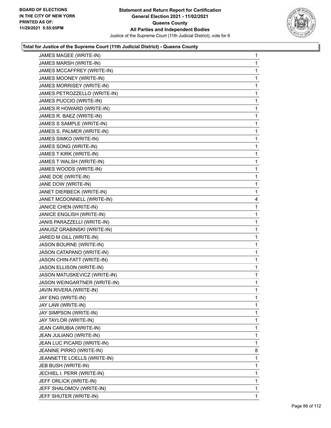

| JAMES MAGEE (WRITE-IN)       | 1 |
|------------------------------|---|
| JAMES MARSH (WRITE-IN)       | 1 |
| JAMES MCCAFFREY (WRITE-IN)   | 1 |
| JAMES MOONEY (WRITE-IN)      | 1 |
| JAMES MORRISEY (WRITE-IN)    | 1 |
| JAMES PETROZZELLO (WRITE-IN) | 1 |
| JAMES PUCCIO (WRITE-IN)      | 1 |
| JAMES R HOWARD (WRITE-IN)    | 1 |
| JAMES R. BAEZ (WRITE-IN)     | 1 |
| JAMES S SAMPLE (WRITE-IN)    | 1 |
| JAMES S. PALMER (WRITE-IN)   | 1 |
| JAMES SIMKO (WRITE-IN)       | 1 |
| JAMES SONG (WRITE-IN)        | 1 |
| JAMES T KIRK (WRITE-IN)      | 1 |
| JAMES T WALSH (WRITE-IN)     | 1 |
| JAMES WOODS (WRITE-IN)       | 1 |
| JANE DOE (WRITE-IN)          | 1 |
| JANE DOW (WRITE-IN)          | 1 |
| JANET DIERBECK (WRITE-IN)    | 1 |
| JANET MCDONNELL (WRITE-IN)   | 4 |
| JANICE CHEN (WRITE-IN)       | 1 |
| JANICE ENGLISH (WRITE-IN)    | 1 |
| JANIS PARAZZELLI (WRITE-IN)  | 1 |
| JANUSZ GRABINSKI (WRITE-IN)  | 1 |
| JARED M GILL (WRITE-IN)      | 1 |
| JASON BOURNE (WRITE-IN)      | 1 |
| JASON CATAPANO (WRITE-IN)    | 1 |
| JASON CHIN-FATT (WRITE-IN)   | 1 |
| JASON ELLISON (WRITE-IN)     | 1 |
| JASON MATUSKEVICZ (WRITE-IN) | 1 |
| JASON WEINGARTNER (WRITE-IN) | 1 |
| JAVIN RIVERA (WRITE-IN)      | 1 |
| JAY ENG (WRITE-IN)           | 1 |
| JAY LAW (WRITE-IN)           | 1 |
| JAY SIMPSON (WRITE-IN)       | 1 |
| JAY TAYLOR (WRITE-IN)        | 1 |
| JEAN CARUBIA (WRITE-IN)      | 1 |
| JEAN JULIANO (WRITE-IN)      | 1 |
| JEAN LUC PICARD (WRITE-IN)   | 1 |
| JEANINE PIRRO (WRITE-IN)     | 8 |
| JEANNETTE LOELLS (WRITE-IN)  | 1 |
| JEB BUSH (WRITE-IN)          | 1 |
| JECHIEL I. PERR (WRITE-IN)   | 1 |
| JEFF ORLICK (WRITE-IN)       | 1 |
| JEFF SHALOMOV (WRITE-IN)     | 1 |
| JEFF SHUTER (WRITE-IN)       | 1 |
|                              |   |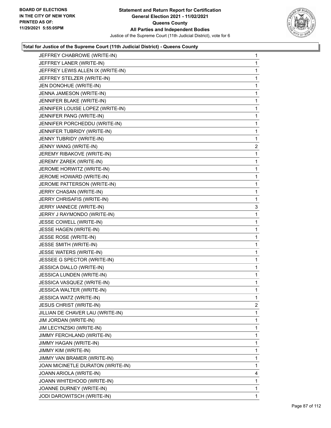

| JEFFREY CHABROWE (WRITE-IN)       | 1            |
|-----------------------------------|--------------|
| JEFFREY LANER (WRITE-IN)          | $\mathbf{1}$ |
| JEFFREY LEWIS ALLEN IX (WRITE-IN) | 1            |
| JEFFREY STELZER (WRITE-IN)        | 1            |
| JEN DONOHUE (WRITE-IN)            | 1            |
| JENNA JAMESON (WRITE-IN)          | 1            |
| JENNIFER BLAKE (WRITE-IN)         | 1            |
| JENNIFER LOUISE LOPEZ (WRITE-IN)  | 1            |
| JENNIFER PANG (WRITE-IN)          | 1            |
| JENNIFER PORCHEDDU (WRITE-IN)     | 1            |
| JENNIFER TUBRIDY (WRITE-IN)       | 1            |
| JENNY TUBRIDY (WRITE-IN)          | 1            |
| JENNY WANG (WRITE-IN)             | 2            |
| JEREMY RIBAKOVE (WRITE-IN)        | 1            |
| JEREMY ZAREK (WRITE-IN)           | 1            |
| JEROME HORWITZ (WRITE-IN)         | 1            |
| JEROME HOWARD (WRITE-IN)          | 1            |
| JEROME PATTERSON (WRITE-IN)       | 1            |
| JERRY CHASAN (WRITE-IN)           | 1            |
| JERRY CHRISAFIS (WRITE-IN)        | 1            |
| JERRY IANNECE (WRITE-IN)          | 3            |
| JERRY J RAYMONDO (WRITE-IN)       | 1            |
| JESSE COWELL (WRITE-IN)           | 1            |
| JESSE HAGEN (WRITE-IN)            | 1            |
| JESSE ROSE (WRITE-IN)             | 1            |
| JESSE SMITH (WRITE-IN)            | 1            |
| JESSE WATERS (WRITE-IN)           | 1            |
| JESSEE G SPECTOR (WRITE-IN)       | 1            |
| JESSICA DIALLO (WRITE-IN)         | 1            |
| <b>JESSICA LUNDEN (WRITE-IN)</b>  | 1            |
| JESSICA VASQUEZ (WRITE-IN)        | 1            |
| JESSICA WALTER (WRITE-IN)         | $\mathbf{1}$ |
| JESSICA WATZ (WRITE-IN)           | 1            |
| <b>JESUS CHRIST (WRITE-IN)</b>    | 2            |
| JILLIAN DE CHAVER LAU (WRITE-IN)  | 1            |
| JIM JORDAN (WRITE-IN)             | 1            |
| JIM LECYNZSKI (WRITE-IN)          | 1            |
| JIMMY FERCHLAND (WRITE-IN)        | 1            |
| JIMMY HAGAN (WRITE-IN)            | 1            |
| JIMMY KIM (WRITE-IN)              | 1            |
| JIMMY VAN BRAMER (WRITE-IN)       | 1            |
| JOAN MICINETLE DURATON (WRITE-IN) | 1            |
| JOANN ARIOLA (WRITE-IN)           | 4            |
| JOANN WHITEHOOD (WRITE-IN)        | 1            |
| JOANNE DURNEY (WRITE-IN)          | 1            |
| JODI DAROWITSCH (WRITE-IN)        | 1            |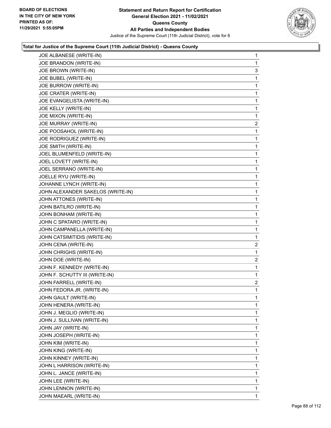

| JOE ALBANESE (WRITE-IN)           | 1              |
|-----------------------------------|----------------|
| JOE BRANDON (WRITE-IN)            | 1              |
| JOE BROWN (WRITE-IN)              | 3              |
| JOE BUBEL (WRITE-IN)              | 1              |
| JOE BURROW (WRITE-IN)             | 1              |
| JOE CRATER (WRITE-IN)             | 1              |
| JOE EVANGELISTA (WRITE-IN)        | 1              |
| JOE KELLY (WRITE-IN)              | 1              |
| JOE MIXON (WRITE-IN)              | 1              |
| JOE MURRAY (WRITE-IN)             | $\overline{2}$ |
| JOE POOSAHOL (WRITE-IN)           | 1              |
| JOE RODRIGUEZ (WRITE-IN)          | 1              |
| JOE SMITH (WRITE-IN)              | 1              |
| JOEL BLUMENFELD (WRITE-IN)        | 1              |
| JOEL LOVETT (WRITE-IN)            | 1              |
| JOEL SERRANO (WRITE-IN)           | 1              |
| JOELLE RYU (WRITE-IN)             | 1              |
| JOHANNE LYNCH (WRITE-IN)          | 1              |
| JOHN ALEXANDER SAKELOS (WRITE-IN) | 1              |
| JOHN ATTONES (WRITE-IN)           | 1              |
| JOHN BATILRO (WRITE-IN)           | 1              |
| JOHN BONHAM (WRITE-IN)            | 1              |
| JOHN C SPATARO (WRITE-IN)         | 1              |
| JOHN CAMPANELLA (WRITE-IN)        | 1              |
| JOHN CATSIMITIDIS (WRITE-IN)      | 1              |
| JOHN CENA (WRITE-IN)              | $\overline{2}$ |
| JOHN CHRIGHS (WRITE-IN)           | 1              |
| JOHN DOE (WRITE-IN)               | $\overline{2}$ |
| JOHN F. KENNEDY (WRITE-IN)        | 1              |
| JOHN F. SCHUTTY III (WRITE-IN)    | 1              |
| JOHN FARRELL (WRITE-IN)           | $\overline{2}$ |
| JOHN FEDORA JR. (WRITE-IN)        | 1              |
| JOHN GAULT (WRITE-IN)             | 1              |
| JOHN HENERA (WRITE-IN)            | 1              |
| JOHN J. MEGLIO (WRITE-IN)         | 1              |
| JOHN J. SULLIVAN (WRITE-IN)       | 1              |
| JOHN JAY (WRITE-IN)               | 1              |
| JOHN JOSEPH (WRITE-IN)            | 1              |
| JOHN KIM (WRITE-IN)               | 1              |
| JOHN KING (WRITE-IN)              | 1              |
| JOHN KINNEY (WRITE-IN)            | 1              |
| JOHN L HARRISON (WRITE-IN)        | 1              |
| JOHN L. JANCE (WRITE-IN)          | 1              |
| JOHN LEE (WRITE-IN)               | 1              |
| JOHN LENNON (WRITE-IN)            | 1              |
| JOHN MAEARL (WRITE-IN)            | 1              |
|                                   |                |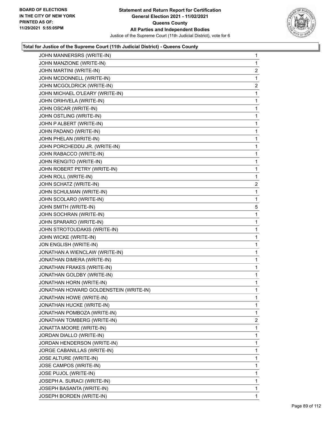

| JOHN MANNERSRS (WRITE-IN)              | 1              |
|----------------------------------------|----------------|
| JOHN MANZIONE (WRITE-IN)               | 1              |
| JOHN MARTINI (WRITE-IN)                | 2              |
| JOHN MCDONNELL (WRITE-IN)              | 1              |
| JOHN MCGOLDRICK (WRITE-IN)             | $\overline{2}$ |
| JOHN MICHAEL O'LEARY (WRITE-IN)        | 1              |
| JOHN ORIHVELA (WRITE-IN)               | 1              |
| JOHN OSCAR (WRITE-IN)                  | 1              |
| JOHN OSTLING (WRITE-IN)                | 1              |
| JOHN P ALBERT (WRITE-IN)               | 1              |
| JOHN PADANO (WRITE-IN)                 | 1              |
| JOHN PHELAN (WRITE-IN)                 | 1              |
| JOHN PORCHEDDU JR. (WRITE-IN)          | 1              |
| JOHN RABACCO (WRITE-IN)                | 1              |
| JOHN RENGITO (WRITE-IN)                | 1              |
| JOHN ROBERT PETRY (WRITE-IN)           | 1              |
| JOHN ROLL (WRITE-IN)                   | 1              |
| JOHN SCHATZ (WRITE-IN)                 | 2              |
| JOHN SCHULMAN (WRITE-IN)               | 1              |
| JOHN SCOLARO (WRITE-IN)                | 1              |
| JOHN SMITH (WRITE-IN)                  | 5              |
| JOHN SOCHRAN (WRITE-IN)                | 1              |
| JOHN SPARARO (WRITE-IN)                | 1              |
| JOHN STROTOUDAKIS (WRITE-IN)           | 1              |
| JOHN WICKE (WRITE-IN)                  | 1              |
| JON ENGLISH (WRITE-IN)                 | 1              |
| JONATHAN A WIENCLAW (WRITE-IN)         | 1              |
| JONATHAN DIMERA (WRITE-IN)             | 1              |
| JONATHAN FRAKES (WRITE-IN)             | 1              |
| JONATHAN GOLDBY (WRITE-IN)             | 1              |
| JONATHAN HORN (WRITE-IN)               | 1              |
| JONATHAN HOWARD GOLDENSTEIN (WRITE-IN) | 1              |
| JONATHAN HOWE (WRITE-IN)               | 1              |
| JONATHAN HUCKE (WRITE-IN)              | 1              |
| JONATHAN POMBOZA (WRITE-IN)            | 1              |
| JONATHAN TOMBERG (WRITE-IN)            | 2              |
| JONATTA MOORE (WRITE-IN)               | 1              |
| JORDAN DIALLO (WRITE-IN)               | 1              |
| JORDAN HENDERSON (WRITE-IN)            | 1              |
| JORGE CABANILLAS (WRITE-IN)            | 1              |
| JOSE ALTURE (WRITE-IN)                 | 1              |
| JOSE CAMPOS (WRITE-IN)                 | 1              |
| JOSE PUJOL (WRITE-IN)                  | 1              |
| JOSEPH A. SURACI (WRITE-IN)            | 1              |
| JOSEPH BASANTA (WRITE-IN)              | 1              |
| JOSEPH BORDEN (WRITE-IN)               | 1              |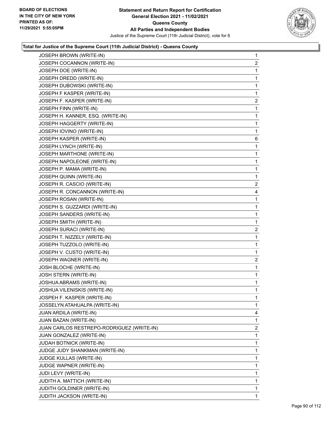

| JOSEPH BROWN (WRITE-IN)                   | $\mathbf{1}$   |
|-------------------------------------------|----------------|
| JOSEPH COCANNON (WRITE-IN)                | $\overline{2}$ |
| JOSEPH DOE (WRITE-IN)                     | $\mathbf{1}$   |
| JOSEPH DREDD (WRITE-IN)                   | $\mathbf 1$    |
| JOSEPH DUBOWSKI (WRITE-IN)                | 1              |
| JOSEPH F KASPER (WRITE-IN)                | 1              |
| JOSEPH F. KASPER (WRITE-IN)               | $\overline{c}$ |
| JOSEPH FINN (WRITE-IN)                    | $\mathbf 1$    |
| JOSEPH H. KANNER, ESQ. (WRITE-IN)         | 1              |
| JOSEPH HAGGERTY (WRITE-IN)                | $\mathbf 1$    |
| JOSEPH IOVINO (WRITE-IN)                  | $\mathbf 1$    |
| JOSEPH KASPER (WRITE-IN)                  | 6              |
| JOSEPH LYNCH (WRITE-IN)                   | $\mathbf 1$    |
| JOSEPH MARTHONE (WRITE-IN)                | $\mathbf 1$    |
| JOSEPH NAPOLEONE (WRITE-IN)               | 1              |
| JOSEPH P. MAMA (WRITE-IN)                 | $\mathbf 1$    |
| JOSEPH QUINN (WRITE-IN)                   | 1              |
| JOSEPH R. CASCIO (WRITE-IN)               | 2              |
| JOSEPH R. CONCANNON (WRITE-IN)            | 4              |
| JOSEPH ROSAN (WRITE-IN)                   | $\mathbf 1$    |
| JOSEPH S. GUZZARDI (WRITE-IN)             | 1              |
| JOSEPH SANDERS (WRITE-IN)                 | $\mathbf 1$    |
| JOSEPH SMITH (WRITE-IN)                   | 1              |
| JOSEPH SURACI (WRITE-IN)                  | 2              |
| JOSEPH T. NIZZELY (WRITE-IN)              | $\mathbf{1}$   |
| JOSEPH TUZZOLO (WRITE-IN)                 | $\mathbf{1}$   |
| JOSEPH V. CUSTO (WRITE-IN)                | $\mathbf{1}$   |
| JOSEPH WAGNER (WRITE-IN)                  | 2              |
| JOSH BLOCHE (WRITE-IN)                    | $\mathbf{1}$   |
| JOSH STERN (WRITE-IN)                     | $\mathbf{1}$   |
| JOSHUA ABRAMS (WRITE-IN)                  | $\mathbf 1$    |
| JOSHUA VILENISKIS (WRITE-IN)              | 1              |
| JOSPEH F. KASPER (WRITE-IN)               | 1              |
| JOSSELYN ATAHUALPA (WRITE-IN)             | 1              |
| JUAN ARDILA (WRITE-IN)                    | 4              |
| JUAN BAZAN (WRITE-IN)                     | $\mathbf{1}$   |
| JUAN CARLOS RESTREPO-RODRIGUEZ (WRITE-IN) | 2              |
| JUAN GONZALEZ (WRITE-IN)                  | 1              |
| JUDAH BOTNICK (WRITE-IN)                  | 1              |
| JUDGE JUDY SHANKMAN (WRITE-IN)            | 1              |
| JUDGE KULLAS (WRITE-IN)                   | $\mathbf{1}$   |
| JUDGE WAPNER (WRITE-IN)                   | $\mathbf{1}$   |
| JUDI LEVY (WRITE-IN)                      | $\mathbf{1}$   |
| JUDITH A. MATTICH (WRITE-IN)              | 1              |
| JUDITH GOLDINER (WRITE-IN)                | $\mathbf{1}$   |
| JUDITH JACKSON (WRITE-IN)                 | 1              |
|                                           |                |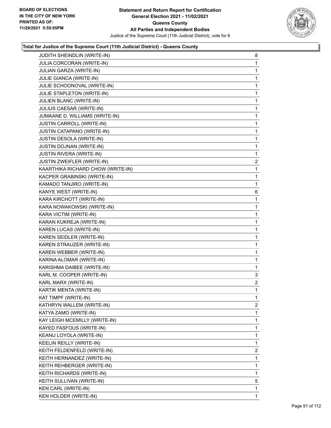

| JUDITH SHEINDLIN (WRITE-IN)       | 8              |
|-----------------------------------|----------------|
| JULIA CORCORAN (WRITE-IN)         | $\mathbf{1}$   |
| JULIAN GARZA (WRITE-IN)           | 1              |
| JULIE GIANCA (WRITE-IN)           | $\mathbf 1$    |
| JULIE SCHOONOVAL (WRITE-IN)       | 1              |
| JULIE STAPLETON (WRITE-IN)        | 1              |
| JULIEN BLANC (WRITE-IN)           | $\mathbf{1}$   |
| JULIUS CAESAR (WRITE-IN)          | $\mathbf{1}$   |
| JUMAANE D. WILLIAMS (WRITE-IN)    | 1              |
| JUSTIN CARROLL (WRITE-IN)         | $\mathbf 1$    |
| JUSTIN CATAPANO (WRITE-IN)        | 1              |
| <b>JUSTIN DESOLA (WRITE-IN)</b>   | 1              |
| JUSTIN DOJNAN (WRITE-IN)          | $\mathbf{1}$   |
| <b>JUSTIN RIVERA (WRITE-IN)</b>   | 1              |
| JUSTIN ZWEIFLER (WRITE-IN)        | 2              |
| KAARTHIKA RICHARD CHOW (WRITE-IN) | $\mathbf 1$    |
| KACPER GRABINSKI (WRITE-IN)       | 1              |
| KAMADO TANJIRO (WRITE-IN)         | 1              |
| KANYE WEST (WRITE-IN)             | 6              |
| KARA KIRCHOTT (WRITE-IN)          | $\mathbf{1}$   |
| KARA NOWAKOWSKI (WRITE-IN)        | 1              |
| KARA VICTIM (WRITE-IN)            | $\mathbf 1$    |
| KARAN KUKREJA (WRITE-IN)          | 1              |
| KAREN LUCAS (WRITE-IN)            | 1              |
| KAREN SEIDLER (WRITE-IN)          | $\mathbf{1}$   |
| KAREN STRAUZER (WRITE-IN)         | 1              |
| KAREN WEBBER (WRITE-IN)           | 1              |
| KARINA ALOMAR (WRITE-IN)          | $\mathbf 1$    |
| KARISHMA DAIBEE (WRITE-IN)        | 1              |
| KARL M. COOPER (WRITE-IN)         | 3              |
| KARL MARX (WRITE-IN)              | $\overline{2}$ |
| KARTIK MENTA (WRITE-IN)           | 1              |
| KAT TIMPF (WRITE-IN)              | 1              |
| KATHRYN WALLEM (WRITE-IN)         | $\overline{2}$ |
| KATYA ZAMO (WRITE-IN)             | 1              |
| KAY LEIGH MCEMILLY (WRITE-IN)     | 1              |
| KAYED FASFOUS (WRITE-IN)          | 1              |
| KEANU LOYOLA (WRITE-IN)           | 1              |
| KEELIN REILLY (WRITE-IN)          | 1              |
| KEITH FELDENFELD (WRITE-IN)       | $\overline{2}$ |
| KEITH HERNANDEZ (WRITE-IN)        | 1              |
| KEITH REHBERGER (WRITE-IN)        | 1              |
| KEITH RICHARDS (WRITE-IN)         | $\mathbf{1}$   |
| KEITH SULLIVAN (WRITE-IN)         | 5              |
| KEN CARL (WRITE-IN)               | 1              |
| KEN HOLDER (WRITE-IN)             | $\mathbf{1}$   |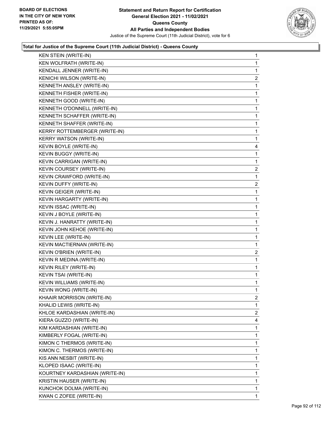

| <b>KEN STEIN (WRITE-IN)</b>    | 1              |
|--------------------------------|----------------|
| KEN WOLFRATH (WRITE-IN)        | 1              |
| KENDALL JENNER (WRITE-IN)      | 1              |
| KENICHI WILSON (WRITE-IN)      | $\overline{a}$ |
| KENNETH ANSLEY (WRITE-IN)      | 1              |
| KENNETH FISHER (WRITE-IN)      | 1              |
| KENNETH GOOD (WRITE-IN)        | 1              |
| KENNETH O'DONNELL (WRITE-IN)   | 1              |
| KENNETH SCHAFFER (WRITE-IN)    | 1              |
| KENNETH SHAFFER (WRITE-IN)     | 1              |
| KERRY ROTTEMBERGER (WRITE-IN)  | 1              |
| KERRY WATSON (WRITE-IN)        | 1              |
| KEVIN BOYLE (WRITE-IN)         | 4              |
| KEVIN BUGGY (WRITE-IN)         | 1              |
| KEVIN CARRIGAN (WRITE-IN)      | 1              |
| KEVIN COURSEY (WRITE-IN)       | $\overline{a}$ |
| KEVIN CRAWFORD (WRITE-IN)      | 1              |
| KEVIN DUFFY (WRITE-IN)         | $\overline{c}$ |
| KEVIN GEIGER (WRITE-IN)        | 1              |
| KEVIN HARGARTY (WRITE-IN)      | 1              |
| KEVIN ISSAC (WRITE-IN)         | 1              |
| KEVIN J BOYLE (WRITE-IN)       | 1              |
| KEVIN J. HANRATTY (WRITE-IN)   | 1              |
| KEVIN JOHN KEHOE (WRITE-IN)    | 1              |
| KEVIN LEE (WRITE-IN)           | 1              |
| KEVIN MACTIERNAN (WRITE-IN)    | 1              |
| KEVIN O'BRIEN (WRITE-IN)       | $\overline{c}$ |
| KEVIN R MEDINA (WRITE-IN)      | 1              |
| KEVIN RILEY (WRITE-IN)         | $\mathbf{1}$   |
| KEVIN TSAI (WRITE-IN)          | 1              |
| KEVIN WILLIAMS (WRITE-IN)      | 1              |
| KEVIN WONG (WRITE-IN)          | 1              |
| KHAAIR MORRISON (WRITE-IN)     | 2              |
| KHALID LEWIS (WRITE-IN)        | 1              |
| KHLOE KARDASHIAN (WRITE-IN)    | 2              |
| KIERA GUZZO (WRITE-IN)         | 4              |
| KIM KARDASHIAN (WRITE-IN)      | 1              |
| KIMBERLY FOGAL (WRITE-IN)      | 1              |
| KIMON C THERMOS (WRITE-IN)     | 1              |
| KIMON C. THERMOS (WRITE-IN)    | 1              |
| KIS ANN NESBIT (WRITE-IN)      | 1              |
| KLOPED ISAAC (WRITE-IN)        | 1              |
| KOURTNEY KARDASHIAN (WRITE-IN) | 1              |
| KRISTIN HAUSER (WRITE-IN)      | 1              |
| KUNCHOK DOLMA (WRITE-IN)       | 1              |
| KWAN C ZOFEE (WRITE-IN)        | 1              |
|                                |                |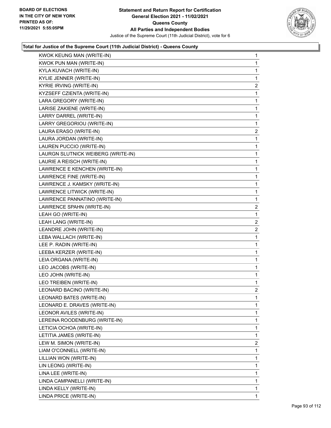

| KWOK KEUNG MAN (WRITE-IN)          | $\mathbf{1}$   |
|------------------------------------|----------------|
| KWOK PUN MAN (WRITE-IN)            | 1              |
| KYLA KUVACH (WRITE-IN)             | 1              |
| KYLIE JENNER (WRITE-IN)            | 1              |
| KYRIE IRVING (WRITE-IN)            | $\overline{2}$ |
| KYZSEFF CZIENTA (WRITE-IN)         | 1              |
| LARA GREGORY (WRITE-IN)            | 1              |
| LARISE ZAKIENE (WRITE-IN)          | 1              |
| LARRY DARREL (WRITE-IN)            | 1              |
| LARRY GREGORIOU (WRITE-IN)         | 1              |
| LAURA ERASO (WRITE-IN)             | $\overline{2}$ |
| LAURA JORDAN (WRITE-IN)            | 1              |
| LAUREN PUCCIO (WRITE-IN)           | 1              |
| LAURGN SLUTNICK WEIBERG (WRITE-IN) | 1              |
| LAURIE A REISCH (WRITE-IN)         | 1              |
| LAWRENCE E KENCHEN (WRITE-IN)      | 1              |
| LAWRENCE FINE (WRITE-IN)           | 1              |
| LAWRENCE J. KAMSKY (WRITE-IN)      | 1              |
| LAWRENCE LITWICK (WRITE-IN)        | 1              |
| LAWRENCE PANNATINO (WRITE-IN)      | 1              |
| LAWRENCE SPAHN (WRITE-IN)          | $\overline{2}$ |
| LEAH GO (WRITE-IN)                 | 1              |
| LEAH LANG (WRITE-IN)               | $\overline{2}$ |
| LEANDRE JOHN (WRITE-IN)            | $\overline{2}$ |
| LEBA WALLACH (WRITE-IN)            | 1              |
| LEE P. RADIN (WRITE-IN)            | 1              |
| LEEBA KERZER (WRITE-IN)            | 1              |
| LEIA ORGANA (WRITE-IN)             | 1              |
| LEO JACOBS (WRITE-IN)              | 1              |
| LEO JOHN (WRITE-IN)                | 1              |
| LEO TREIBEN (WRITE-IN)             | 1              |
| LEONARD BACINO (WRITE-IN)          | $\overline{2}$ |
| LEONARD BATES (WRITE-IN)           | 1              |
| LEONARD E. DRAVES (WRITE-IN)       | 1              |
| LEONOR AVILES (WRITE-IN)           | 1              |
| LEREINA ROODENBURG (WRITE-IN)      | 1              |
| LETICIA OCHOA (WRITE-IN)           | 1              |
| LETITIA JAMES (WRITE-IN)           | 1              |
| LEW M. SIMON (WRITE-IN)            | $\overline{2}$ |
| LIAM O'CONNELL (WRITE-IN)          | 1              |
| LILLIAN WON (WRITE-IN)             | 1              |
| LIN LEONG (WRITE-IN)               | 1              |
| LINA LEE (WRITE-IN)                | 1              |
| LINDA CAMPANELLI (WRITE-IN)        | 1              |
| LINDA KELLY (WRITE-IN)             | 1              |
| LINDA PRICE (WRITE-IN)             | 1.             |
|                                    |                |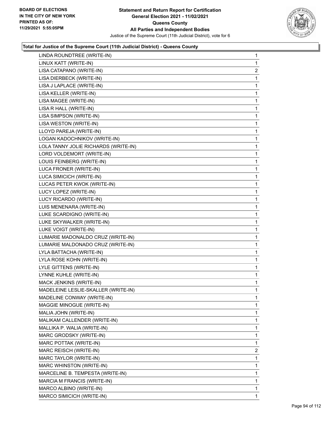

| LINDA ROUNDTREE (WRITE-IN)           | 1              |
|--------------------------------------|----------------|
| LINUX KATT (WRITE-IN)                | 1              |
| LISA CATAPANO (WRITE-IN)             | $\overline{2}$ |
| LISA DIERBECK (WRITE-IN)             | 1              |
| LISA J LAPLACE (WRITE-IN)            | 1              |
| LISA KELLER (WRITE-IN)               | 1              |
| LISA MAGEE (WRITE-IN)                | 1              |
| LISA R HALL (WRITE-IN)               | 1              |
| LISA SIMPSON (WRITE-IN)              | 1              |
| LISA WESTON (WRITE-IN)               | 1              |
| LLOYD PAREJA (WRITE-IN)              | 1              |
| LOGAN KADOCHNIKOV (WRITE-IN)         | 1              |
| LOLA TANNY JOLIE RICHARDS (WRITE-IN) | 1              |
| LORD VOLDEMORT (WRITE-IN)            | 1              |
| LOUIS FEINBERG (WRITE-IN)            | 1              |
| LUCA FRONER (WRITE-IN)               | 1              |
| LUCA SIMICICH (WRITE-IN)             | 1              |
| LUCAS PETER KWOK (WRITE-IN)          | 1              |
| LUCY LOPEZ (WRITE-IN)                | 1              |
| LUCY RICARDO (WRITE-IN)              | 1              |
| LUIS MENENARA (WRITE-IN)             | 1              |
| LUKE SCARDIGNO (WRITE-IN)            | 1              |
| LUKE SKYWALKER (WRITE-IN)            | 1              |
| LUKE VOIGT (WRITE-IN)                | 1              |
| LUMARIE MADONALDO CRUZ (WRITE-IN)    | 1              |
| LUMARIE MALDONADO CRUZ (WRITE-IN)    | 1              |
| LYLA BATTACHA (WRITE-IN)             | 1              |
| LYLA ROSE KOHN (WRITE-IN)            | 1              |
| LYLE GITTENS (WRITE-IN)              | 1              |
| LYNNE KUHLE (WRITE-IN)               | 1              |
| MACK JENKINS (WRITE-IN)              | 1              |
| MADELEINE LESLIE-SKALLER (WRITE-IN)  | 1              |
| MADELINE CONWAY (WRITE-IN)           | 1              |
| MAGGIE MINOGUE (WRITE-IN)            | 1              |
| MALIA JOHN (WRITE-IN)                | 1              |
| MALIKAM CALLENDER (WRITE-IN)         | 1              |
| MALLIKA P. WALIA (WRITE-IN)          | 1              |
| MARC GRODSKY (WRITE-IN)              | 1              |
| MARC POTTAK (WRITE-IN)               | 1              |
| MARC REISCH (WRITE-IN)               | 2              |
| MARC TAYLOR (WRITE-IN)               | 1              |
| MARC WHINSTON (WRITE-IN)             | 1              |
| MARCELINE B. TEMPESTA (WRITE-IN)     | 1              |
| MARCIA M FRANCIS (WRITE-IN)          | 1              |
| MARCO ALBINO (WRITE-IN)              | 1              |
| MARCO SIMICICH (WRITE-IN)            | 1              |
|                                      |                |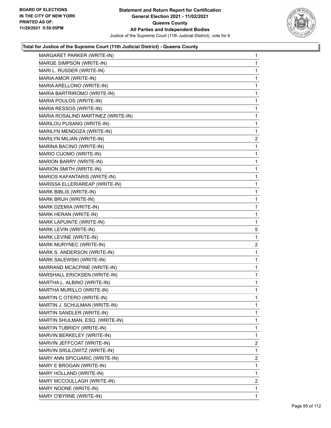

| MARGARET PARKER (WRITE-IN)         | $\mathbf{1}$   |
|------------------------------------|----------------|
| MARGE SIMPSON (WRITE-IN)           | $\mathbf{1}$   |
| MARI L. RUSSER (WRITE-IN)          | 1              |
| MARIA AMOR (WRITE-IN)              | $\mathbf 1$    |
| MARIA ARELLONO (WRITE-IN)          | $\mathbf 1$    |
| MARIA BARTRIROMO (WRITE-IN)        | 1              |
| MARIA POULOS (WRITE-IN)            | 1              |
| MARIA RESSOS (WRITE-IN)            | $\mathbf{1}$   |
| MARIA ROSALIND MARTINEZ (WRITE-IN) | 1              |
| MARILOU PUSANG (WRITE-IN)          | $\mathbf 1$    |
| MARILYN MENDOZA (WRITE-IN)         | $\mathbf 1$    |
| MARILYN MILIAN (WRITE-IN)          | $\overline{2}$ |
| MARINA BACINO (WRITE-IN)           | 1              |
| MARIO CUOMO (WRITE-IN)             | $\mathbf{1}$   |
| MARION BARRY (WRITE-IN)            | 1              |
| MARION SMITH (WRITE-IN)            | $\mathbf 1$    |
| MARIOS KAFANTARIS (WRITE-IN)       | $\mathbf 1$    |
| MARISSA ELLERIAREAP (WRITE-IN)     | 1              |
| MARK BIBLIS (WRITE-IN)             | 1              |
| MARK BRUH (WRITE-IN)               | $\mathbf 1$    |
| MARK DZEMIA (WRITE-IN)             | 1              |
| MARK HERAN (WRITE-IN)              | $\mathbf 1$    |
| MARK LAPUINTE (WRITE-IN)           | $\mathbf 1$    |
| MARK LEVIN (WRITE-IN)              | 5              |
| MARK LEVINE (WRITE-IN)             | 1              |
| MARK MURYNEC (WRITE-IN)            | 2              |
| MARK S. ANDERSON (WRITE-IN)        | 1              |
| MARK SALEWSKI (WRITE-IN)           | 1              |
| MARRAND MCACPINE (WRITE-IN)        | $\mathbf 1$    |
| MARSHALL ERICKSEN (WRITE-IN)       | 1              |
| MARTHA L. ALBINO (WRITE-IN)        | 1              |
| MARTHA MURILLO (WRITE-IN)          | $\mathbf{1}$   |
| MARTIN C OTERO (WRITE-IN)          | $\mathbf 1$    |
| MARTIN J. SCHULMAN (WRITE-IN)      | 1              |
| MARTIN SANDLER (WRITE-IN)          | 1              |
| MARTIN SHULMAN, ESQ. (WRITE-IN)    | 1              |
| MARTIN TUBRIDY (WRITE-IN)          | 1              |
| MARVIN BERKELEY (WRITE-IN)         | 1              |
| MARVIN JEFFCOAT (WRITE-IN)         | $\overline{2}$ |
| MARVIN SRULOWITZ (WRITE-IN)        | 1              |
| MARY ANN SPICIJARIC (WRITE-IN)     | 2              |
| MARY E BROGAN (WRITE-IN)           | 1              |
| MARY HOLLAND (WRITE-IN)            | 1              |
| MARY MCCOULLAGH (WRITE-IN)         | 2              |
| MARY NOONE (WRITE-IN)              | 1              |
| MARY O'BYRNE (WRITE-IN)            | 1              |
|                                    |                |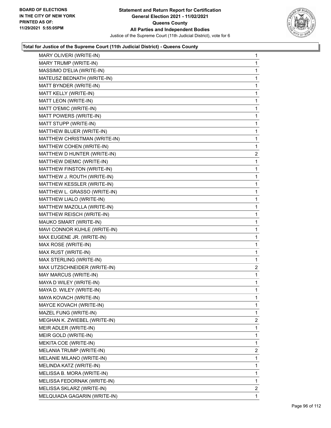

| MARY OLIVERI (WRITE-IN)      | 1              |
|------------------------------|----------------|
| MARY TRUMP (WRITE-IN)        | 1              |
| MASSIMO D'ELIA (WRITE-IN)    | 1              |
| MATEUSZ BEDNATH (WRITE-IN)   | 1              |
| MATT BYNDER (WRITE-IN)       | 1              |
| MATT KELLY (WRITE-IN)        | 1              |
| MATT LEON (WRITE-IN)         | 1              |
| MATT O'EMIC (WRITE-IN)       | 1              |
| MATT POWERS (WRITE-IN)       | 1              |
| MATT STUPP (WRITE-IN)        | 1              |
| MATTHEW BLUER (WRITE-IN)     | 1              |
| MATTHEW CHRISTMAN (WRITE-IN) | 1              |
| MATTHEW COHEN (WRITE-IN)     | 1              |
| MATTHEW D HUNTER (WRITE-IN)  | $\overline{2}$ |
| MATTHEW DIEMIC (WRITE-IN)    | 1              |
| MATTHEW FINSTON (WRITE-IN)   | 1              |
| MATTHEW J. ROUTH (WRITE-IN)  | 1              |
| MATTHEW KESSLER (WRITE-IN)   | 1              |
| MATTHEW L. GRASSO (WRITE-IN) | 1              |
| MATTHEW LIALO (WRITE-IN)     | 1              |
| MATTHEW MAZOLLA (WRITE-IN)   | 1              |
| MATTHEW REISCH (WRITE-IN)    | 1              |
| MAUKO SMART (WRITE-IN)       | 1              |
| MAVI CONNOR KUHLE (WRITE-IN) | 1              |
| MAX EUGENE JR. (WRITE-IN)    | 1              |
| MAX ROSE (WRITE-IN)          | 1              |
| MAX RUST (WRITE-IN)          | 1              |
| MAX STERLING (WRITE-IN)      | 1              |
| MAX UTZSCHNEIDER (WRITE-IN)  | $\overline{2}$ |
| MAY MARCUS (WRITE-IN)        | 1              |
| MAYA D WILEY (WRITE-IN)      | 1              |
| MAYA D. WILEY (WRITE-IN)     | 1              |
| MAYA KOVACH (WRITE-IN)       | 1              |
| MAYCE KOVACH (WRITE-IN)      | 1              |
| MAZEL FUNG (WRITE-IN)        | 1              |
| MEGHAN K. ZWIEBEL (WRITE-IN) | 2              |
| MEIR ADLER (WRITE-IN)        | 1              |
| MEIR GOLD (WRITE-IN)         | 1              |
| MEKITA COE (WRITE-IN)        | 1              |
| MELANIA TRUMP (WRITE-IN)     | $\overline{2}$ |
| MELANIE MILANO (WRITE-IN)    | 1              |
| MELINDA KATZ (WRITE-IN)      | 1              |
| MELISSA B. MORA (WRITE-IN)   | 1              |
| MELISSA FEDORNAK (WRITE-IN)  | 1              |
| MELISSA SKLARZ (WRITE-IN)    | $\overline{2}$ |
| MELQUIADA GAGARIN (WRITE-IN) | 1              |
|                              |                |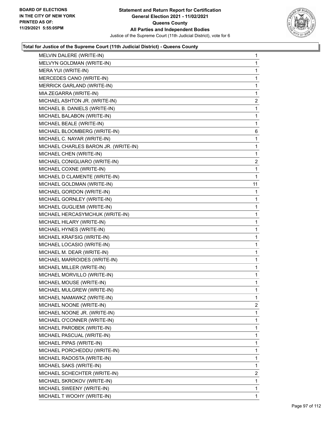

| MELVIN DALERE (WRITE-IN)             | 1                       |
|--------------------------------------|-------------------------|
| MELVYN GOLDMAN (WRITE-IN)            | 1                       |
| MERA YUI (WRITE-IN)                  | 1                       |
| MERCEDES CANO (WRITE-IN)             | 1                       |
| MERRICK GARLAND (WRITE-IN)           | 1                       |
| MIA ZEGARRA (WRITE-IN)               | 1                       |
| MICHAEL ASHTON JR. (WRITE-IN)        | $\overline{\mathbf{c}}$ |
| MICHAEL B. DANIELS (WRITE-IN)        | 1                       |
| MICHAEL BALABON (WRITE-IN)           | 1                       |
| MICHAEL BEALE (WRITE-IN)             | 1                       |
| MICHAEL BLOOMBERG (WRITE-IN)         | 6                       |
| MICHAEL C. NAYAR (WRITE-IN)          | 1                       |
| MICHAEL CHARLES BARON JR. (WRITE-IN) | 1                       |
| MICHAEL CHEN (WRITE-IN)              | 1                       |
| MICHAEL CONIGLIARO (WRITE-IN)        | $\overline{2}$          |
| MICHAEL COXNE (WRITE-IN)             | 1                       |
| MICHAEL D CLAMENTE (WRITE-IN)        | 1                       |
| MICHAEL GOLDMAN (WRITE-IN)           | 11                      |
| MICHAEL GORDON (WRITE-IN)            | 1                       |
| MICHAEL GORNLEY (WRITE-IN)           | 1                       |
| MICHAEL GUGLIEMI (WRITE-IN)          | 1                       |
| MICHAEL HERCASYMCHUK (WRITE-IN)      | 1                       |
| MICHAEL HILARY (WRITE-IN)            | 1                       |
| MICHAEL HYNES (WRITE-IN)             | 1                       |
| MICHAEL KRAFSIG (WRITE-IN)           | 1                       |
| MICHAEL LOCASIO (WRITE-IN)           | 1                       |
| MICHAEL M. DEAR (WRITE-IN)           | 1                       |
| MICHAEL MARROIDES (WRITE-IN)         | 1                       |
| MICHAEL MILLER (WRITE-IN)            | 1                       |
| MICHAEL MORVILLO (WRITE-IN)          | 1                       |
| MICHAEL MOUSE (WRITE-IN)             | 1                       |
| MICHAEL MULGREW (WRITE-IN)           | 1                       |
| MICHAEL NAMAWKZ (WRITE-IN)           | 1                       |
| MICHAEL NOONE (WRITE-IN)             | $\overline{2}$          |
| MICHAEL NOONE JR. (WRITE-IN)         | 1                       |
| MICHAEL O'CONNER (WRITE-IN)          | 1                       |
| MICHAEL PAROBEK (WRITE-IN)           | 1                       |
| MICHAEL PASCUAL (WRITE-IN)           | 1                       |
| MICHAEL PIPAS (WRITE-IN)             | 1                       |
| MICHAEL PORCHEDDU (WRITE-IN)         | 1                       |
| MICHAEL RADOSTA (WRITE-IN)           | 1                       |
| MICHAEL SAKS (WRITE-IN)              | 1                       |
| MICHAEL SCHECHTER (WRITE-IN)         | $\overline{c}$          |
| MICHAEL SKROKOV (WRITE-IN)           | 1                       |
| MICHAEL SWEENY (WRITE-IN)            | 1                       |
| MICHAEL T WOOHY (WRITE-IN)           | 1                       |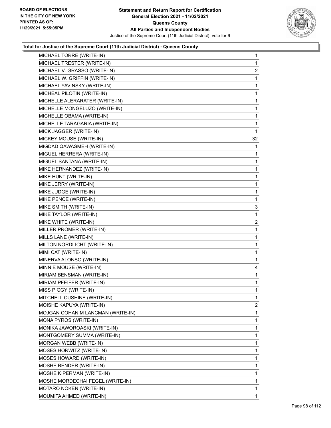

| MICHAEL TORRE (WRITE-IN)          | 1              |
|-----------------------------------|----------------|
| MICHAEL TRESTER (WRITE-IN)        | 1              |
| MICHAEL V. GRASSO (WRITE-IN)      | $\overline{a}$ |
| MICHAEL W. GRIFFIN (WRITE-IN)     | 1              |
| MICHAEL YAVINSKY (WRITE-IN)       | 1              |
| MICHEAL PILOTIN (WRITE-IN)        | 1              |
| MICHELLE ALERARATER (WRITE-IN)    | 1              |
| MICHELLE MONGELUZO (WRITE-IN)     | 1              |
| MICHELLE OBAMA (WRITE-IN)         | 1              |
| MICHELLE TARAGARIA (WRITE-IN)     | 1              |
| MICK JAGGER (WRITE-IN)            | 1              |
| MICKEY MOUSE (WRITE-IN)           | 32             |
| MIGDAD QAWASMEH (WRITE-IN)        | 1              |
| MIGUEL HERRERA (WRITE-IN)         | 1              |
| MIGUEL SANTANA (WRITE-IN)         | 1              |
| MIKE HERNANDEZ (WRITE-IN)         | 1              |
| MIKE HUNT (WRITE-IN)              | 1              |
| MIKE JERRY (WRITE-IN)             | 1              |
| MIKE JUDGE (WRITE-IN)             | 1              |
| MIKE PENCE (WRITE-IN)             | 1              |
| MIKE SMITH (WRITE-IN)             | 3              |
| MIKE TAYLOR (WRITE-IN)            | 1              |
| MIKE WHITE (WRITE-IN)             | $\overline{a}$ |
| MILLER PROMER (WRITE-IN)          | 1              |
| MILLS LANE (WRITE-IN)             | 1              |
| MILTON NORDLICHT (WRITE-IN)       | 1              |
| MIMI CAT (WRITE-IN)               | 1              |
| MINERVA ALONSO (WRITE-IN)         | 1              |
| MINNIE MOUSE (WRITE-IN)           | 4              |
| MIRIAM BENSMAN (WRITE-IN)         | 1              |
| MIRIAM PFEIFER (WRITE-IN)         | 1              |
| MISS PIGGY (WRITE-IN)             | 1              |
| MITCHELL CUSHINE (WRITE-IN)       | 1              |
| MOISHE KAPUYA (WRITE-IN)          | $\overline{2}$ |
| MOJGAN COHANIM LANCMAN (WRITE-IN) | 1              |
| MONA PYROS (WRITE-IN)             | 1              |
| MONIKA JAWOROASKI (WRITE-IN)      | 1              |
| MONTGOMERY SUMMA (WRITE-IN)       | 1              |
| MORGAN WEBB (WRITE-IN)            | 1              |
| MOSES HORWITZ (WRITE-IN)          | 1              |
| MOSES HOWARD (WRITE-IN)           | 1              |
| MOSHE BENDER (WRITE-IN)           | 1              |
| MOSHE KIPERMAN (WRITE-IN)         | 1              |
| MOSHE MORDECHAI FEGEL (WRITE-IN)  | 1              |
| MOTARO NOKEN (WRITE-IN)           | 1              |
| MOUMITA AHMED (WRITE-IN)          | 1              |
|                                   |                |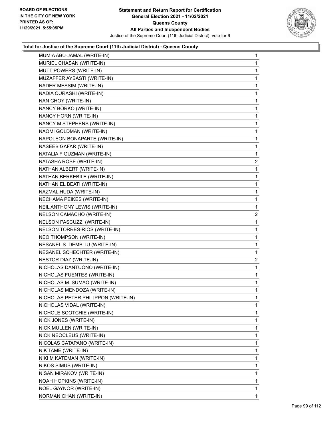

| MUMIA ABU-JAMAL (WRITE-IN)          | $\mathbf{1}$   |
|-------------------------------------|----------------|
| MURIEL CHASAN (WRITE-IN)            | 1              |
| MUTT POWERS (WRITE-IN)              | 1              |
| MUZAFFER AYBASTI (WRITE-IN)         | 1              |
| NADER MESSIM (WRITE-IN)             | 1              |
| NADIA QURASHI (WRITE-IN)            | 1              |
| NAN CHOY (WRITE-IN)                 | 1              |
| NANCY BORKO (WRITE-IN)              | 1              |
| NANCY HORN (WRITE-IN)               | 1              |
| NANCY M STEPHENS (WRITE-IN)         | 1              |
| NAOMI GOLDMAN (WRITE-IN)            | 1              |
| NAPOLEON BONAPARTE (WRITE-IN)       | 1              |
| NASEEB GAFAR (WRITE-IN)             | 1              |
| NATALIA F GUZMAN (WRITE-IN)         | 1              |
| NATASHA ROSE (WRITE-IN)             | $\overline{a}$ |
| NATHAN ALBERT (WRITE-IN)            | 1              |
| NATHAN BERKEBILE (WRITE-IN)         | 1              |
| NATHANIEL BEATI (WRITE-IN)          | 1              |
| NAZMAL HUDA (WRITE-IN)              | 1              |
| NECHAMA PEIKES (WRITE-IN)           | 1              |
| NEIL ANTHONY LEWIS (WRITE-IN)       | 1              |
| NELSON CAMACHO (WRITE-IN)           | $\overline{a}$ |
| NELSON PASCUZZI (WRITE-IN)          | 1              |
| NELSON TORRES-RIOS (WRITE-IN)       | 1              |
| NEO THOMPSON (WRITE-IN)             | 1              |
| NESANEL S. DEMBLIU (WRITE-IN)       | 1              |
| NESANEL SCHECHTER (WRITE-IN)        | 1              |
| NESTOR DIAZ (WRITE-IN)              | $\overline{a}$ |
| NICHOLAS DANTUONO (WRITE-IN)        | 1              |
| NICHOLAS FUENTES (WRITE-IN)         | 1              |
| NICHOLAS M. SUMAO (WRITE-IN)        | 1              |
| NICHOLAS MENDOZA (WRITE-IN)         | 1              |
| NICHOLAS PETER PHILIPPON (WRITE-IN) | 1              |
| NICHOLAS VIDAL (WRITE-IN)           | 1              |
| NICHOLE SCOTCHIE (WRITE-IN)         | 1              |
| NICK JONES (WRITE-IN)               | 1              |
| NICK MULLEN (WRITE-IN)              | 1              |
| NICK NEOCLEUS (WRITE-IN)            | 1              |
| NICOLAS CATAPANO (WRITE-IN)         | 1              |
| NIK TAME (WRITE-IN)                 | 1              |
| NIKI M KATEMAN (WRITE-IN)           | 1              |
| NIKOS SIMUS (WRITE-IN)              | 1              |
| NISAN MIRAKOV (WRITE-IN)            | 1              |
| NOAH HOPKINS (WRITE-IN)             | 1              |
| NOEL GAYNOR (WRITE-IN)              | 1              |
| NORMAN CHAN (WRITE-IN)              | 1.             |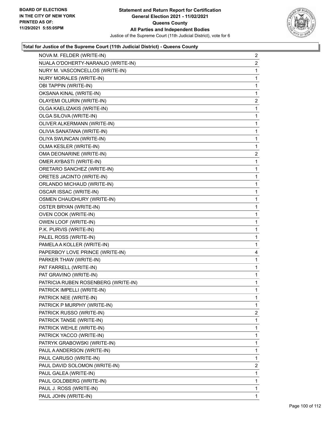

| NOVA M. FELDER (WRITE-IN)           | $\overline{2}$ |
|-------------------------------------|----------------|
| NUALA O'DOHERTY-NARANJO (WRITE-IN)  | $\overline{2}$ |
| NURY M. VASCONCELLOS (WRITE-IN)     | 1              |
| NURY MORALES (WRITE-IN)             | 1              |
| OBI TAPPIN (WRITE-IN)               | 1              |
| OKSANA KINAL (WRITE-IN)             | 1              |
| OLAYEMI OLURIN (WRITE-IN)           | $\overline{2}$ |
| OLGA KAELIZAKIS (WRITE-IN)          | 1              |
| OLGA SILOVA (WRITE-IN)              | 1              |
| OLIVER ALKERMANN (WRITE-IN)         | 1              |
| OLIVIA SANATANA (WRITE-IN)          | 1              |
| OLIYA SWUNCAN (WRITE-IN)            | 1              |
| OLMA KESLER (WRITE-IN)              | 1              |
| OMA DEONARINE (WRITE-IN)            | $\overline{c}$ |
| OMER AYBASTI (WRITE-IN)             | 1              |
| ORETARO SANCHEZ (WRITE-IN)          | 1              |
| ORETES JACINTO (WRITE-IN)           | 1              |
| ORLANDO MICHAUD (WRITE-IN)          | 1              |
| OSCAR ISSAC (WRITE-IN)              | 1              |
| OSMEN CHAUDHURY (WRITE-IN)          | 1              |
| OSTER BRYAN (WRITE-IN)              | 1              |
| OVEN COOK (WRITE-IN)                | 1              |
| OWEN LOOF (WRITE-IN)                | 1              |
| P.K. PURVIS (WRITE-IN)              | 1              |
| PALEL ROSS (WRITE-IN)               | 1              |
| PAMELA A KOLLER (WRITE-IN)          | 1              |
| PAPERBOY LOVE PRINCE (WRITE-IN)     | 4              |
| PARKER THAW (WRITE-IN)              | 1              |
| PAT FARRELL (WRITE-IN)              | 1              |
| PAT GRAVINO (WRITE-IN)              | 1              |
| PATRICIA RUBEN ROSENBERG (WRITE-IN) | 1              |
| PATRICK IMPELLI (WRITE-IN)          | 1              |
| PATRICK NEE (WRITE-IN)              | 1              |
| PATRICK P MURPHY (WRITE-IN)         | 1              |
| PATRICK RUSSO (WRITE-IN)            | $\overline{2}$ |
| PATRICK TANSE (WRITE-IN)            | 1              |
| PATRICK WEHLE (WRITE-IN)            | 1              |
| PATRICK YACCO (WRITE-IN)            | 1              |
| PATRYK GRABOWSKI (WRITE-IN)         | 1              |
| PAUL A ANDERSON (WRITE-IN)          | 1              |
| PAUL CARUSO (WRITE-IN)              | 1              |
| PAUL DAVID SOLOMON (WRITE-IN)       | $\overline{2}$ |
| PAUL GALEA (WRITE-IN)               | 1              |
| PAUL GOLDBERG (WRITE-IN)            | 1              |
| PAUL J. ROSS (WRITE-IN)             | 1              |
| PAUL JOHN (WRITE-IN)                | 1              |
|                                     |                |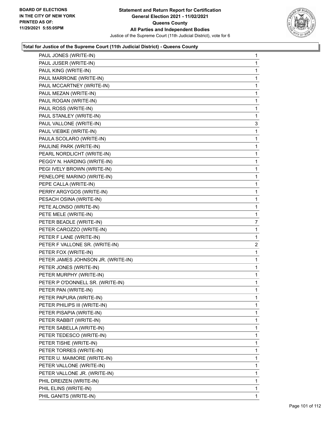

| PAUL JONES (WRITE-IN)              | 1              |
|------------------------------------|----------------|
| PAUL JUSER (WRITE-IN)              | 1              |
| PAUL KING (WRITE-IN)               | 1              |
| PAUL MARRONE (WRITE-IN)            | 1              |
| PAUL MCCARTNEY (WRITE-IN)          | 1              |
| PAUL MEZAN (WRITE-IN)              | 1              |
| PAUL ROGAN (WRITE-IN)              | 1              |
| PAUL ROSS (WRITE-IN)               | 1              |
| PAUL STANLEY (WRITE-IN)            | 1              |
| PAUL VALLONE (WRITE-IN)            | 3              |
| PAUL VIEBKE (WRITE-IN)             | 1              |
| PAULA SCOLARO (WRITE-IN)           | 1              |
| PAULINE PARK (WRITE-IN)            | 1              |
| PEARL NORDLICHT (WRITE-IN)         | 1              |
| PEGGY N. HARDING (WRITE-IN)        | 1              |
| PEGI IVELY BROWN (WRITE-IN)        | 1              |
| PENELOPE MARINO (WRITE-IN)         | 1              |
| PEPE CALLA (WRITE-IN)              | 1              |
| PERRY ARGYGOS (WRITE-IN)           | 1              |
| PESACH OSINA (WRITE-IN)            | 1              |
| PETE ALONSO (WRITE-IN)             | 1              |
| PETE MELE (WRITE-IN)               | 1              |
| PETER BEADLE (WRITE-IN)            | 7              |
| PETER CAROZZO (WRITE-IN)           | 1              |
| PETER F LANE (WRITE-IN)            | 1              |
| PETER F VALLONE SR. (WRITE-IN)     | $\overline{c}$ |
| PETER FOX (WRITE-IN)               | 1              |
| PETER JAMES JOHNSON JR. (WRITE-IN) | 1              |
| PETER JONES (WRITE-IN)             | 1              |
| PETER MURPHY (WRITE-IN)            | 1              |
| PETER P O'DONNELL SR. (WRITE-IN)   | 1              |
| PETER PAN (WRITE-IN)               | 1              |
| PETER PAPURA (WRITE-IN)            | 1              |
| PETER PHILIPS III (WRITE-IN)       | 1              |
| PETER PISAPIA (WRITE-IN)           | 1              |
| PETER RABBIT (WRITE-IN)            | 1              |
| PETER SABELLA (WRITE-IN)           | 1              |
| PETER TEDESCO (WRITE-IN)           | 1              |
| PETER TISHE (WRITE-IN)             | 1              |
| PETER TORRES (WRITE-IN)            | 1              |
| PETER U. MAIMORE (WRITE-IN)        | 1              |
| PETER VALLONE (WRITE-IN)           | 1              |
| PETER VALLONE JR. (WRITE-IN)       | 1              |
| PHIL DREIZEN (WRITE-IN)            | 1              |
| PHIL ELINS (WRITE-IN)              | 1              |
| PHIL GANITS (WRITE-IN)             | 1              |
|                                    |                |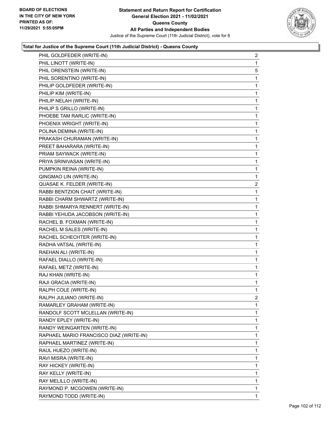

| PHIL GOLDFEDER (WRITE-IN)               | $\overline{2}$ |
|-----------------------------------------|----------------|
| PHIL LINOTT (WRITE-IN)                  | 1              |
| PHIL ORENSTEIN (WRITE-IN)               | 5              |
| PHIL SORENTINO (WRITE-IN)               | 1              |
| PHILIP GOLDFEDER (WRITE-IN)             | 1              |
| PHILIP KIM (WRITE-IN)                   | 1              |
| PHILIP NELAH (WRITE-IN)                 | $\mathbf{1}$   |
| PHILIP S GRILLO (WRITE-IN)              | 1              |
| PHOEBE TAM RARLIC (WRITE-IN)            | 1              |
| PHOENIX WRIGHT (WRITE-IN)               | 1              |
| POLINA DEMINA (WRITE-IN)                | 1              |
| PRAKASH CHURAMAN (WRITE-IN)             | 1              |
| PREET BAHARARA (WRITE-IN)               | $\mathbf{1}$   |
| PRIAM SAYWACK (WRITE-IN)                | 1              |
| PRIYA SRINIVASAN (WRITE-IN)             | 1              |
| PUMPKIN REINA (WRITE-IN)                | $\mathbf{1}$   |
| QINGMAO LIN (WRITE-IN)                  | 1              |
| QUASAE K. FELDER (WRITE-IN)             | 2              |
| RABBI BENTZION CHAIT (WRITE-IN)         | $\mathbf{1}$   |
| RABBI CHARM SHWARTZ (WRITE-IN)          | 1              |
| RABBI SHMARYA RENNERT (WRITE-IN)        | 1              |
| RABBI YEHUDA JACOBSON (WRITE-IN)        | 1              |
| RACHEL B. FOXMAN (WRITE-IN)             | 1              |
| RACHEL M SALES (WRITE-IN)               | 1              |
| RACHEL SCHECHTER (WRITE-IN)             | 1              |
| RADHA VATSAL (WRITE-IN)                 | 1              |
| RAEHAN ALI (WRITE-IN)                   | 1              |
| RAFAEL DIALLO (WRITE-IN)                | 1              |
| RAFAEL METZ (WRITE-IN)                  | 1              |
| RAJ KHAN (WRITE-IN)                     | 1              |
| RAJI GRACIA (WRITE-IN)                  | $\mathbf{1}$   |
| RALPH COLE (WRITE-IN)                   | 1              |
| RALPH JULIANO (WRITE-IN)                | 2              |
| RAMARLEY GRAHAM (WRITE-IN)              | 1              |
| RANDOLF SCOTT MCLELLAN (WRITE-IN)       | 1              |
| RANDY EPLEY (WRITE-IN)                  | 1              |
| RANDY WEINGARTEN (WRITE-IN)             | 1              |
| RAPHAEL MARIO FRANCISCO DIAZ (WRITE-IN) | 1              |
| RAPHAEL MARTINEZ (WRITE-IN)             | 1              |
| RAUL HUEZO (WRITE-IN)                   | 1              |
| RAVI MISRA (WRITE-IN)                   | 1              |
| RAY HICKEY (WRITE-IN)                   | 1              |
| RAY KELLY (WRITE-IN)                    | 1              |
| RAY MELILLO (WRITE-IN)                  | 1              |
| RAYMOND P. MCGOWEN (WRITE-IN)           | 1              |
| RAYMOND TODD (WRITE-IN)                 | 1              |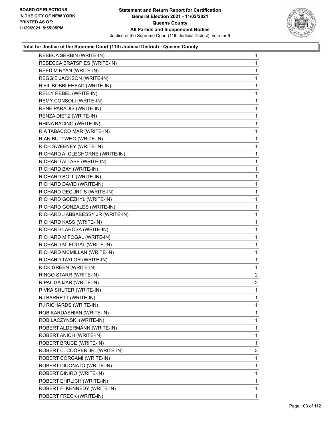

| REBECA SERBIN (WRITE-IN)          | $\mathbf{1}$   |
|-----------------------------------|----------------|
| REBECCA BRATSPIES (WRITE-IN)      | 1              |
| REED M RYAN (WRITE-IN)            | 1              |
| REGGIE JACKSON (WRITE-IN)         | 1              |
| R'EIL BOBBLEHEAD (WRITE-IN)       | 1              |
| RELLY REBEL (WRITE-IN)            | 1              |
| REMY CONSOLI (WRITE-IN)           | 1              |
| RENE PARADIS (WRITE-IN)           | 1              |
| RENZA DIETZ (WRITE-IN)            | 1              |
| RHINA BACINO (WRITE-IN)           | 1              |
| RIA TABACCO MAR (WRITE-IN)        | 1              |
| RIAN BUTTWHO (WRITE-IN)           | 1              |
| RICH SWEENEY (WRITE-IN)           | 1              |
| RICHARD A. CLEGHORNE (WRITE-IN)   | 1              |
| RICHARD ALTABE (WRITE-IN)         | 1              |
| RICHARD BAY (WRITE-IN)            | 1              |
| RICHARD BOLL (WRITE-IN)           | 1              |
| RICHARD DAVID (WRITE-IN)          | 1              |
| RICHARD DECURTIS (WRITE-IN)       | 1              |
| RICHARD GOEZHYL (WRITE-IN)        | 1              |
| RICHARD GONZALES (WRITE-IN)       | 1              |
| RICHARD J ABBABESSY JR (WRITE-IN) | 1              |
| RICHARD KASS (WRITE-IN)           | 1              |
| RICHARD LAROSA (WRITE-IN)         | 1              |
| RICHARD M FOGAL (WRITE-IN)        | 1              |
| RICHARD M. FOGAL (WRITE-IN)       | 1              |
| RICHARD MCMILLAN (WRITE-IN)       | 1              |
| RICHARD TAYLOR (WRITE-IN)         | 1              |
| RICK GREEN (WRITE-IN)             | 1              |
| RINGO STARR (WRITE-IN)            | 2              |
| RIPAL GAJJAR (WRITE-IN)           | $\overline{2}$ |
| RIVKA SHUTER (WRITE-IN)           | 1              |
| RJ BARRETT (WRITE-IN)             | 1              |
| RJ RICHARDS (WRITE-IN)            | 1              |
| ROB KARDASHIAN (WRITE-IN)         | 1              |
| ROB LACZYNSKI (WRITE-IN)          | 1              |
| ROBERT ALDERMANN (WRITE-IN)       | 1              |
| ROBERT ANICH (WRITE-IN)           | 1              |
| ROBERT BRUCE (WRITE-IN)           | 1              |
| ROBERT C. COOPER JR. (WRITE-IN)   | 3              |
| ROBERT CORGAMI (WRITE-IN)         | 1              |
| ROBERT DIDONATO (WRITE-IN)        | 1              |
| ROBERT DINIRO (WRITE-IN)          | 1              |
| ROBERT EHRLICH (WRITE-IN)         | 1              |
| ROBERT F. KENNEDY (WRITE-IN)      | 1              |
| <b>ROBERT FRECK (WRITE-IN)</b>    | 1              |
|                                   |                |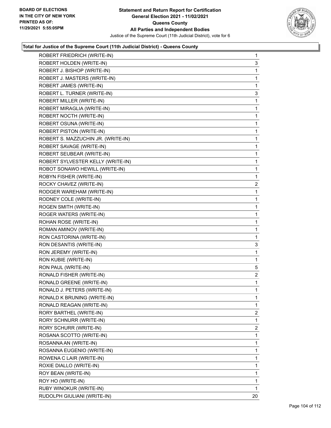

| ROBERT FRIEDRICH (WRITE-IN)        | $\mathbf{1}$   |
|------------------------------------|----------------|
| ROBERT HOLDEN (WRITE-IN)           | 3              |
| ROBERT J. BISHOP (WRITE-IN)        | 1              |
| ROBERT J. MASTERS (WRITE-IN)       | 1              |
| ROBERT JAMES (WRITE-IN)            | 1              |
| ROBERT L. TURNER (WRITE-IN)        | 3              |
| ROBERT MILLER (WRITE-IN)           | 1              |
| ROBERT MIRAGLIA (WRITE-IN)         | 1              |
| ROBERT NOCTH (WRITE-IN)            | 1              |
| ROBERT OSUNA (WRITE-IN)            | 1              |
| ROBERT PISTON (WRITE-IN)           | 1              |
| ROBERT S. MAZZUCHIN JR. (WRITE-IN) | 1              |
| ROBERT SAVAGE (WRITE-IN)           | 1              |
| ROBERT SEUBEAR (WRITE-IN)          | 1              |
| ROBERT SYLVESTER KELLY (WRITE-IN)  | 1              |
| ROBOT SONAWO HEWILL (WRITE-IN)     | 1              |
| ROBYN FISHER (WRITE-IN)            | 1              |
| ROCKY CHAVEZ (WRITE-IN)            | $\overline{2}$ |
| RODGER WAREHAM (WRITE-IN)          | 1              |
| RODNEY COLE (WRITE-IN)             | 1              |
| ROGEN SMITH (WRITE-IN)             | 1              |
| ROGER WATERS (WRITE-IN)            | 1              |
| ROHAN ROSE (WRITE-IN)              | 1              |
| ROMAN AMINOV (WRITE-IN)            | 1              |
| RON CASTORINA (WRITE-IN)           | 1              |
| RON DESANTIS (WRITE-IN)            | 3              |
| RON JEREMY (WRITE-IN)              | 1              |
| RON KUBIE (WRITE-IN)               | 1              |
| RON PAUL (WRITE-IN)                | 5              |
| RONALD FISHER (WRITE-IN)           | $\overline{2}$ |
| <b>RONALD GREENE (WRITE-IN)</b>    | 1              |
| RONALD J. PETERS (WRITE-IN)        | 1              |
| RONALD K BRUNING (WRITE-IN)        | 1              |
| RONALD REAGAN (WRITE-IN)           | 1              |
| RORY BARTHEL (WRITE-IN)            | $\overline{2}$ |
| RORY SCHNURR (WRITE-IN)            | 1              |
| RORY SCHURR (WRITE-IN)             | $\overline{2}$ |
| ROSANA SCOTTO (WRITE-IN)           | 1              |
| ROSANNA AN (WRITE-IN)              | 1              |
| ROSANNA EUGENIO (WRITE-IN)         | 1              |
| ROWENA C LAIR (WRITE-IN)           | 1              |
| ROXIE DIALLO (WRITE-IN)            | 1              |
| ROY BEAN (WRITE-IN)                | 1              |
| ROY HO (WRITE-IN)                  | 1              |
| RUBY WINOKUR (WRITE-IN)            | 1              |
| RUDOLPH GIULIANI (WRITE-IN)        | 20             |
|                                    |                |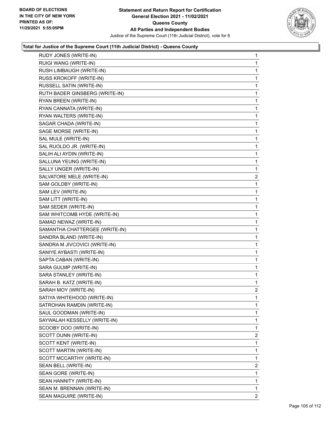

| RUDY JONES (WRITE-IN)          | 1              |
|--------------------------------|----------------|
| RUIGI WANG (WRITE-IN)          | 1              |
| RUSH LIMBAUGH (WRITE-IN)       | 1              |
| RUSS KROKOFF (WRITE-IN)        | 1              |
| RUSSELL SATIN (WRITE-IN)       | 1              |
| RUTH BADER GINSBERG (WRITE-IN) | 1              |
| RYAN BREEN (WRITE-IN)          | 1              |
| RYAN CANNATA (WRITE-IN)        | 1              |
| RYAN WALTERS (WRITE-IN)        | 1              |
| SAGAR CHADA (WRITE-IN)         | 1              |
| SAGE MORSE (WRITE-IN)          | 1              |
| SAL MULE (WRITE-IN)            | 1              |
| SAL RUOLDO JR. (WRITE-IN)      | 1              |
| SALIH ALI AYDIN (WRITE-IN)     | 1              |
| SALLUNA YEUNG (WRITE-IN)       | 1              |
| SALLY UNGER (WRITE-IN)         | 1              |
| SALVATORE MELE (WRITE-IN)      | 2              |
| SAM GOLDBY (WRITE-IN)          | 1              |
| SAM LEV (WRITE-IN)             | 1              |
| SAM LITT (WRITE-IN)            | 1              |
| SAM SEDER (WRITE-IN)           | 1              |
| SAM WHITCOMB HYDE (WRITE-IN)   | 1              |
| SAMAD NEWAZ (WRITE-IN)         | 1              |
| SAMANTHA CHATTERGEE (WRITE-IN) | 1              |
| SANDRA BLAND (WRITE-IN)        | 1              |
| SANDRA M JIVCOVICI (WRITE-IN)  | 1              |
| SANIYE AYBASTI (WRITE-IN)      | 1              |
| SAPTA CABAN (WRITE-IN)         | 1              |
| SARA GULMP (WRITE-IN)          | 1              |
| SARA STANLEY (WRITE-IN)        | 1              |
| SARAH B. KATZ (WRITE-IN)       | 1              |
| SARAH MOY (WRITE-IN)           | $\overline{2}$ |
| SATIYA WHITEHOOD (WRITE-IN)    | 1              |
| SATROHAN RAMDIN (WRITE-IN)     | 1              |
| SAUL GOODMAN (WRITE-IN)        | 1              |
| SAYWALAH KESSELLY (WRITE-IN)   | 1              |
| SCOOBY DOO (WRITE-IN)          | 1              |
| SCOTT DUNN (WRITE-IN)          | $\overline{2}$ |
| SCOTT KENT (WRITE-IN)          | 1              |
| SCOTT MARTIN (WRITE-IN)        | 1              |
| SCOTT MCCARTHY (WRITE-IN)      | 1              |
| SEAN BELL (WRITE-IN)           | 2              |
| SEAN GORE (WRITE-IN)           | 1              |
| SEAN HANNITY (WRITE-IN)        | 1              |
| SEAN M. BRENNAN (WRITE-IN)     | 1              |
| SEAN MAGUIRE (WRITE-IN)        | 2              |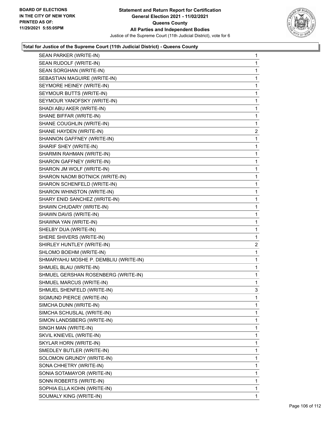

|                                       | $\mathbf{1}$ |
|---------------------------------------|--------------|
| SEAN RUDOLF (WRITE-IN)                | $\mathbf{1}$ |
| SEAN SORGHAN (WRITE-IN)               | 1            |
| SEBASTIAN MAGUIRE (WRITE-IN)          | $\mathbf{1}$ |
| SEYMORE HEINEY (WRITE-IN)             | 1            |
| SEYMOUR BUTTS (WRITE-IN)              | 1            |
| SEYMOUR YANOFSKY (WRITE-IN)           | 1            |
| SHADI ABU AKER (WRITE-IN)             | $\mathbf{1}$ |
| SHANE BIFFAR (WRITE-IN)               | 1            |
| SHANE COUGHLIN (WRITE-IN)             | 1            |
| SHANE HAYDEN (WRITE-IN)               | 2            |
| SHANNON GAFFNEY (WRITE-IN)            | 1            |
| SHARIF SHEY (WRITE-IN)                | 1            |
| SHARMIN RAHMAN (WRITE-IN)             | $\mathbf{1}$ |
| SHARON GAFFNEY (WRITE-IN)             | 1            |
| SHARON JM WOLF (WRITE-IN)             | $\mathbf{1}$ |
| SHARON NAOMI BOTNICK (WRITE-IN)       | $\mathbf{1}$ |
| SHARON SCHENFELD (WRITE-IN)           | 1            |
| SHARON WHINSTON (WRITE-IN)            | 1            |
| SHARY ENID SANCHEZ (WRITE-IN)         | $\mathbf{1}$ |
| SHAWN CHUDARY (WRITE-IN)              | 1            |
| SHAWN DAVIS (WRITE-IN)                | $\mathbf{1}$ |
| SHAWNA YAN (WRITE-IN)                 | $\mathbf{1}$ |
| SHELBY DUA (WRITE-IN)                 | 1            |
| SHERE SHIVERS (WRITE-IN)              | 1            |
| SHIRLEY HUNTLEY (WRITE-IN)            | 2            |
| SHLOMO BOEHM (WRITE-IN)               | 1            |
| SHMARYAHU MOSHE P. DEMBLIU (WRITE-IN) | $\mathbf{1}$ |
| SHMUEL BLAU (WRITE-IN)                | $\mathbf{1}$ |
| SHMUEL GERSHAN ROSENBERG (WRITE-IN)   | 1            |
|                                       | 1            |
| SHMUEL MARCUS (WRITE-IN)              |              |
| SHMUEL SHENFELD (WRITE-IN)            | 3            |
| SIGMUND PIERCE (WRITE-IN)             | 1            |
| SIMCHA DUNN (WRITE-IN)                | 1            |
| SIMCHA SCHUSLAL (WRITE-IN)            | 1            |
| SIMON LANDSBERG (WRITE-IN)            | 1            |
| SINGH MAN (WRITE-IN)                  | 1            |
| SKVIL KNIEVEL (WRITE-IN)              | 1            |
| SKYLAR HORN (WRITE-IN)                | 1            |
| SMEDLEY BUTLER (WRITE-IN)             | 1            |
| SOLOMON GRUNDY (WRITE-IN)             | 1            |
| SONA CHHETRY (WRITE-IN)               | 1            |
| SONIA SOTAMAYOR (WRITE-IN)            | 1            |
| SONN ROBERTS (WRITE-IN)               | 1            |
| SOPHIA ELLA KOHN (WRITE-IN)           | 1            |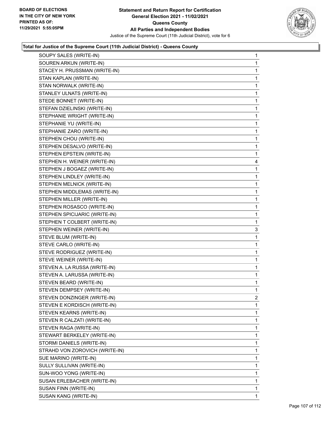

| SOUPY SALES (WRITE-IN)         | $\mathbf{1}$ |
|--------------------------------|--------------|
| SOUREN ARKUN (WRITE-IN)        | 1            |
| STACEY H. PRUSSMAN (WRITE-IN)  | 1            |
| STAN KAPLAN (WRITE-IN)         | 1            |
| STAN NORWALK (WRITE-IN)        | 1            |
| STANLEY ULNATS (WRITE-IN)      | $\mathbf{1}$ |
| STEDE BONNET (WRITE-IN)        | 1            |
| STEFAN DZIELINSKI (WRITE-IN)   | 1            |
| STEPHANIE WRIGHT (WRITE-IN)    | 1            |
| STEPHANIE YU (WRITE-IN)        | 1            |
| STEPHANIE ZARO (WRITE-IN)      | 1            |
| STEPHEN CHOU (WRITE-IN)        | $\mathbf{1}$ |
| STEPHEN DESALVO (WRITE-IN)     | 1            |
| STEPHEN EPSTEIN (WRITE-IN)     | 1            |
| STEPHEN H. WEINER (WRITE-IN)   | 4            |
| STEPHEN J BOGAEZ (WRITE-IN)    | 1            |
| STEPHEN LINDLEY (WRITE-IN)     | 1            |
| STEPHEN MELNICK (WRITE-IN)     | $\mathbf{1}$ |
| STEPHEN MIDDLEMAS (WRITE-IN)   | 1            |
| STEPHEN MILLER (WRITE-IN)      | 1            |
| STEPHEN ROSASCO (WRITE-IN)     | 1            |
| STEPHEN SPICIJARIC (WRITE-IN)  | $\mathbf{1}$ |
| STEPHEN T COLBERT (WRITE-IN)   | 1            |
| STEPHEN WEINER (WRITE-IN)      | 3            |
| STEVE BLUM (WRITE-IN)          | $\mathbf{1}$ |
| STEVE CARLO (WRITE-IN)         | 1            |
| STEVE RODRIGUEZ (WRITE-IN)     | 1            |
| STEVE WEINER (WRITE-IN)        | 1            |
| STEVEN A. LA RUSSA (WRITE-IN)  | 1            |
| STEVEN A. LARUSSA (WRITE-IN)   | $\mathbf{1}$ |
| STEVEN BEARD (WRITE-IN)        | $\mathbf{1}$ |
| STEVEN DEMPSEY (WRITE-IN)      | 1            |
| STEVEN DONZINGER (WRITE-IN)    | 2            |
| STEVEN E KORDISCH (WRITE-IN)   | 1            |
| STEVEN KEARNS (WRITE-IN)       | 1            |
| STEVEN R CALZATI (WRITE-IN)    | 1            |
| STEVEN RAGA (WRITE-IN)         | 1            |
| STEWART BERKELEY (WRITE-IN)    | 1            |
| STORMI DANIELS (WRITE-IN)      | 1            |
| STRAHD VON ZOROVICH (WRITE-IN) | 1            |
| SUE MARINO (WRITE-IN)          | 1            |
| SULLY SULLIVAN (WRITE-IN)      | 1            |
| SUN-WOO YONG (WRITE-IN)        | 1            |
| SUSAN ERLEBACHER (WRITE-IN)    | 1            |
| SUSAN FINN (WRITE-IN)          | 1            |
| SUSAN KANG (WRITE-IN)          | 1            |
|                                |              |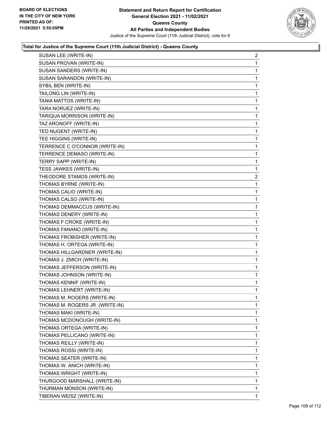

| SUSAN LEE (WRITE-IN)            | $\overline{c}$ |
|---------------------------------|----------------|
| SUSAN PROVAN (WRITE-IN)         | 1              |
| SUSAN SANDERS (WRITE-IN)        | 1              |
| SUSAN SARANDON (WRITE-IN)       | 1              |
| SYBIL BEN (WRITE-IN)            | 1              |
| TAILONG LIN (WRITE-IN)          | 1              |
| TANIA MATTOS (WRITE-IN)         | 1              |
| TARA NORUEZ (WRITE-IN)          | 1              |
| TARIQUA MORRISON (WRITE-IN)     | 1              |
| TAZ ARONOFF (WRITE-IN)          | 1              |
| TED NUGENT (WRITE-IN)           | 1              |
| TEE HIGGINS (WRITE-IN)          | 1              |
| TERRENCE C O'CONNOR (WRITE-IN)  | 1              |
| TERRENCE DEMASO (WRITE-IN)      | 1              |
| TERRY SAPP (WRITE-IN)           | 1              |
| TESS JAWKES (WRITE-IN)          | 1              |
| THEODORE STAMOS (WRITE-IN)      | $\overline{2}$ |
| THOMAS BYRNE (WRITE-IN)         | 1              |
| THOMAS CALIO (WRITE-IN)         | 1              |
| THOMAS CALSO (WRITE-IN)         | 1              |
| THOMAS DEMMACCUS (WRITE-IN)     | 1              |
| THOMAS DENERY (WRITE-IN)        | 1              |
| THOMAS F CROKE (WRITE-IN)       | 1              |
| THOMAS FANANO (WRITE-IN)        | 1              |
| THOMAS FROBISHER (WRITE-IN)     | 1              |
| THOMAS H. ORTEGA (WRITE-IN)     | 1              |
| THOMAS HILLGARDNER (WRITE-IN)   | 1              |
| THOMAS J. ZMICH (WRITE-IN)      | 1              |
| THOMAS JEFFERSON (WRITE-IN)     | 1              |
| THOMAS JOHNSON (WRITE-IN)       | 1              |
| THOMAS KENNIF (WRITE-IN)        | 1              |
| THOMAS LEHNERT (WRITE-IN)       | 1              |
| THOMAS M. ROGERS (WRITE-IN)     | 1              |
| THOMAS M. ROGERS JR. (WRITE-IN) | 1              |
| THOMAS MAKI (WRITE-IN)          | 1              |
| THOMAS MCDONOUGH (WRITE-IN)     | 1              |
| THOMAS ORTEGA (WRITE-IN)        | 1              |
| THOMAS PELLICANO (WRITE-IN)     | 1              |
| THOMAS REILLY (WRITE-IN)        | 1              |
| THOMAS ROSSI (WRITE-IN)         | 1              |
| THOMAS SEATER (WRITE-IN)        | 1              |
| THOMAS W. ANICH (WRITE-IN)      | 1              |
| THOMAS WRIGHT (WRITE-IN)        | 1              |
| THURGOOD MARSHALL (WRITE-IN)    | 1              |
| THURMAN MONSON (WRITE-IN)       | 1              |
| TIBERAN WEISZ (WRITE-IN)        | $\mathbf 1$    |
|                                 |                |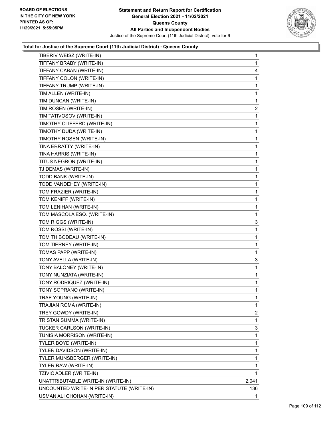

| TIBERIV WEISZ (WRITE-IN)                  | 1              |
|-------------------------------------------|----------------|
| TIFFANY BRABY (WRITE-IN)                  | 1              |
| TIFFANY CABAN (WRITE-IN)                  | 4              |
| TIFFANY COLON (WRITE-IN)                  | 1              |
| TIFFANY TRUMP (WRITE-IN)                  | 1              |
| TIM ALLEN (WRITE-IN)                      | 1              |
| TIM DUNCAN (WRITE-IN)                     | 1              |
| TIM ROSEN (WRITE-IN)                      | $\overline{2}$ |
| TIM TATIVOSOV (WRITE-IN)                  | 1              |
| TIMOTHY CLIFFERD (WRITE-IN)               | 1              |
| TIMOTHY DUDA (WRITE-IN)                   | 1              |
| TIMOTHY ROSEN (WRITE-IN)                  | 1              |
| TINA ERRATTY (WRITE-IN)                   | 1              |
| TINA HARRIS (WRITE-IN)                    | 1              |
| TITUS NEGRON (WRITE-IN)                   | 1              |
| TJ DEMAS (WRITE-IN)                       | 1              |
| TODD BANK (WRITE-IN)                      | 1              |
| TODD VANDEHEY (WRITE-IN)                  | 1              |
| TOM FRAZIER (WRITE-IN)                    | 1              |
| TOM KENIFF (WRITE-IN)                     | 1              |
| TOM LENIHAN (WRITE-IN)                    | 1              |
| TOM MASCOLA ESQ. (WRITE-IN)               | 1              |
| TOM RIGGS (WRITE-IN)                      | 3              |
| TOM ROSSI (WRITE-IN)                      | 1              |
| TOM THIBODEAU (WRITE-IN)                  | 1              |
| TOM TIERNEY (WRITE-IN)                    | 1              |
| TOMAS PAPP (WRITE-IN)                     | 1              |
| TONY AVELLA (WRITE-IN)                    | 3              |
| TONY BALONEY (WRITE-IN)                   | 1              |
| TONY NUNZIATA (WRITE-IN)                  | 1              |
| TONY RODRIQUEZ (WRITE-IN)                 | 1              |
| TONY SOPRANO (WRITE-IN)                   | 1              |
| TRAE YOUNG (WRITE-IN)                     | 1              |
| TRAJIAN ROMA (WRITE-IN)                   | 1              |
| TREY GOWDY (WRITE-IN)                     | 2              |
| TRISTAN SUMMA (WRITE-IN)                  | 1              |
| TUCKER CARLSON (WRITE-IN)                 | 3              |
| TUNISIA MORRISON (WRITE-IN)               | 1              |
| TYLER BOYD (WRITE-IN)                     | 1              |
| TYLER DAVIDSON (WRITE-IN)                 | 1              |
| TYLER MUNSBERGER (WRITE-IN)               | 1              |
| TYLER RAW (WRITE-IN)                      | 1              |
| TZIVIC ADLER (WRITE-IN)                   | 1              |
| UNATTRIBUTABLE WRITE-IN (WRITE-IN)        | 2,041          |
| UNCOUNTED WRITE-IN PER STATUTE (WRITE-IN) | 136            |
| USMAN ALI CHOHAN (WRITE-IN)               | 1.             |
|                                           |                |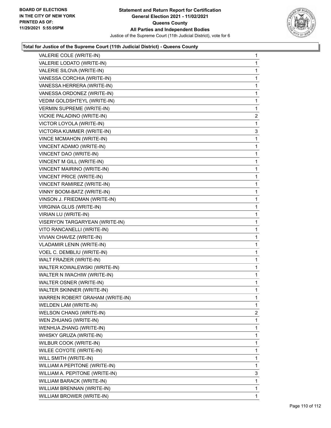

| VALERIE COLE (WRITE-IN)          | $\mathbf{1}$   |
|----------------------------------|----------------|
| VALERIE LODATO (WRITE-IN)        | 1              |
| VALERIE SILOVA (WRITE-IN)        | 1              |
| VANESSA CORCHIA (WRITE-IN)       | 1              |
| VANESSA HERRERA (WRITE-IN)       | 1              |
| VANESSA ORDONEZ (WRITE-IN)       | 1              |
| VEDIM GOLDSHTEYL (WRITE-IN)      | 1              |
| <b>VERMIN SUPREME (WRITE-IN)</b> | 1              |
| VICKIE PALADINO (WRITE-IN)       | $\overline{2}$ |
| VICTOR LOYOLA (WRITE-IN)         | 1              |
| VICTORIA KUMMER (WRITE-IN)       | 3              |
| <b>VINCE MCMAHON (WRITE-IN)</b>  | 1              |
| VINCENT ADAMO (WRITE-IN)         | 1              |
| VINCENT DAO (WRITE-IN)           | 1              |
| VINCENT M GILL (WRITE-IN)        | 1              |
| VINCENT MAIRINO (WRITE-IN)       | 1              |
| VINCENT PRICE (WRITE-IN)         | 1              |
| VINCENT RAMIREZ (WRITE-IN)       | 1              |
| VINNY BOOM-BATZ (WRITE-IN)       | 1              |
| VINSON J. FRIEDMAN (WRITE-IN)    | 1              |
| VIRGINIA GLUS (WRITE-IN)         | 1              |
| VIRIAN LU (WRITE-IN)             | 1              |
| VISERYON TARGARYEAN (WRITE-IN)   | 1              |
| VITO RANCANELLI (WRITE-IN)       | 1              |
| VIVIAN CHAVEZ (WRITE-IN)         | 1              |
| VLADAMIR LENIN (WRITE-IN)        | 1              |
| VOEL C. DEMBLIU (WRITE-IN)       | 1              |
| WALT FRAZIER (WRITE-IN)          | 1              |
| WALTER KOWALEWSKI (WRITE-IN)     | 1              |
| WALTER N IWACHIW (WRITE-IN)      | 1              |
| WALTER OSNER (WRITE-IN)          | 1              |
| WALTER SKINNER (WRITE-IN)        | 1              |
| WARREN ROBERT GRAHAM (WRITE-IN)  | 1              |
| WELDEN LAM (WRITE-IN)            | $\mathbf{1}$   |
| <b>WELSON CHANG (WRITE-IN)</b>   | 2              |
| WEN ZHUANG (WRITE-IN)            | 1              |
| WENHUA ZHANG (WRITE-IN)          | 1              |
| WHISKY GRUZA (WRITE-IN)          | 1              |
| WILBUR COOK (WRITE-IN)           | 1              |
| WILEE COYOTE (WRITE-IN)          | 1              |
| WILL SMITH (WRITE-IN)            | 1              |
| WILLIAM A PEPITONE (WRITE-IN)    | 1              |
| WILLIAM A. PEPITONE (WRITE-IN)   | 3              |
| WILLIAM BARACK (WRITE-IN)        | 1              |
| WILLIAM BRENNAN (WRITE-IN)       | 1              |
| WILLIAM BROWER (WRITE-IN)        | $\mathbf{1}$   |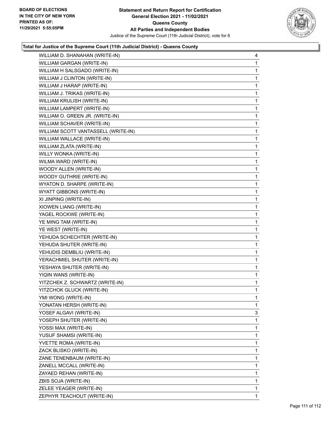

| WILLIAM D. SHANAHAN (WRITE-IN)      | 4            |
|-------------------------------------|--------------|
| WILLIAM GARGAN (WRITE-IN)           | 1            |
| WILLIAM H SALSGADO (WRITE-IN)       | $\mathbf{1}$ |
| WILLIAM J CLINTON (WRITE-IN)        | 1            |
| WILLIAM J HARAP (WRITE-IN)          | 1            |
| WILLIAM J. TRIKAS (WRITE-IN)        | 1            |
| WILLIAM KRULISH (WRITE-IN)          | 1            |
| WILLIAM LAMPERT (WRITE-IN)          | 1            |
| WILLIAM O. GREEN JR. (WRITE-IN)     | 1            |
| WILLIAM SCHAVER (WRITE-IN)          | 1            |
| WILLIAM SCOTT VANTASSELL (WRITE-IN) | 1            |
| WILLIAM WALLACE (WRITE-IN)          | 1            |
| WILLIAM ZLATA (WRITE-IN)            | 1            |
| WILLY WONKA (WRITE-IN)              | 1            |
| WILMA WARD (WRITE-IN)               | 1            |
| WOODY ALLEN (WRITE-IN)              | 1            |
| WOODY GUTHRIE (WRITE-IN)            | 1            |
| WYATON D. SHARPE (WRITE-IN)         | 1            |
| <b>WYATT GIBBONS (WRITE-IN)</b>     | 1            |
| XI JINPING (WRITE-IN)               | 1            |
| XIOWEN LIANG (WRITE-IN)             | 1            |
| YAGEL ROCKWE (WRITE-IN)             | 1            |
| YE MING TAM (WRITE-IN)              | 1            |
| YE WEST (WRITE-IN)                  | 1            |
| YEHUDA SCHECHTER (WRITE-IN)         | 1            |
| YEHUDA SHUTER (WRITE-IN)            | 1            |
| YEHUDIS DEMBLIU (WRITE-IN)          | 1            |
| YERACHMIEL SHUTER (WRITE-IN)        | 1            |
| YESHAYA SHUTER (WRITE-IN)           | 1            |
| YIQIN WANS (WRITE-IN)               | $\mathbf{1}$ |
| YITZCHEK Z. SCHWARTZ (WRITE-IN)     | 1            |
| YITZCHOK GLUCK (WRITE-IN)           | $\mathbf 1$  |
| YMI WONG (WRITE-IN)                 | 1            |
| YONATAN HERSH (WRITE-IN)            | 1            |
| YOSEF ALGAVI (WRITE-IN)             | 3            |
| YOSEPH SHUTER (WRITE-IN)            | 1            |
| YOSSI MAX (WRITE-IN)                | 1            |
| YUSUF SHAMSI (WRITE-IN)             | 1            |
| YVETTE ROMA (WRITE-IN)              | 1            |
| ZACK BLISKO (WRITE-IN)              | 1            |
| ZANE TENENBAUM (WRITE-IN)           | 1            |
| ZANELL MCCALL (WRITE-IN)            | 1            |
| ZAYAED REHAN (WRITE-IN)             | 1            |
| ZBIS SOJA (WRITE-IN)                | 1            |
| ZELEE YEAGER (WRITE-IN)             | 1            |
| ZEPHYR TEACHOUT (WRITE-IN)          | 1.           |
|                                     |              |